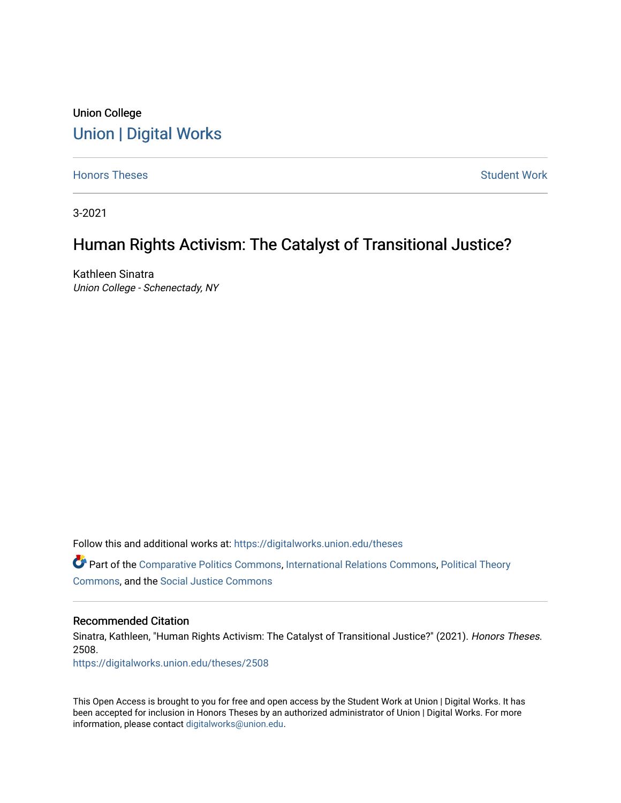## Union College [Union | Digital Works](https://digitalworks.union.edu/)

[Honors Theses](https://digitalworks.union.edu/theses) **Student Work** [Student Work](https://digitalworks.union.edu/studentwork) **Student Work** Student Work

3-2021

## Human Rights Activism: The Catalyst of Transitional Justice?

Kathleen Sinatra Union College - Schenectady, NY

Follow this and additional works at: [https://digitalworks.union.edu/theses](https://digitalworks.union.edu/theses?utm_source=digitalworks.union.edu%2Ftheses%2F2508&utm_medium=PDF&utm_campaign=PDFCoverPages) 

Part of the [Comparative Politics Commons,](http://network.bepress.com/hgg/discipline/388?utm_source=digitalworks.union.edu%2Ftheses%2F2508&utm_medium=PDF&utm_campaign=PDFCoverPages) [International Relations Commons](http://network.bepress.com/hgg/discipline/389?utm_source=digitalworks.union.edu%2Ftheses%2F2508&utm_medium=PDF&utm_campaign=PDFCoverPages), [Political Theory](http://network.bepress.com/hgg/discipline/391?utm_source=digitalworks.union.edu%2Ftheses%2F2508&utm_medium=PDF&utm_campaign=PDFCoverPages)  [Commons](http://network.bepress.com/hgg/discipline/391?utm_source=digitalworks.union.edu%2Ftheses%2F2508&utm_medium=PDF&utm_campaign=PDFCoverPages), and the [Social Justice Commons](http://network.bepress.com/hgg/discipline/1432?utm_source=digitalworks.union.edu%2Ftheses%2F2508&utm_medium=PDF&utm_campaign=PDFCoverPages) 

#### Recommended Citation

Sinatra, Kathleen, "Human Rights Activism: The Catalyst of Transitional Justice?" (2021). Honors Theses. 2508.

[https://digitalworks.union.edu/theses/2508](https://digitalworks.union.edu/theses/2508?utm_source=digitalworks.union.edu%2Ftheses%2F2508&utm_medium=PDF&utm_campaign=PDFCoverPages)

This Open Access is brought to you for free and open access by the Student Work at Union | Digital Works. It has been accepted for inclusion in Honors Theses by an authorized administrator of Union | Digital Works. For more information, please contact [digitalworks@union.edu.](mailto:digitalworks@union.edu)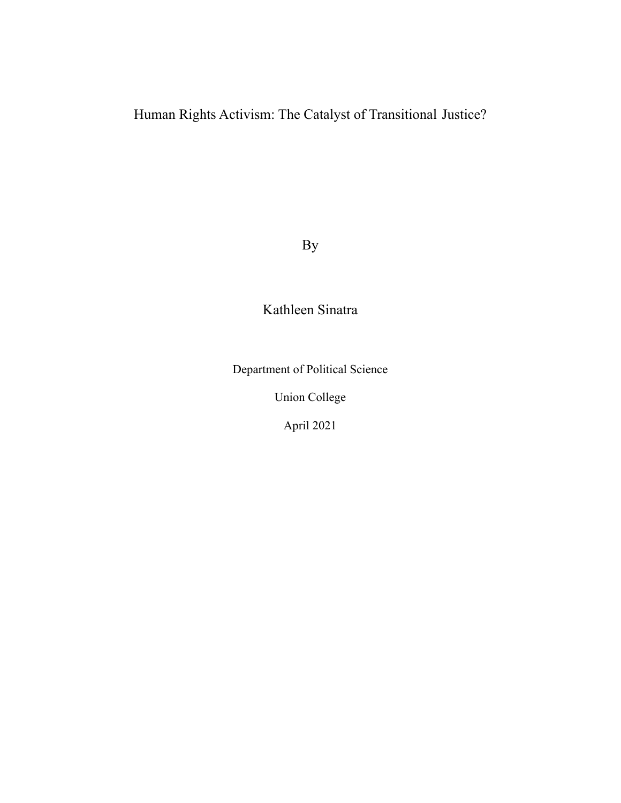Human Rights Activism: The Catalyst of Transitional Justice?

By

# Kathleen Sinatra

Department of Political Science

Union College

April 2021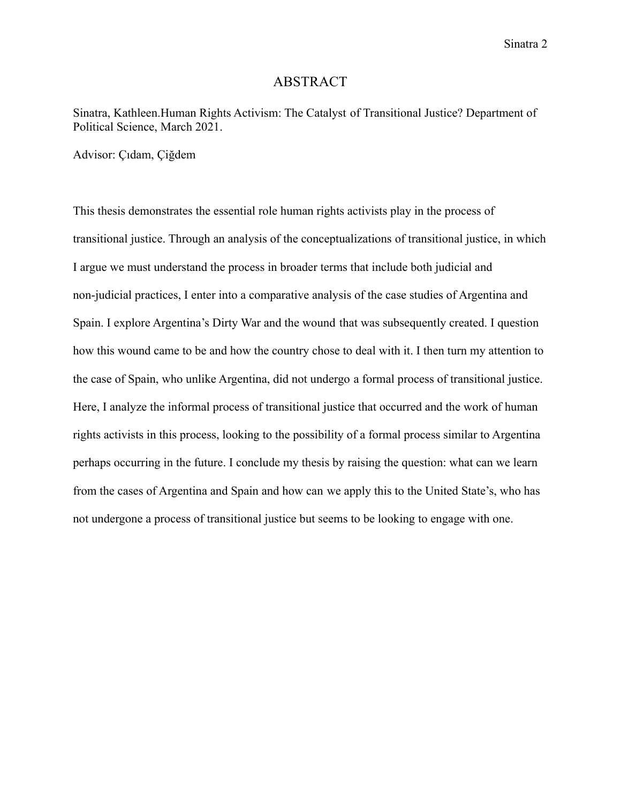## ABSTRACT

Sinatra, Kathleen.Human Rights Activism: The Catalyst of Transitional Justice? Department of Political Science, March 2021.

Advisor: Çıdam, Çiğdem

This thesis demonstrates the essential role human rights activists play in the process of transitional justice. Through an analysis of the conceptualizations of transitional justice, in which I argue we must understand the process in broader terms that include both judicial and non-judicial practices, I enter into a comparative analysis of the case studies of Argentina and Spain. I explore Argentina's Dirty War and the wound that was subsequently created. I question how this wound came to be and how the country chose to deal with it. I then turn my attention to the case of Spain, who unlike Argentina, did not undergo a formal process of transitional justice. Here, I analyze the informal process of transitional justice that occurred and the work of human rights activists in this process, looking to the possibility of a formal process similar to Argentina perhaps occurring in the future. I conclude my thesis by raising the question: what can we learn from the cases of Argentina and Spain and how can we apply this to the United State's, who has not undergone a process of transitional justice but seems to be looking to engage with one.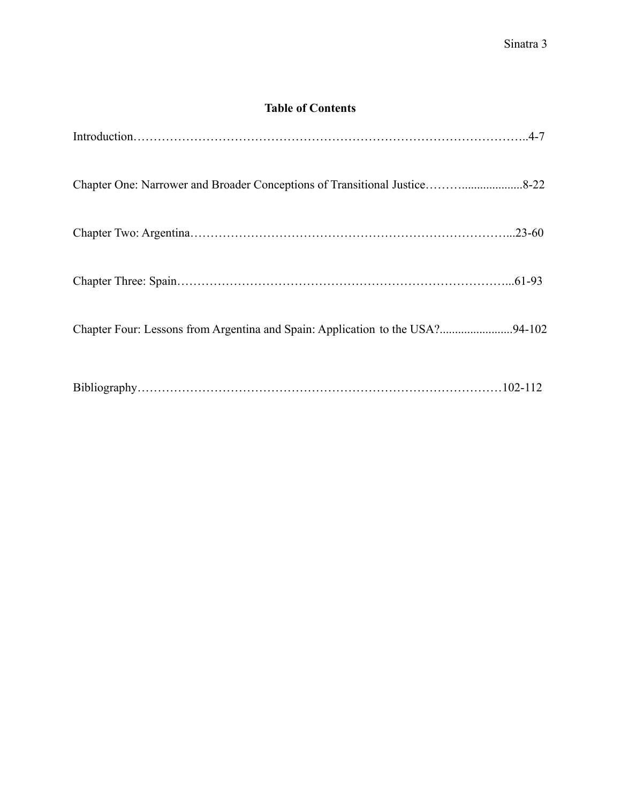## **Table of Contents**

| Chapter Four: Lessons from Argentina and Spain: Application to the USA?94-102 |  |
|-------------------------------------------------------------------------------|--|
|                                                                               |  |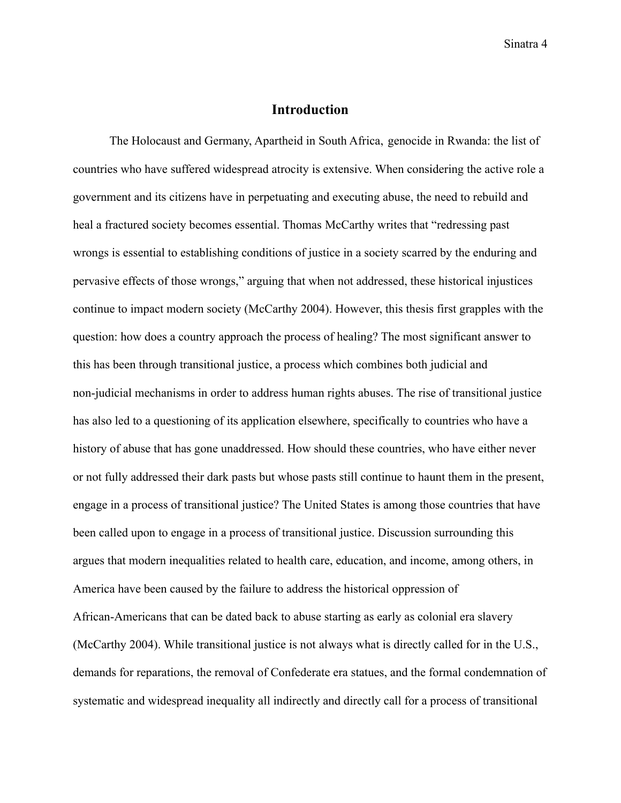## **Introduction**

The Holocaust and Germany, Apartheid in South Africa, genocide in Rwanda: the list of countries who have suffered widespread atrocity is extensive. When considering the active role a government and its citizens have in perpetuating and executing abuse, the need to rebuild and heal a fractured society becomes essential. Thomas McCarthy writes that "redressing past wrongs is essential to establishing conditions of justice in a society scarred by the enduring and pervasive effects of those wrongs," arguing that when not addressed, these historical injustices continue to impact modern society (McCarthy 2004). However, this thesis first grapples with the question: how does a country approach the process of healing? The most significant answer to this has been through transitional justice, a process which combines both judicial and non-judicial mechanisms in order to address human rights abuses. The rise of transitional justice has also led to a questioning of its application elsewhere, specifically to countries who have a history of abuse that has gone unaddressed. How should these countries, who have either never or not fully addressed their dark pasts but whose pasts still continue to haunt them in the present, engage in a process of transitional justice? The United States is among those countries that have been called upon to engage in a process of transitional justice. Discussion surrounding this argues that modern inequalities related to health care, education, and income, among others, in America have been caused by the failure to address the historical oppression of African-Americans that can be dated back to abuse starting as early as colonial era slavery (McCarthy 2004). While transitional justice is not always what is directly called for in the U.S., demands for reparations, the removal of Confederate era statues, and the formal condemnation of systematic and widespread inequality all indirectly and directly call for a process of transitional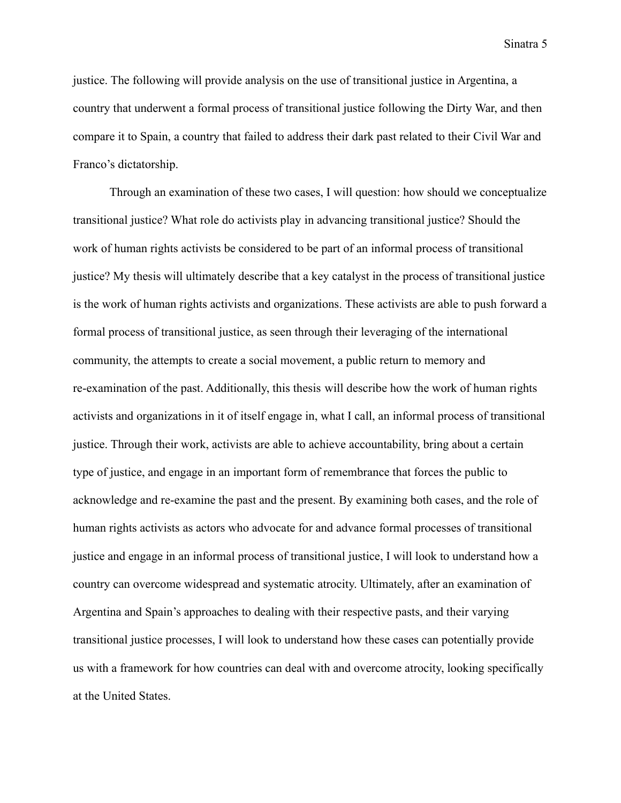justice. The following will provide analysis on the use of transitional justice in Argentina, a country that underwent a formal process of transitional justice following the Dirty War, and then compare it to Spain, a country that failed to address their dark past related to their Civil War and Franco's dictatorship.

Through an examination of these two cases, I will question: how should we conceptualize transitional justice? What role do activists play in advancing transitional justice? Should the work of human rights activists be considered to be part of an informal process of transitional justice? My thesis will ultimately describe that a key catalyst in the process of transitional justice is the work of human rights activists and organizations. These activists are able to push forward a formal process of transitional justice, as seen through their leveraging of the international community, the attempts to create a social movement, a public return to memory and re-examination of the past. Additionally, this thesis will describe how the work of human rights activists and organizations in it of itself engage in, what I call, an informal process of transitional justice. Through their work, activists are able to achieve accountability, bring about a certain type of justice, and engage in an important form of remembrance that forces the public to acknowledge and re-examine the past and the present. By examining both cases, and the role of human rights activists as actors who advocate for and advance formal processes of transitional justice and engage in an informal process of transitional justice, I will look to understand how a country can overcome widespread and systematic atrocity. Ultimately, after an examination of Argentina and Spain's approaches to dealing with their respective pasts, and their varying transitional justice processes, I will look to understand how these cases can potentially provide us with a framework for how countries can deal with and overcome atrocity, looking specifically at the United States.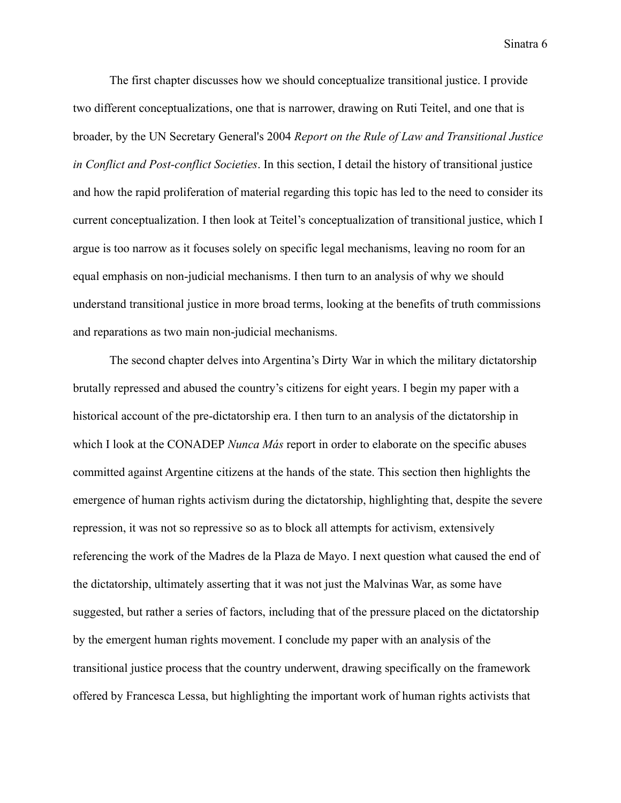The first chapter discusses how we should conceptualize transitional justice. I provide two different conceptualizations, one that is narrower, drawing on Ruti Teitel, and one that is broader, by the UN Secretary General's 2004 *Report on the Rule of Law and Transitional Justice in Conflict and Post-conflict Societies*. In this section, I detail the history of transitional justice and how the rapid proliferation of material regarding this topic has led to the need to consider its current conceptualization. I then look at Teitel's conceptualization of transitional justice, which I argue is too narrow as it focuses solely on specific legal mechanisms, leaving no room for an equal emphasis on non-judicial mechanisms. I then turn to an analysis of why we should understand transitional justice in more broad terms, looking at the benefits of truth commissions and reparations as two main non-judicial mechanisms.

The second chapter delves into Argentina's Dirty War in which the military dictatorship brutally repressed and abused the country's citizens for eight years. I begin my paper with a historical account of the pre-dictatorship era. I then turn to an analysis of the dictatorship in which I look at the CONADEP *Nunca Más* report in order to elaborate on the specific abuses committed against Argentine citizens at the hands of the state. This section then highlights the emergence of human rights activism during the dictatorship, highlighting that, despite the severe repression, it was not so repressive so as to block all attempts for activism, extensively referencing the work of the Madres de la Plaza de Mayo. I next question what caused the end of the dictatorship, ultimately asserting that it was not just the Malvinas War, as some have suggested, but rather a series of factors, including that of the pressure placed on the dictatorship by the emergent human rights movement. I conclude my paper with an analysis of the transitional justice process that the country underwent, drawing specifically on the framework offered by Francesca Lessa, but highlighting the important work of human rights activists that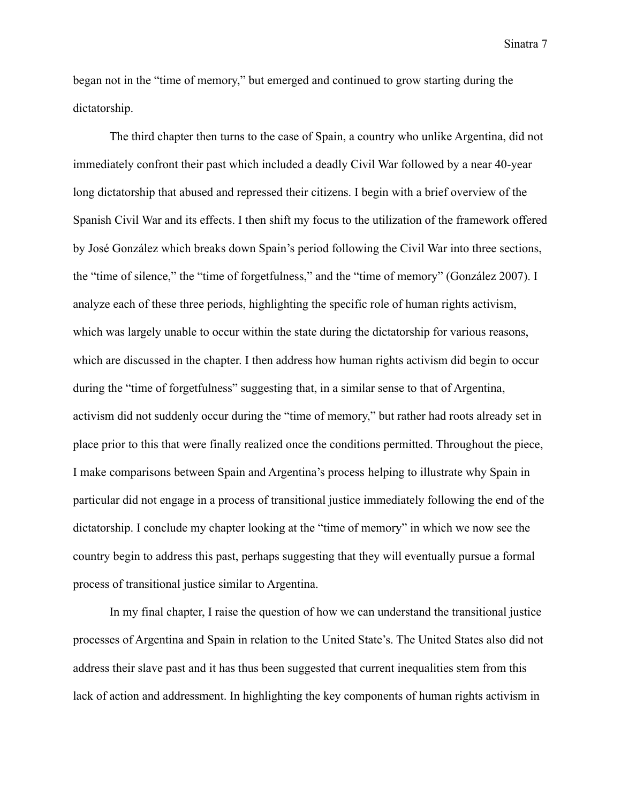began not in the "time of memory," but emerged and continued to grow starting during the dictatorship.

The third chapter then turns to the case of Spain, a country who unlike Argentina, did not immediately confront their past which included a deadly Civil War followed by a near 40-year long dictatorship that abused and repressed their citizens. I begin with a brief overview of the Spanish Civil War and its effects. I then shift my focus to the utilization of the framework offered by José González which breaks down Spain's period following the Civil War into three sections, the "time of silence," the "time of forgetfulness," and the "time of memory" (González 2007). I analyze each of these three periods, highlighting the specific role of human rights activism, which was largely unable to occur within the state during the dictatorship for various reasons, which are discussed in the chapter. I then address how human rights activism did begin to occur during the "time of forgetfulness" suggesting that, in a similar sense to that of Argentina, activism did not suddenly occur during the "time of memory," but rather had roots already set in place prior to this that were finally realized once the conditions permitted. Throughout the piece, I make comparisons between Spain and Argentina's process helping to illustrate why Spain in particular did not engage in a process of transitional justice immediately following the end of the dictatorship. I conclude my chapter looking at the "time of memory" in which we now see the country begin to address this past, perhaps suggesting that they will eventually pursue a formal process of transitional justice similar to Argentina.

In my final chapter, I raise the question of how we can understand the transitional justice processes of Argentina and Spain in relation to the United State's. The United States also did not address their slave past and it has thus been suggested that current inequalities stem from this lack of action and addressment. In highlighting the key components of human rights activism in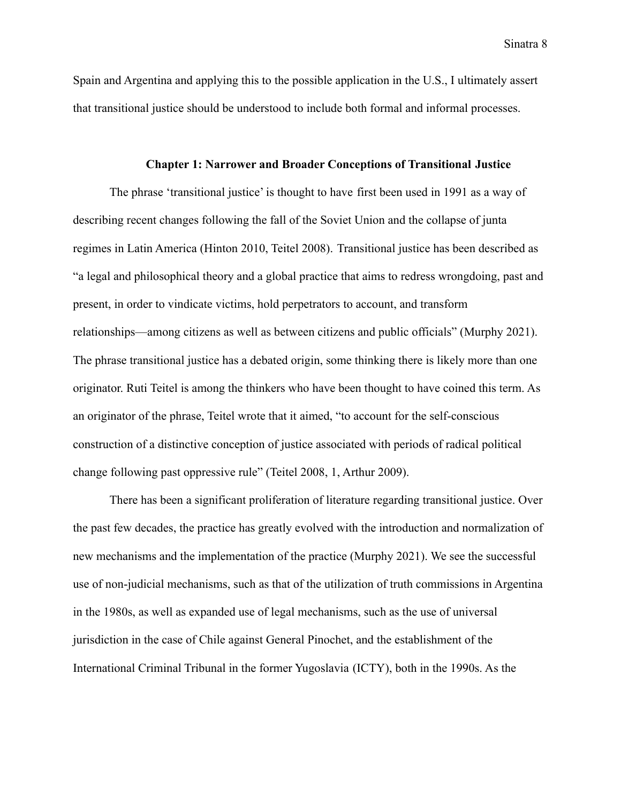Spain and Argentina and applying this to the possible application in the U.S., I ultimately assert that transitional justice should be understood to include both formal and informal processes.

#### **Chapter 1: Narrower and Broader Conceptions of Transitional Justice**

The phrase 'transitional justice' is thought to have first been used in 1991 as a way of describing recent changes following the fall of the Soviet Union and the collapse of junta regimes in Latin America (Hinton 2010, Teitel 2008). Transitional justice has been described as "a legal and philosophical theory and a global practice that aims to redress wrongdoing, past and present, in order to vindicate victims, hold perpetrators to account, and transform relationships—among citizens as well as between citizens and public officials" (Murphy 2021). The phrase transitional justice has a debated origin, some thinking there is likely more than one originator. Ruti Teitel is among the thinkers who have been thought to have coined this term. As an originator of the phrase, Teitel wrote that it aimed, "to account for the self-conscious construction of a distinctive conception of justice associated with periods of radical political change following past oppressive rule" (Teitel 2008, 1, Arthur 2009).

There has been a significant proliferation of literature regarding transitional justice. Over the past few decades, the practice has greatly evolved with the introduction and normalization of new mechanisms and the implementation of the practice (Murphy 2021). We see the successful use of non-judicial mechanisms, such as that of the utilization of truth commissions in Argentina in the 1980s, as well as expanded use of legal mechanisms, such as the use of universal jurisdiction in the case of Chile against General Pinochet, and the establishment of the International Criminal Tribunal in the former Yugoslavia (ICTY), both in the 1990s. As the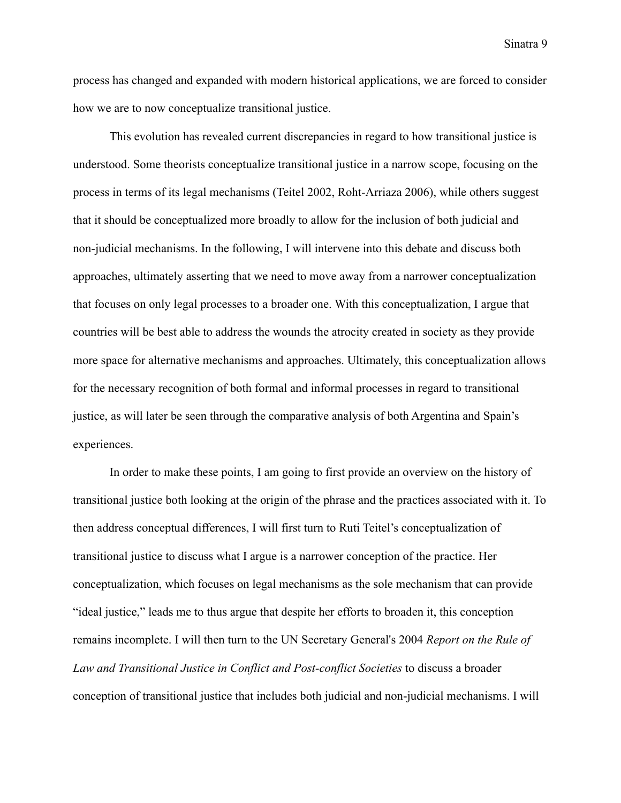process has changed and expanded with modern historical applications, we are forced to consider how we are to now conceptualize transitional justice.

This evolution has revealed current discrepancies in regard to how transitional justice is understood. Some theorists conceptualize transitional justice in a narrow scope, focusing on the process in terms of its legal mechanisms (Teitel 2002, Roht-Arriaza 2006), while others suggest that it should be conceptualized more broadly to allow for the inclusion of both judicial and non-judicial mechanisms. In the following, I will intervene into this debate and discuss both approaches, ultimately asserting that we need to move away from a narrower conceptualization that focuses on only legal processes to a broader one. With this conceptualization, I argue that countries will be best able to address the wounds the atrocity created in society as they provide more space for alternative mechanisms and approaches. Ultimately, this conceptualization allows for the necessary recognition of both formal and informal processes in regard to transitional justice, as will later be seen through the comparative analysis of both Argentina and Spain's experiences.

In order to make these points, I am going to first provide an overview on the history of transitional justice both looking at the origin of the phrase and the practices associated with it. To then address conceptual differences, I will first turn to Ruti Teitel's conceptualization of transitional justice to discuss what I argue is a narrower conception of the practice. Her conceptualization, which focuses on legal mechanisms as the sole mechanism that can provide "ideal justice," leads me to thus argue that despite her efforts to broaden it, this conception remains incomplete. I will then turn to the UN Secretary General's 2004 *Report on the Rule of Law and Transitional Justice in Conflict and Post-conflict Societies* to discuss a broader conception of transitional justice that includes both judicial and non-judicial mechanisms. I will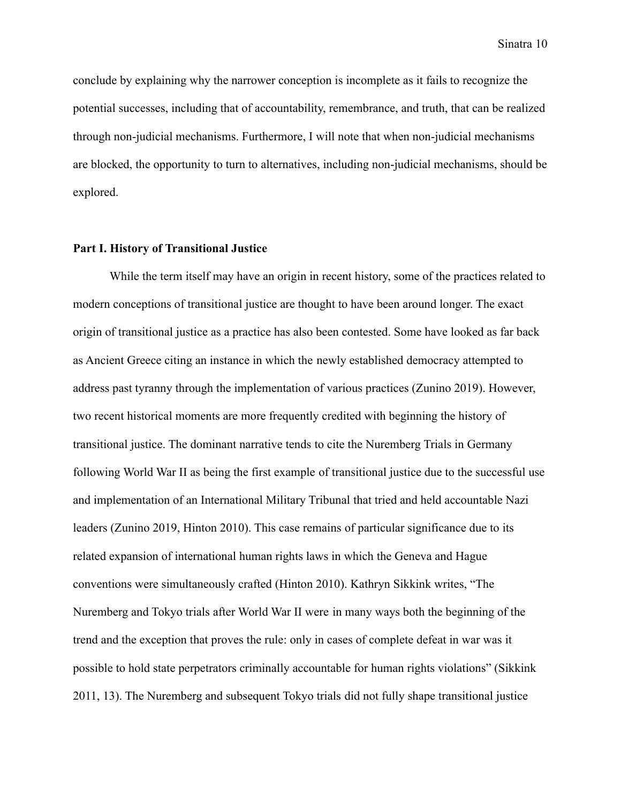conclude by explaining why the narrower conception is incomplete as it fails to recognize the potential successes, including that of accountability, remembrance, and truth, that can be realized through non-judicial mechanisms. Furthermore, I will note that when non-judicial mechanisms are blocked, the opportunity to turn to alternatives, including non-judicial mechanisms, should be explored.

#### **Part I. History of Transitional Justice**

While the term itself may have an origin in recent history, some of the practices related to modern conceptions of transitional justice are thought to have been around longer. The exact origin of transitional justice as a practice has also been contested. Some have looked as far back as Ancient Greece citing an instance in which the newly established democracy attempted to address past tyranny through the implementation of various practices (Zunino 2019). However, two recent historical moments are more frequently credited with beginning the history of transitional justice. The dominant narrative tends to cite the Nuremberg Trials in Germany following World War II as being the first example of transitional justice due to the successful use and implementation of an International Military Tribunal that tried and held accountable Nazi leaders (Zunino 2019, Hinton 2010). This case remains of particular significance due to its related expansion of international human rights laws in which the Geneva and Hague conventions were simultaneously crafted (Hinton 2010). Kathryn Sikkink writes, "The Nuremberg and Tokyo trials after World War II were in many ways both the beginning of the trend and the exception that proves the rule: only in cases of complete defeat in war was it possible to hold state perpetrators criminally accountable for human rights violations" (Sikkink 2011, 13). The Nuremberg and subsequent Tokyo trials did not fully shape transitional justice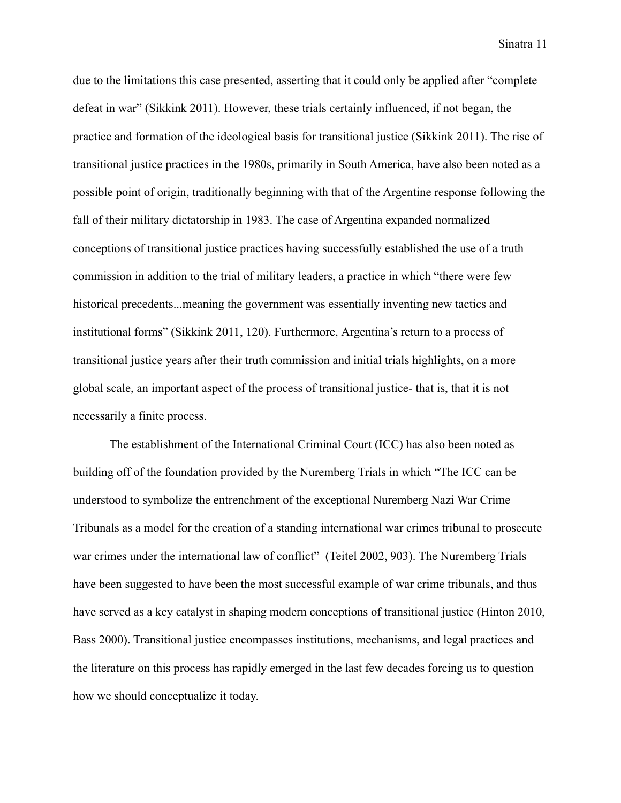due to the limitations this case presented, asserting that it could only be applied after "complete defeat in war" (Sikkink 2011). However, these trials certainly influenced, if not began, the practice and formation of the ideological basis for transitional justice (Sikkink 2011). The rise of transitional justice practices in the 1980s, primarily in South America, have also been noted as a possible point of origin, traditionally beginning with that of the Argentine response following the fall of their military dictatorship in 1983. The case of Argentina expanded normalized conceptions of transitional justice practices having successfully established the use of a truth commission in addition to the trial of military leaders, a practice in which "there were few historical precedents...meaning the government was essentially inventing new tactics and institutional forms" (Sikkink 2011, 120). Furthermore, Argentina's return to a process of transitional justice years after their truth commission and initial trials highlights, on a more global scale, an important aspect of the process of transitional justice- that is, that it is not necessarily a finite process.

The establishment of the International Criminal Court (ICC) has also been noted as building off of the foundation provided by the Nuremberg Trials in which "The ICC can be understood to symbolize the entrenchment of the exceptional Nuremberg Nazi War Crime Tribunals as a model for the creation of a standing international war crimes tribunal to prosecute war crimes under the international law of conflict" (Teitel 2002, 903). The Nuremberg Trials have been suggested to have been the most successful example of war crime tribunals, and thus have served as a key catalyst in shaping modern conceptions of transitional justice (Hinton 2010, Bass 2000). Transitional justice encompasses institutions, mechanisms, and legal practices and the literature on this process has rapidly emerged in the last few decades forcing us to question how we should conceptualize it today.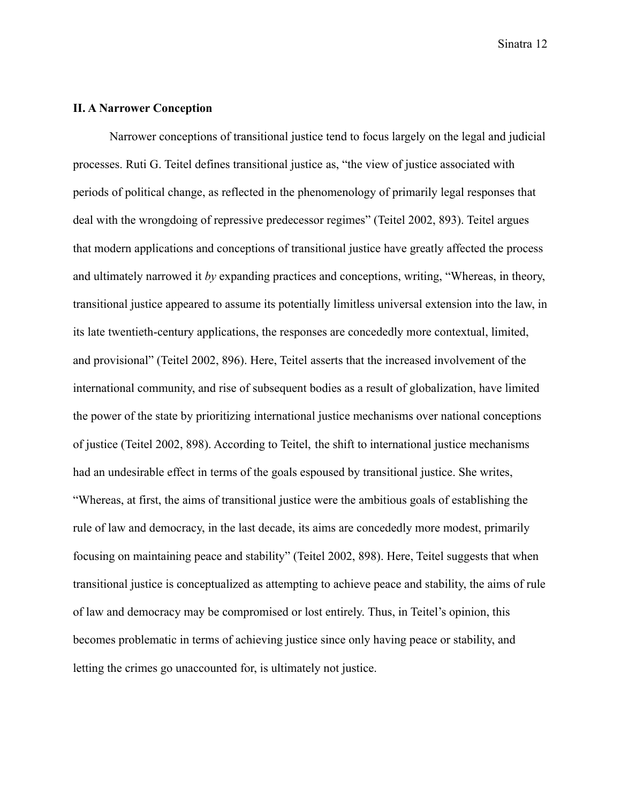#### **II. A Narrower Conception**

Narrower conceptions of transitional justice tend to focus largely on the legal and judicial processes. Ruti G. Teitel defines transitional justice as, "the view of justice associated with periods of political change, as reflected in the phenomenology of primarily legal responses that deal with the wrongdoing of repressive predecessor regimes" (Teitel 2002, 893). Teitel argues that modern applications and conceptions of transitional justice have greatly affected the process and ultimately narrowed it *by* expanding practices and conceptions, writing, "Whereas, in theory, transitional justice appeared to assume its potentially limitless universal extension into the law, in its late twentieth-century applications, the responses are concededly more contextual, limited, and provisional" (Teitel 2002, 896). Here, Teitel asserts that the increased involvement of the international community, and rise of subsequent bodies as a result of globalization, have limited the power of the state by prioritizing international justice mechanisms over national conceptions of justice (Teitel 2002, 898). According to Teitel, the shift to international justice mechanisms had an undesirable effect in terms of the goals espoused by transitional justice. She writes, "Whereas, at first, the aims of transitional justice were the ambitious goals of establishing the rule of law and democracy, in the last decade, its aims are concededly more modest, primarily focusing on maintaining peace and stability" (Teitel 2002, 898). Here, Teitel suggests that when transitional justice is conceptualized as attempting to achieve peace and stability, the aims of rule of law and democracy may be compromised or lost entirely. Thus, in Teitel's opinion, this becomes problematic in terms of achieving justice since only having peace or stability, and letting the crimes go unaccounted for, is ultimately not justice.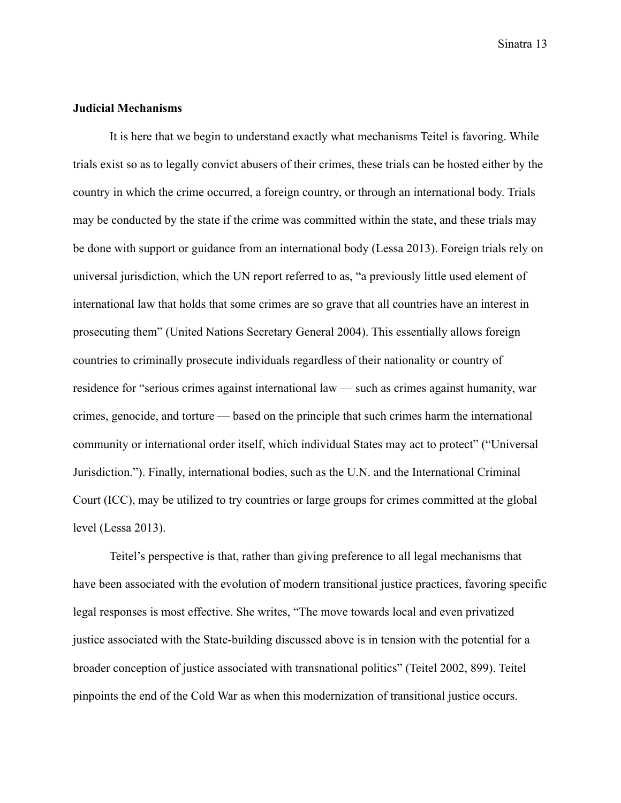### **Judicial Mechanisms**

It is here that we begin to understand exactly what mechanisms Teitel is favoring. While trials exist so as to legally convict abusers of their crimes, these trials can be hosted either by the country in which the crime occurred, a foreign country, or through an international body. Trials may be conducted by the state if the crime was committed within the state, and these trials may be done with support or guidance from an international body (Lessa 2013). Foreign trials rely on universal jurisdiction, which the UN report referred to as, "a previously little used element of international law that holds that some crimes are so grave that all countries have an interest in prosecuting them" (United Nations Secretary General 2004). This essentially allows foreign countries to criminally prosecute individuals regardless of their nationality or country of residence for "serious crimes against international law — such as crimes against humanity, war crimes, genocide, and torture — based on the principle that such crimes harm the international community or international order itself, which individual States may act to protect" ("Universal Jurisdiction."). Finally, international bodies, such as the U.N. and the International Criminal Court (ICC), may be utilized to try countries or large groups for crimes committed at the global level (Lessa 2013).

Teitel's perspective is that, rather than giving preference to all legal mechanisms that have been associated with the evolution of modern transitional justice practices, favoring specific legal responses is most effective. She writes, "The move towards local and even privatized justice associated with the State-building discussed above is in tension with the potential for a broader conception of justice associated with transnational politics" (Teitel 2002, 899). Teitel pinpoints the end of the Cold War as when this modernization of transitional justice occurs.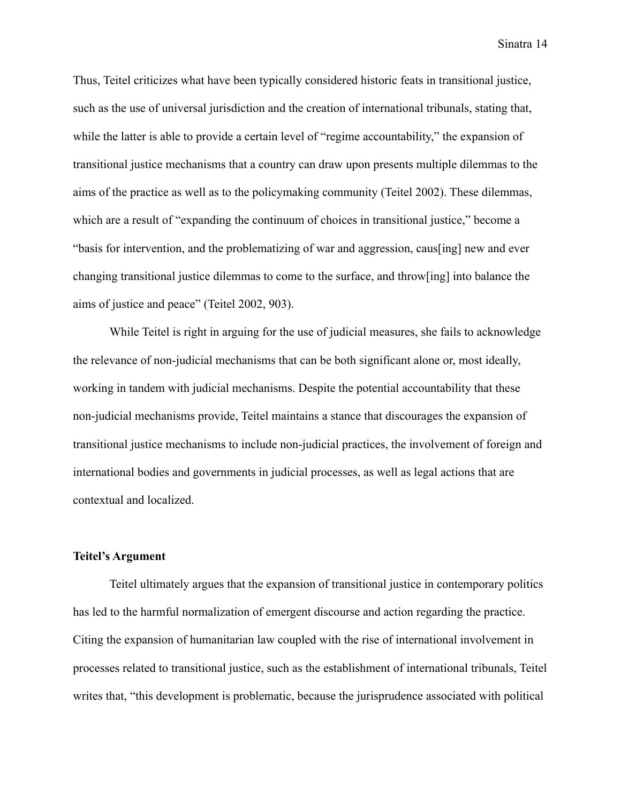Thus, Teitel criticizes what have been typically considered historic feats in transitional justice, such as the use of universal jurisdiction and the creation of international tribunals, stating that, while the latter is able to provide a certain level of "regime accountability," the expansion of transitional justice mechanisms that a country can draw upon presents multiple dilemmas to the aims of the practice as well as to the policymaking community (Teitel 2002). These dilemmas, which are a result of "expanding the continuum of choices in transitional justice," become a "basis for intervention, and the problematizing of war and aggression, caus[ing] new and ever changing transitional justice dilemmas to come to the surface, and throw[ing] into balance the aims of justice and peace" (Teitel 2002, 903).

While Teitel is right in arguing for the use of judicial measures, she fails to acknowledge the relevance of non-judicial mechanisms that can be both significant alone or, most ideally, working in tandem with judicial mechanisms. Despite the potential accountability that these non-judicial mechanisms provide, Teitel maintains a stance that discourages the expansion of transitional justice mechanisms to include non-judicial practices, the involvement of foreign and international bodies and governments in judicial processes, as well as legal actions that are contextual and localized.

#### **Teitel's Argument**

Teitel ultimately argues that the expansion of transitional justice in contemporary politics has led to the harmful normalization of emergent discourse and action regarding the practice. Citing the expansion of humanitarian law coupled with the rise of international involvement in processes related to transitional justice, such as the establishment of international tribunals, Teitel writes that, "this development is problematic, because the jurisprudence associated with political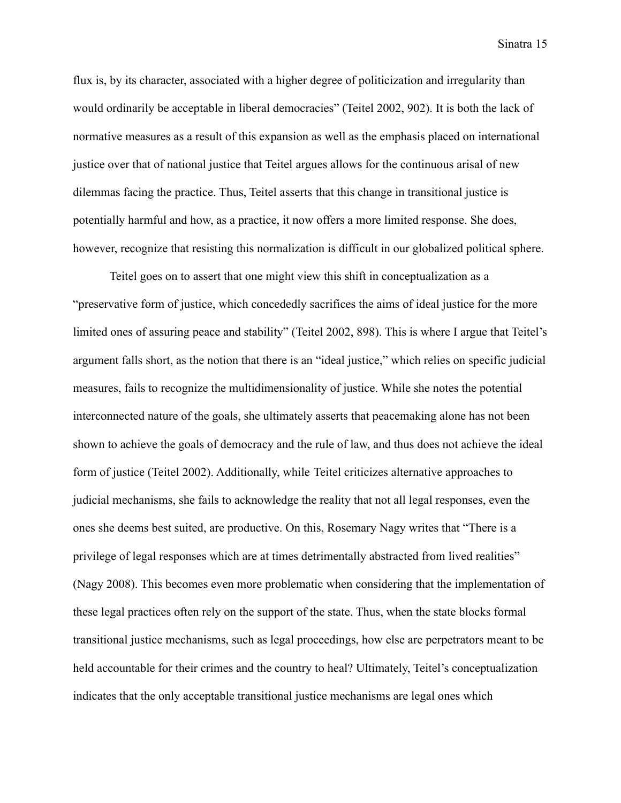flux is, by its character, associated with a higher degree of politicization and irregularity than would ordinarily be acceptable in liberal democracies" (Teitel 2002, 902). It is both the lack of normative measures as a result of this expansion as well as the emphasis placed on international justice over that of national justice that Teitel argues allows for the continuous arisal of new dilemmas facing the practice. Thus, Teitel asserts that this change in transitional justice is potentially harmful and how, as a practice, it now offers a more limited response. She does, however, recognize that resisting this normalization is difficult in our globalized political sphere.

Teitel goes on to assert that one might view this shift in conceptualization as a "preservative form of justice, which concededly sacrifices the aims of ideal justice for the more limited ones of assuring peace and stability" (Teitel 2002, 898). This is where I argue that Teitel's argument falls short, as the notion that there is an "ideal justice," which relies on specific judicial measures, fails to recognize the multidimensionality of justice. While she notes the potential interconnected nature of the goals, she ultimately asserts that peacemaking alone has not been shown to achieve the goals of democracy and the rule of law, and thus does not achieve the ideal form of justice (Teitel 2002). Additionally, while Teitel criticizes alternative approaches to judicial mechanisms, she fails to acknowledge the reality that not all legal responses, even the ones she deems best suited, are productive. On this, Rosemary Nagy writes that "There is a privilege of legal responses which are at times detrimentally abstracted from lived realities" (Nagy 2008). This becomes even more problematic when considering that the implementation of these legal practices often rely on the support of the state. Thus, when the state blocks formal transitional justice mechanisms, such as legal proceedings, how else are perpetrators meant to be held accountable for their crimes and the country to heal? Ultimately, Teitel's conceptualization indicates that the only acceptable transitional justice mechanisms are legal ones which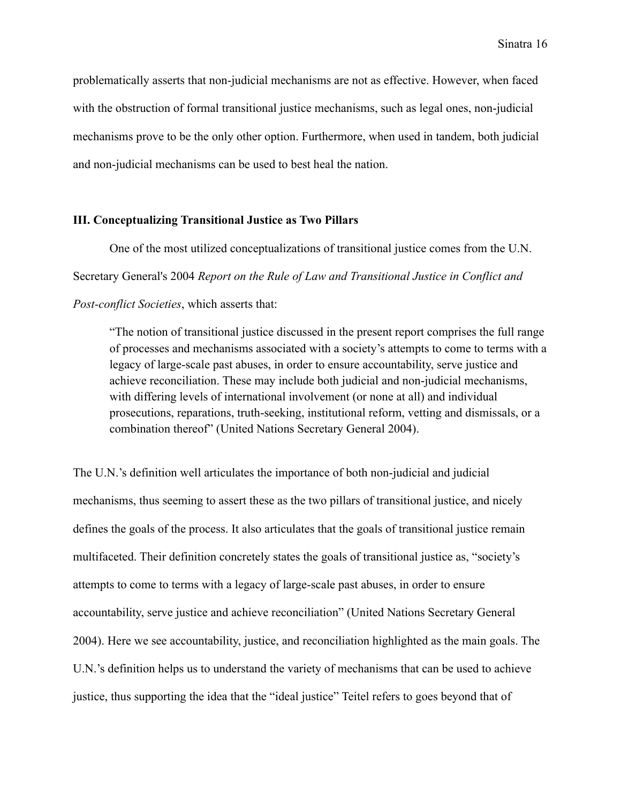problematically asserts that non-judicial mechanisms are not as effective. However, when faced with the obstruction of formal transitional justice mechanisms, such as legal ones, non-judicial mechanisms prove to be the only other option. Furthermore, when used in tandem, both judicial and non-judicial mechanisms can be used to best heal the nation.

#### **III. Conceptualizing Transitional Justice as Two Pillars**

One of the most utilized conceptualizations of transitional justice comes from the U.N. Secretary General's 2004 *Report on the Rule of Law and Transitional Justice in Conflict and Post-conflict Societies*, which asserts that:

"The notion of transitional justice discussed in the present report comprises the full range of processes and mechanisms associated with a society's attempts to come to terms with a legacy of large-scale past abuses, in order to ensure accountability, serve justice and achieve reconciliation. These may include both judicial and non-judicial mechanisms, with differing levels of international involvement (or none at all) and individual prosecutions, reparations, truth-seeking, institutional reform, vetting and dismissals, or a combination thereof" (United Nations Secretary General 2004).

The U.N.'s definition well articulates the importance of both non-judicial and judicial mechanisms, thus seeming to assert these as the two pillars of transitional justice, and nicely defines the goals of the process. It also articulates that the goals of transitional justice remain multifaceted. Their definition concretely states the goals of transitional justice as, "society's attempts to come to terms with a legacy of large-scale past abuses, in order to ensure accountability, serve justice and achieve reconciliation" (United Nations Secretary General 2004). Here we see accountability, justice, and reconciliation highlighted as the main goals. The U.N.'s definition helps us to understand the variety of mechanisms that can be used to achieve justice, thus supporting the idea that the "ideal justice" Teitel refers to goes beyond that of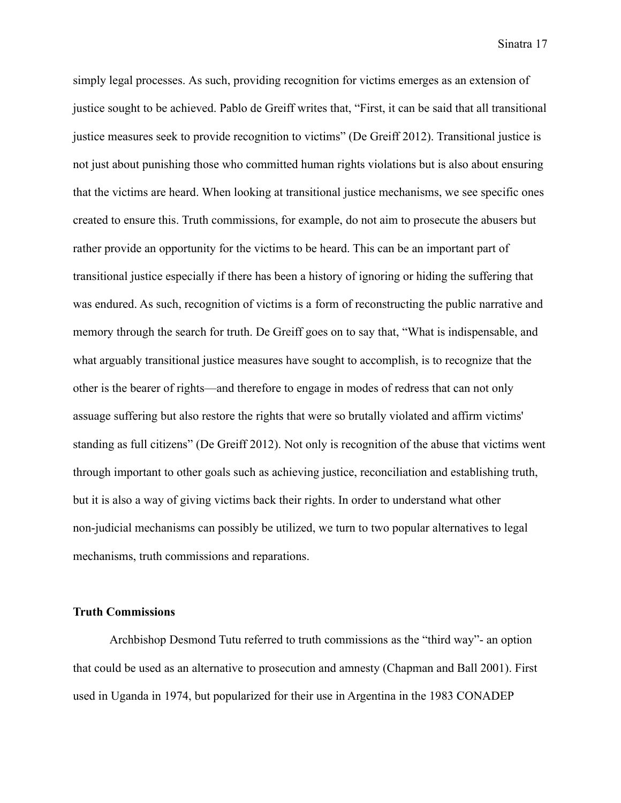simply legal processes. As such, providing recognition for victims emerges as an extension of justice sought to be achieved. Pablo de Greiff writes that, "First, it can be said that all transitional justice measures seek to provide recognition to victims" (De Greiff 2012). Transitional justice is not just about punishing those who committed human rights violations but is also about ensuring that the victims are heard. When looking at transitional justice mechanisms, we see specific ones created to ensure this. Truth commissions, for example, do not aim to prosecute the abusers but rather provide an opportunity for the victims to be heard. This can be an important part of transitional justice especially if there has been a history of ignoring or hiding the suffering that was endured. As such, recognition of victims is a form of reconstructing the public narrative and memory through the search for truth. De Greiff goes on to say that, "What is indispensable, and what arguably transitional justice measures have sought to accomplish, is to recognize that the other is the bearer of rights—and therefore to engage in modes of redress that can not only assuage suffering but also restore the rights that were so brutally violated and affirm victims' standing as full citizens" (De Greiff 2012). Not only is recognition of the abuse that victims went through important to other goals such as achieving justice, reconciliation and establishing truth, but it is also a way of giving victims back their rights. In order to understand what other non-judicial mechanisms can possibly be utilized, we turn to two popular alternatives to legal mechanisms, truth commissions and reparations.

#### **Truth Commissions**

Archbishop Desmond Tutu referred to truth commissions as the "third way"- an option that could be used as an alternative to prosecution and amnesty (Chapman and Ball 2001). First used in Uganda in 1974, but popularized for their use in Argentina in the 1983 CONADEP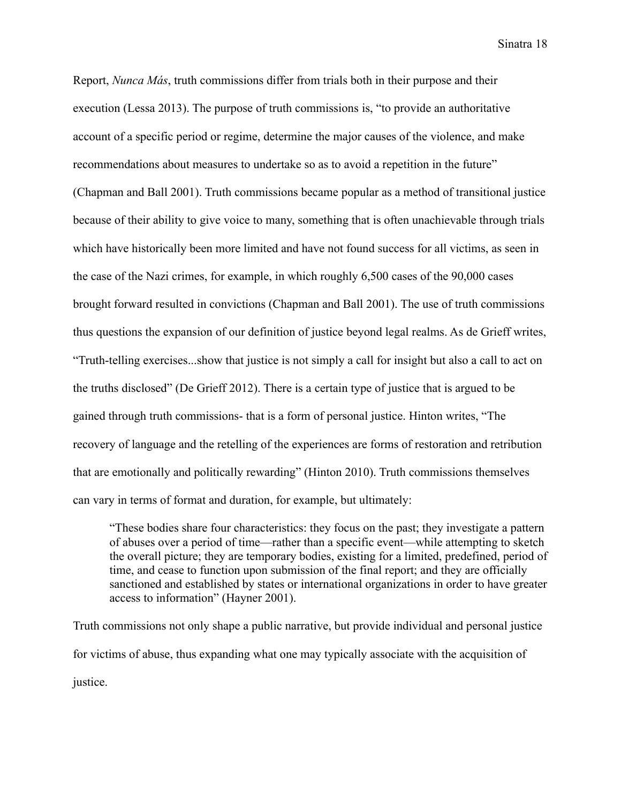Report, *Nunca Más*, truth commissions differ from trials both in their purpose and their execution (Lessa 2013). The purpose of truth commissions is, "to provide an authoritative account of a specific period or regime, determine the major causes of the violence, and make recommendations about measures to undertake so as to avoid a repetition in the future" (Chapman and Ball 2001). Truth commissions became popular as a method of transitional justice because of their ability to give voice to many, something that is often unachievable through trials which have historically been more limited and have not found success for all victims, as seen in the case of the Nazi crimes, for example, in which roughly 6,500 cases of the 90,000 cases brought forward resulted in convictions (Chapman and Ball 2001). The use of truth commissions thus questions the expansion of our definition of justice beyond legal realms. As de Grieff writes, "Truth-telling exercises...show that justice is not simply a call for insight but also a call to act on the truths disclosed" (De Grieff 2012). There is a certain type of justice that is argued to be gained through truth commissions- that is a form of personal justice. Hinton writes, "The recovery of language and the retelling of the experiences are forms of restoration and retribution that are emotionally and politically rewarding" (Hinton 2010). Truth commissions themselves can vary in terms of format and duration, for example, but ultimately:

"These bodies share four characteristics: they focus on the past; they investigate a pattern of abuses over a period of time—rather than a specific event—while attempting to sketch the overall picture; they are temporary bodies, existing for a limited, predefined, period of time, and cease to function upon submission of the final report; and they are officially sanctioned and established by states or international organizations in order to have greater access to information" (Hayner 2001).

Truth commissions not only shape a public narrative, but provide individual and personal justice for victims of abuse, thus expanding what one may typically associate with the acquisition of justice.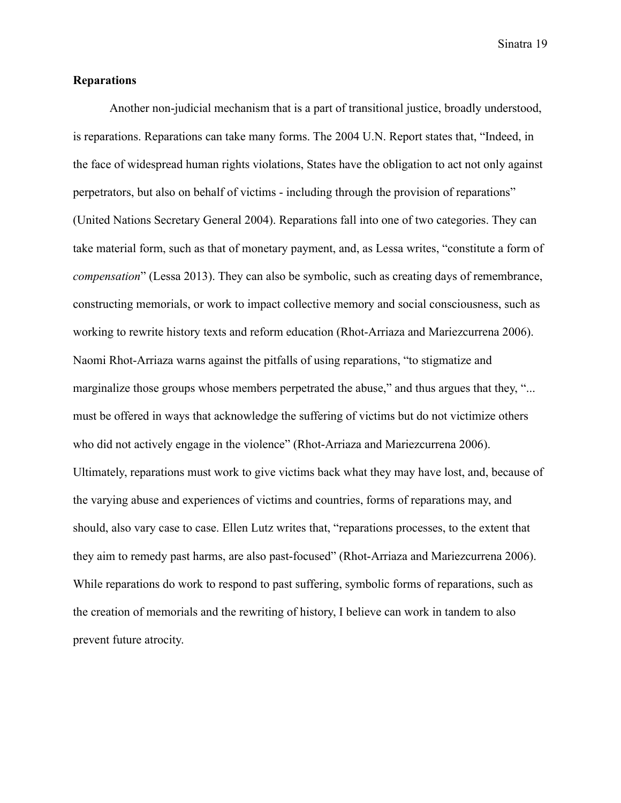#### **Reparations**

Another non-judicial mechanism that is a part of transitional justice, broadly understood, is reparations. Reparations can take many forms. The 2004 U.N. Report states that, "Indeed, in the face of widespread human rights violations, States have the obligation to act not only against perpetrators, but also on behalf of victims - including through the provision of reparations" (United Nations Secretary General 2004). Reparations fall into one of two categories. They can take material form, such as that of monetary payment, and, as Lessa writes, "constitute a form of *compensation*" (Lessa 2013). They can also be symbolic, such as creating days of remembrance, constructing memorials, or work to impact collective memory and social consciousness, such as working to rewrite history texts and reform education (Rhot-Arriaza and Mariezcurrena 2006). Naomi Rhot-Arriaza warns against the pitfalls of using reparations, "to stigmatize and marginalize those groups whose members perpetrated the abuse," and thus argues that they, "... must be offered in ways that acknowledge the suffering of victims but do not victimize others who did not actively engage in the violence" (Rhot-Arriaza and Mariezcurrena 2006). Ultimately, reparations must work to give victims back what they may have lost, and, because of the varying abuse and experiences of victims and countries, forms of reparations may, and should, also vary case to case. Ellen Lutz writes that, "reparations processes, to the extent that they aim to remedy past harms, are also past-focused" (Rhot-Arriaza and Mariezcurrena 2006). While reparations do work to respond to past suffering, symbolic forms of reparations, such as the creation of memorials and the rewriting of history, I believe can work in tandem to also prevent future atrocity.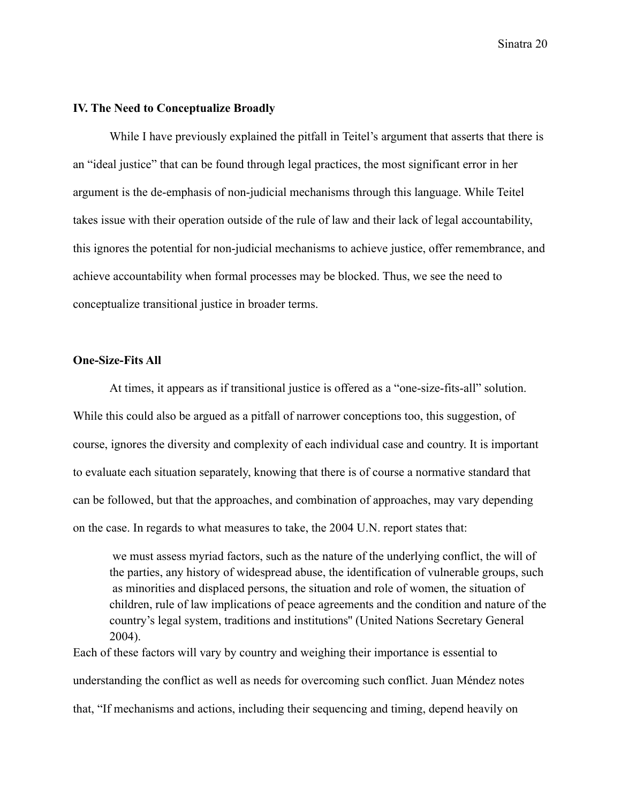#### **IV. The Need to Conceptualize Broadly**

While I have previously explained the pitfall in Teitel's argument that asserts that there is an "ideal justice" that can be found through legal practices, the most significant error in her argument is the de-emphasis of non-judicial mechanisms through this language. While Teitel takes issue with their operation outside of the rule of law and their lack of legal accountability, this ignores the potential for non-judicial mechanisms to achieve justice, offer remembrance, and achieve accountability when formal processes may be blocked. Thus, we see the need to conceptualize transitional justice in broader terms.

#### **One-Size-Fits All**

At times, it appears as if transitional justice is offered as a "one-size-fits-all" solution. While this could also be argued as a pitfall of narrower conceptions too, this suggestion, of course, ignores the diversity and complexity of each individual case and country. It is important to evaluate each situation separately, knowing that there is of course a normative standard that can be followed, but that the approaches, and combination of approaches, may vary depending on the case. In regards to what measures to take, the 2004 U.N. report states that:

we must assess myriad factors, such as the nature of the underlying conflict, the will of the parties, any history of widespread abuse, the identification of vulnerable groups, such as minorities and displaced persons, the situation and role of women, the situation of children, rule of law implications of peace agreements and the condition and nature of the country's legal system, traditions and institutions'' (United Nations Secretary General 2004).

Each of these factors will vary by country and weighing their importance is essential to understanding the conflict as well as needs for overcoming such conflict. Juan Méndez notes that, "If mechanisms and actions, including their sequencing and timing, depend heavily on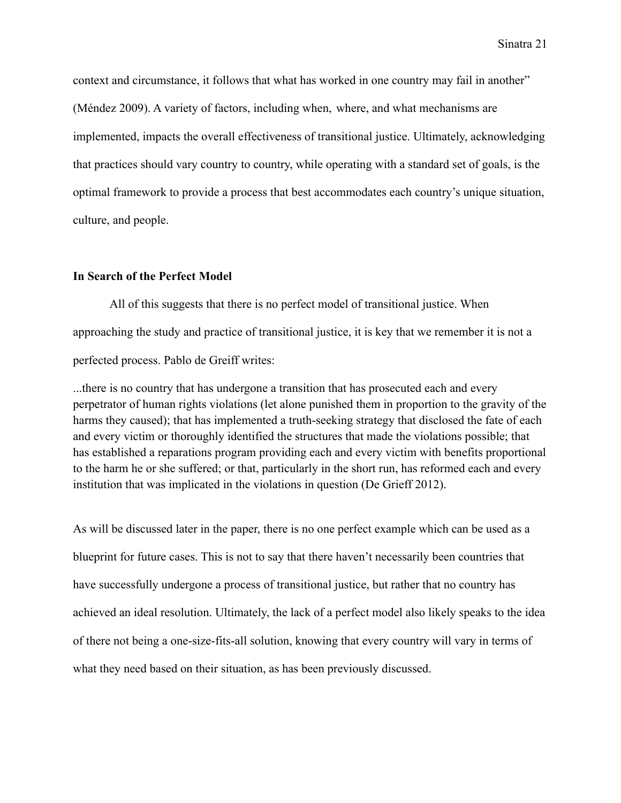context and circumstance, it follows that what has worked in one country may fail in another" (Méndez 2009). A variety of factors, including when, where, and what mechanisms are implemented, impacts the overall effectiveness of transitional justice. Ultimately, acknowledging that practices should vary country to country, while operating with a standard set of goals, is the optimal framework to provide a process that best accommodates each country's unique situation, culture, and people.

#### **In Search of the Perfect Model**

All of this suggests that there is no perfect model of transitional justice. When approaching the study and practice of transitional justice, it is key that we remember it is not a perfected process. Pablo de Greiff writes:

...there is no country that has undergone a transition that has prosecuted each and every perpetrator of human rights violations (let alone punished them in proportion to the gravity of the harms they caused); that has implemented a truth-seeking strategy that disclosed the fate of each and every victim or thoroughly identified the structures that made the violations possible; that has established a reparations program providing each and every victim with benefits proportional to the harm he or she suffered; or that, particularly in the short run, has reformed each and every institution that was implicated in the violations in question (De Grieff 2012).

As will be discussed later in the paper, there is no one perfect example which can be used as a blueprint for future cases. This is not to say that there haven't necessarily been countries that have successfully undergone a process of transitional justice, but rather that no country has achieved an ideal resolution. Ultimately, the lack of a perfect model also likely speaks to the idea of there not being a one-size-fits-all solution, knowing that every country will vary in terms of what they need based on their situation, as has been previously discussed.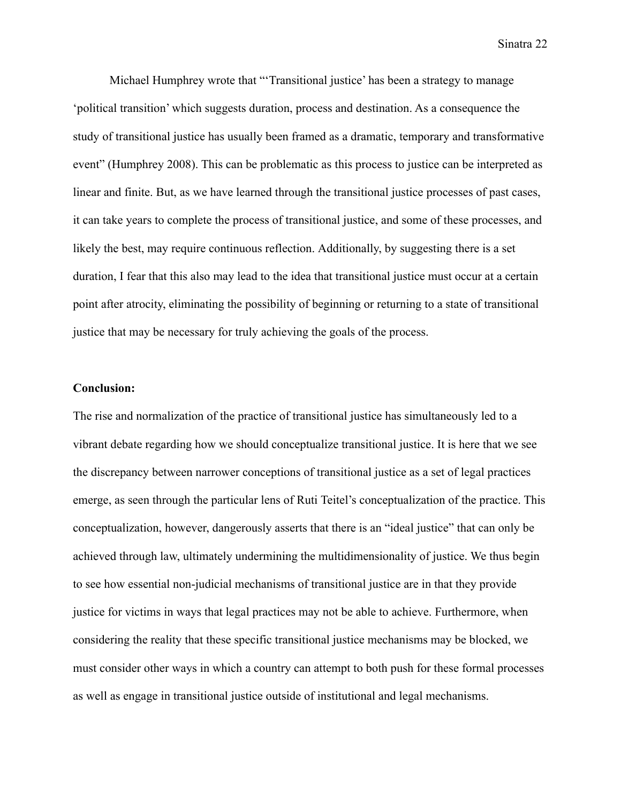Michael Humphrey wrote that "'Transitional justice' has been a strategy to manage 'political transition' which suggests duration, process and destination. As a consequence the study of transitional justice has usually been framed as a dramatic, temporary and transformative event" (Humphrey 2008). This can be problematic as this process to justice can be interpreted as linear and finite. But, as we have learned through the transitional justice processes of past cases, it can take years to complete the process of transitional justice, and some of these processes, and likely the best, may require continuous reflection. Additionally, by suggesting there is a set duration, I fear that this also may lead to the idea that transitional justice must occur at a certain point after atrocity, eliminating the possibility of beginning or returning to a state of transitional justice that may be necessary for truly achieving the goals of the process.

#### **Conclusion:**

The rise and normalization of the practice of transitional justice has simultaneously led to a vibrant debate regarding how we should conceptualize transitional justice. It is here that we see the discrepancy between narrower conceptions of transitional justice as a set of legal practices emerge, as seen through the particular lens of Ruti Teitel's conceptualization of the practice. This conceptualization, however, dangerously asserts that there is an "ideal justice" that can only be achieved through law, ultimately undermining the multidimensionality of justice. We thus begin to see how essential non-judicial mechanisms of transitional justice are in that they provide justice for victims in ways that legal practices may not be able to achieve. Furthermore, when considering the reality that these specific transitional justice mechanisms may be blocked, we must consider other ways in which a country can attempt to both push for these formal processes as well as engage in transitional justice outside of institutional and legal mechanisms.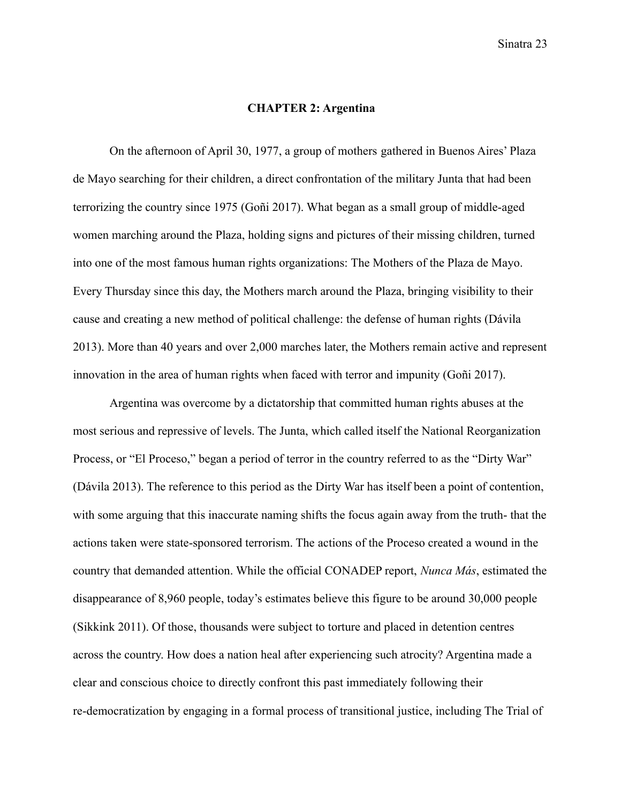#### **CHAPTER 2: Argentina**

On the afternoon of April 30, 1977, a group of mothers gathered in Buenos Aires' Plaza de Mayo searching for their children, a direct confrontation of the military Junta that had been terrorizing the country since 1975 (Goñi 2017). What began as a small group of middle-aged women marching around the Plaza, holding signs and pictures of their missing children, turned into one of the most famous human rights organizations: The Mothers of the Plaza de Mayo. Every Thursday since this day, the Mothers march around the Plaza, bringing visibility to their cause and creating a new method of political challenge: the defense of human rights (Dávila 2013). More than 40 years and over 2,000 marches later, the Mothers remain active and represent innovation in the area of human rights when faced with terror and impunity (Goñi 2017).

Argentina was overcome by a dictatorship that committed human rights abuses at the most serious and repressive of levels. The Junta, which called itself the National Reorganization Process, or "El Proceso," began a period of terror in the country referred to as the "Dirty War" (Dávila 2013). The reference to this period as the Dirty War has itself been a point of contention, with some arguing that this inaccurate naming shifts the focus again away from the truth- that the actions taken were state-sponsored terrorism. The actions of the Proceso created a wound in the country that demanded attention. While the official CONADEP report, *Nunca Más*, estimated the disappearance of 8,960 people, today's estimates believe this figure to be around 30,000 people (Sikkink 2011). Of those, thousands were subject to torture and placed in detention centres across the country. How does a nation heal after experiencing such atrocity? Argentina made a clear and conscious choice to directly confront this past immediately following their re-democratization by engaging in a formal process of transitional justice, including The Trial of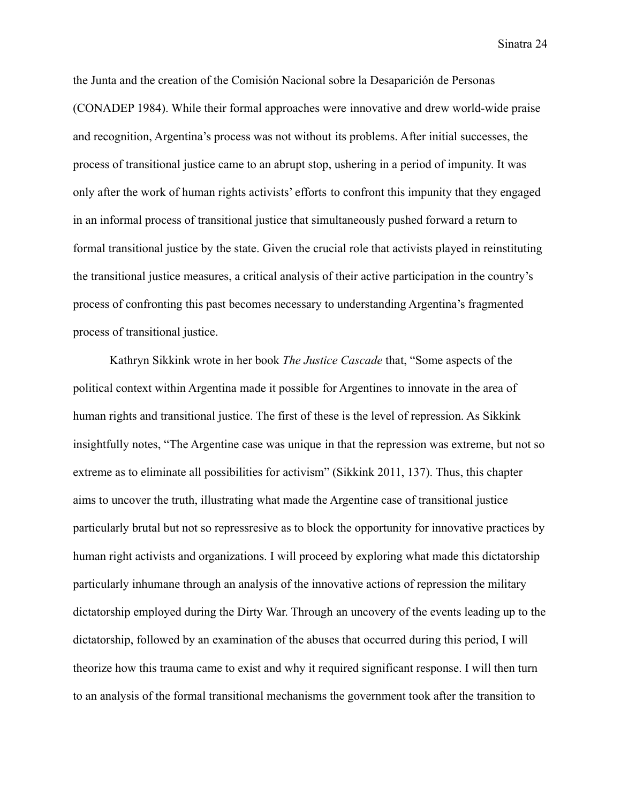the Junta and the creation of the Comisión Nacional sobre la Desaparición de Personas (CONADEP 1984). While their formal approaches were innovative and drew world-wide praise and recognition, Argentina's process was not without its problems. After initial successes, the process of transitional justice came to an abrupt stop, ushering in a period of impunity. It was only after the work of human rights activists' efforts to confront this impunity that they engaged in an informal process of transitional justice that simultaneously pushed forward a return to formal transitional justice by the state. Given the crucial role that activists played in reinstituting the transitional justice measures, a critical analysis of their active participation in the country's process of confronting this past becomes necessary to understanding Argentina's fragmented process of transitional justice.

Kathryn Sikkink wrote in her book *The Justice Cascade* that, "Some aspects of the political context within Argentina made it possible for Argentines to innovate in the area of human rights and transitional justice. The first of these is the level of repression. As Sikkink insightfully notes, "The Argentine case was unique in that the repression was extreme, but not so extreme as to eliminate all possibilities for activism" (Sikkink 2011, 137). Thus, this chapter aims to uncover the truth, illustrating what made the Argentine case of transitional justice particularly brutal but not so repressresive as to block the opportunity for innovative practices by human right activists and organizations. I will proceed by exploring what made this dictatorship particularly inhumane through an analysis of the innovative actions of repression the military dictatorship employed during the Dirty War. Through an uncovery of the events leading up to the dictatorship, followed by an examination of the abuses that occurred during this period, I will theorize how this trauma came to exist and why it required significant response. I will then turn to an analysis of the formal transitional mechanisms the government took after the transition to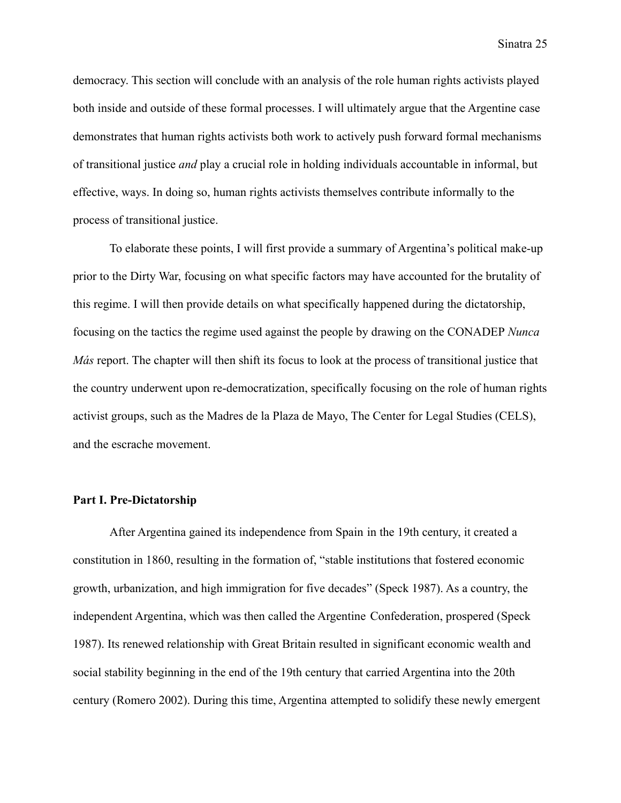democracy. This section will conclude with an analysis of the role human rights activists played both inside and outside of these formal processes. I will ultimately argue that the Argentine case demonstrates that human rights activists both work to actively push forward formal mechanisms of transitional justice *and* play a crucial role in holding individuals accountable in informal, but effective, ways. In doing so, human rights activists themselves contribute informally to the process of transitional justice.

To elaborate these points, I will first provide a summary of Argentina's political make-up prior to the Dirty War, focusing on what specific factors may have accounted for the brutality of this regime. I will then provide details on what specifically happened during the dictatorship, focusing on the tactics the regime used against the people by drawing on the CONADEP *Nunca Más* report. The chapter will then shift its focus to look at the process of transitional justice that the country underwent upon re-democratization, specifically focusing on the role of human rights activist groups, such as the Madres de la Plaza de Mayo, The Center for Legal Studies (CELS), and the escrache movement.

#### **Part I. Pre-Dictatorship**

After Argentina gained its independence from Spain in the 19th century, it created a constitution in 1860, resulting in the formation of, "stable institutions that fostered economic growth, urbanization, and high immigration for five decades" (Speck 1987). As a country, the independent Argentina, which was then called the Argentine Confederation, prospered (Speck 1987). Its renewed relationship with Great Britain resulted in significant economic wealth and social stability beginning in the end of the 19th century that carried Argentina into the 20th century (Romero 2002). During this time, Argentina attempted to solidify these newly emergent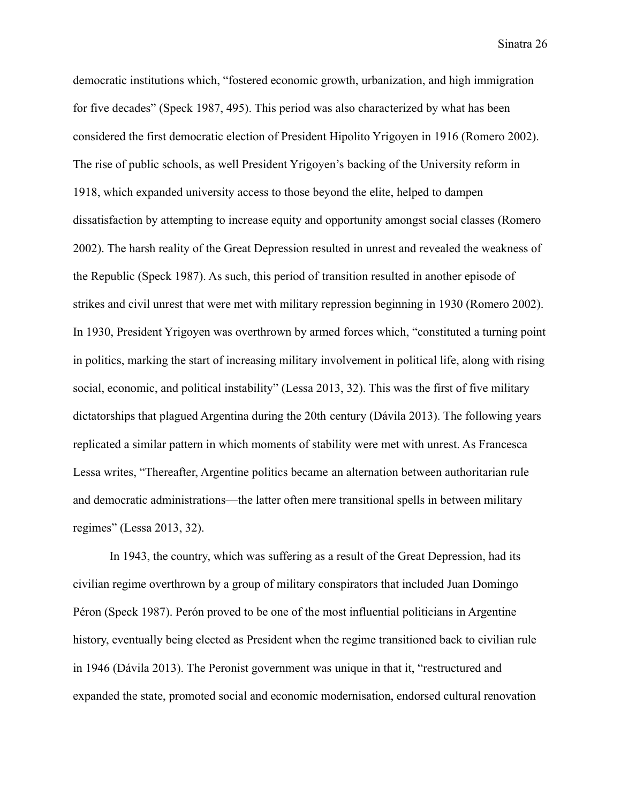democratic institutions which, "fostered economic growth, urbanization, and high immigration for five decades" (Speck 1987, 495). This period was also characterized by what has been considered the first democratic election of President Hipolito Yrigoyen in 1916 (Romero 2002). The rise of public schools, as well President Yrigoyen's backing of the University reform in 1918, which expanded university access to those beyond the elite, helped to dampen dissatisfaction by attempting to increase equity and opportunity amongst social classes (Romero 2002). The harsh reality of the Great Depression resulted in unrest and revealed the weakness of the Republic (Speck 1987). As such, this period of transition resulted in another episode of strikes and civil unrest that were met with military repression beginning in 1930 (Romero 2002). In 1930, President Yrigoyen was overthrown by armed forces which, "constituted a turning point in politics, marking the start of increasing military involvement in political life, along with rising social, economic, and political instability" (Lessa 2013, 32). This was the first of five military dictatorships that plagued Argentina during the 20th century (Dávila 2013). The following years replicated a similar pattern in which moments of stability were met with unrest. As Francesca Lessa writes, "Thereafter, Argentine politics became an alternation between authoritarian rule and democratic administrations—the latter often mere transitional spells in between military regimes" (Lessa 2013, 32).

In 1943, the country, which was suffering as a result of the Great Depression, had its civilian regime overthrown by a group of military conspirators that included Juan Domingo Péron (Speck 1987). Perón proved to be one of the most influential politicians in Argentine history, eventually being elected as President when the regime transitioned back to civilian rule in 1946 (Dávila 2013). The Peronist government was unique in that it, "restructured and expanded the state, promoted social and economic modernisation, endorsed cultural renovation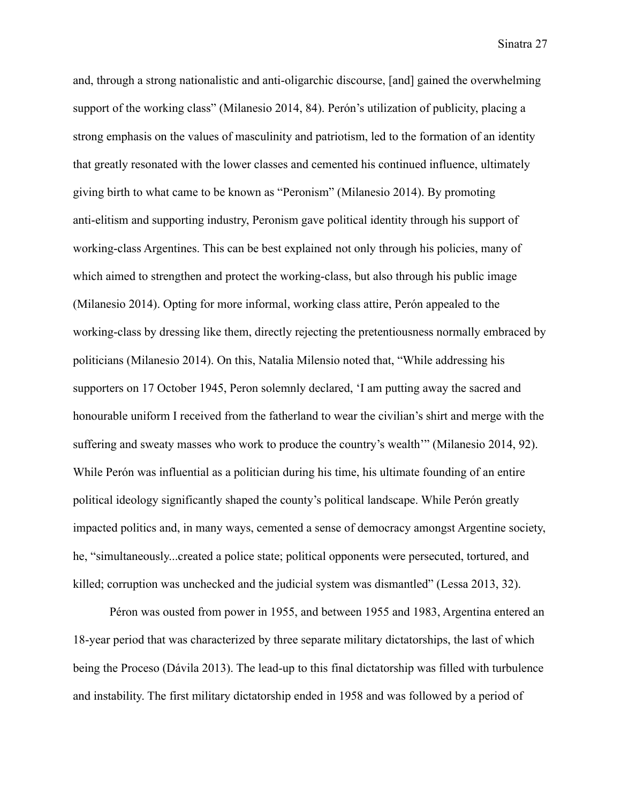and, through a strong nationalistic and anti-oligarchic discourse, [and] gained the overwhelming support of the working class" (Milanesio 2014, 84). Perón's utilization of publicity, placing a strong emphasis on the values of masculinity and patriotism, led to the formation of an identity that greatly resonated with the lower classes and cemented his continued influence, ultimately giving birth to what came to be known as "Peronism" (Milanesio 2014). By promoting anti-elitism and supporting industry, Peronism gave political identity through his support of working-class Argentines. This can be best explained not only through his policies, many of which aimed to strengthen and protect the working-class, but also through his public image (Milanesio 2014). Opting for more informal, working class attire, Perón appealed to the working-class by dressing like them, directly rejecting the pretentiousness normally embraced by politicians (Milanesio 2014). On this, Natalia Milensio noted that, "While addressing his supporters on 17 October 1945, Peron solemnly declared, 'I am putting away the sacred and honourable uniform I received from the fatherland to wear the civilian's shirt and merge with the suffering and sweaty masses who work to produce the country's wealth'" (Milanesio 2014, 92). While Perón was influential as a politician during his time, his ultimate founding of an entire political ideology significantly shaped the county's political landscape. While Perón greatly impacted politics and, in many ways, cemented a sense of democracy amongst Argentine society, he, "simultaneously...created a police state; political opponents were persecuted, tortured, and killed; corruption was unchecked and the judicial system was dismantled" (Lessa 2013, 32).

Péron was ousted from power in 1955, and between 1955 and 1983, Argentina entered an 18-year period that was characterized by three separate military dictatorships, the last of which being the Proceso (Dávila 2013). The lead-up to this final dictatorship was filled with turbulence and instability. The first military dictatorship ended in 1958 and was followed by a period of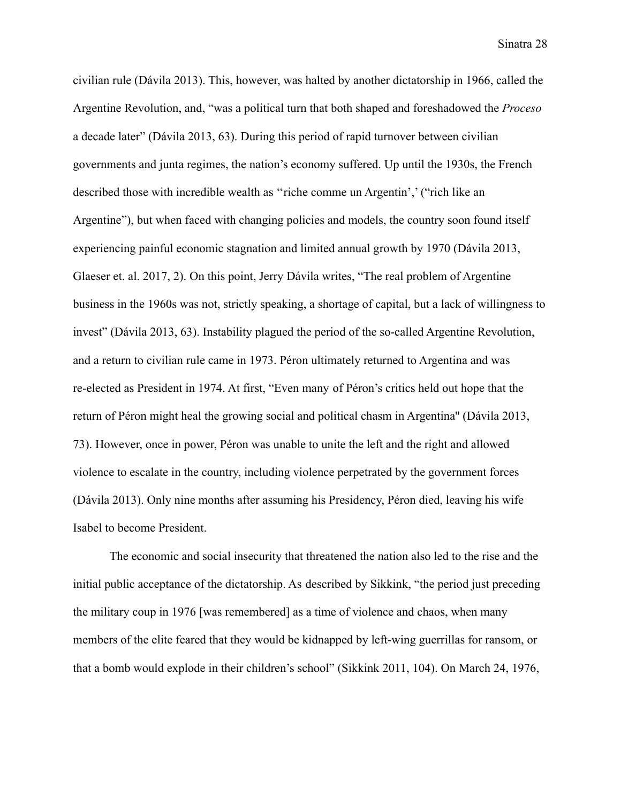civilian rule (Dávila 2013). This, however, was halted by another dictatorship in 1966, called the Argentine Revolution, and, "was a political turn that both shaped and foreshadowed the *Proceso* a decade later" (Dávila 2013, 63). During this period of rapid turnover between civilian governments and junta regimes, the nation's economy suffered. Up until the 1930s, the French described those with incredible wealth as ''riche comme un Argentin',' ("rich like an Argentine"), but when faced with changing policies and models, the country soon found itself experiencing painful economic stagnation and limited annual growth by 1970 (Dávila 2013, Glaeser et. al. 2017, 2). On this point, Jerry Dávila writes, "The real problem of Argentine business in the 1960s was not, strictly speaking, a shortage of capital, but a lack of willingness to invest" (Dávila 2013, 63). Instability plagued the period of the so-called Argentine Revolution, and a return to civilian rule came in 1973. Péron ultimately returned to Argentina and was re-elected as President in 1974. At first, "Even many of Péron's critics held out hope that the return of Péron might heal the growing social and political chasm in Argentina'' (Dávila 2013, 73). However, once in power, Péron was unable to unite the left and the right and allowed violence to escalate in the country, including violence perpetrated by the government forces (Dávila 2013). Only nine months after assuming his Presidency, Péron died, leaving his wife Isabel to become President.

The economic and social insecurity that threatened the nation also led to the rise and the initial public acceptance of the dictatorship. As described by Sikkink, "the period just preceding the military coup in 1976 [was remembered] as a time of violence and chaos, when many members of the elite feared that they would be kidnapped by left-wing guerrillas for ransom, or that a bomb would explode in their children's school" (Sikkink 2011, 104). On March 24, 1976,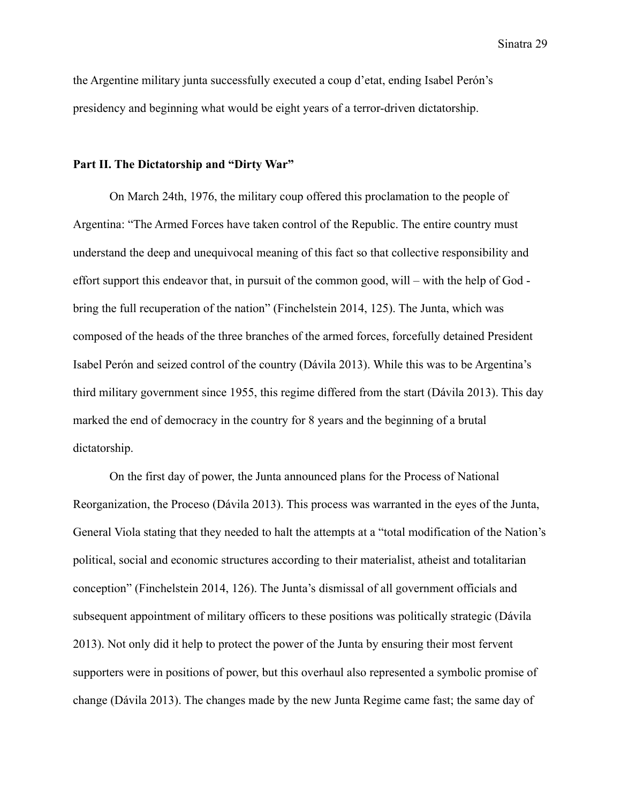the Argentine military junta successfully executed a coup d'etat, ending Isabel Perón's presidency and beginning what would be eight years of a terror-driven dictatorship.

#### **Part II. The Dictatorship and "Dirty War"**

On March 24th, 1976, the military coup offered this proclamation to the people of Argentina: "The Armed Forces have taken control of the Republic. The entire country must understand the deep and unequivocal meaning of this fact so that collective responsibility and effort support this endeavor that, in pursuit of the common good, will – with the help of God bring the full recuperation of the nation" (Finchelstein 2014, 125). The Junta, which was composed of the heads of the three branches of the armed forces, forcefully detained President Isabel Perón and seized control of the country (Dávila 2013). While this was to be Argentina's third military government since 1955, this regime differed from the start (Dávila 2013). This day marked the end of democracy in the country for 8 years and the beginning of a brutal dictatorship.

On the first day of power, the Junta announced plans for the Process of National Reorganization, the Proceso (Dávila 2013). This process was warranted in the eyes of the Junta, General Viola stating that they needed to halt the attempts at a "total modification of the Nation's political, social and economic structures according to their materialist, atheist and totalitarian conception" (Finchelstein 2014, 126). The Junta's dismissal of all government officials and subsequent appointment of military officers to these positions was politically strategic (Dávila 2013). Not only did it help to protect the power of the Junta by ensuring their most fervent supporters were in positions of power, but this overhaul also represented a symbolic promise of change (Dávila 2013). The changes made by the new Junta Regime came fast; the same day of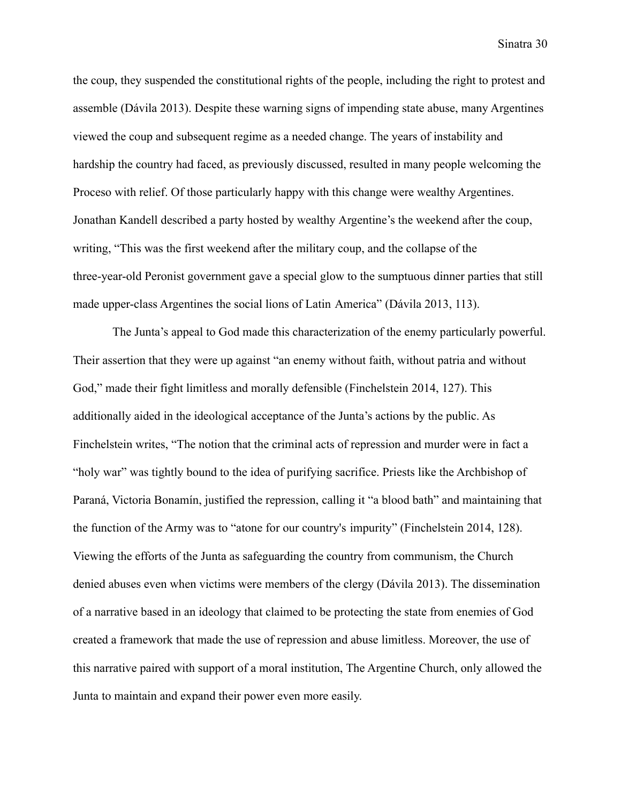the coup, they suspended the constitutional rights of the people, including the right to protest and assemble (Dávila 2013). Despite these warning signs of impending state abuse, many Argentines viewed the coup and subsequent regime as a needed change. The years of instability and hardship the country had faced, as previously discussed, resulted in many people welcoming the Proceso with relief. Of those particularly happy with this change were wealthy Argentines. Jonathan Kandell described a party hosted by wealthy Argentine's the weekend after the coup, writing, "This was the first weekend after the military coup, and the collapse of the three-year-old Peronist government gave a special glow to the sumptuous dinner parties that still made upper-class Argentines the social lions of Latin America" (Dávila 2013, 113).

The Junta's appeal to God made this characterization of the enemy particularly powerful. Their assertion that they were up against "an enemy without faith, without patria and without God," made their fight limitless and morally defensible (Finchelstein 2014, 127). This additionally aided in the ideological acceptance of the Junta's actions by the public. As Finchelstein writes, "The notion that the criminal acts of repression and murder were in fact a "holy war" was tightly bound to the idea of purifying sacrifice. Priests like the Archbishop of Paraná, Victoria Bonamín, justified the repression, calling it "a blood bath" and maintaining that the function of the Army was to "atone for our country's impurity" (Finchelstein 2014, 128). Viewing the efforts of the Junta as safeguarding the country from communism, the Church denied abuses even when victims were members of the clergy (Dávila 2013). The dissemination of a narrative based in an ideology that claimed to be protecting the state from enemies of God created a framework that made the use of repression and abuse limitless. Moreover, the use of this narrative paired with support of a moral institution, The Argentine Church, only allowed the Junta to maintain and expand their power even more easily.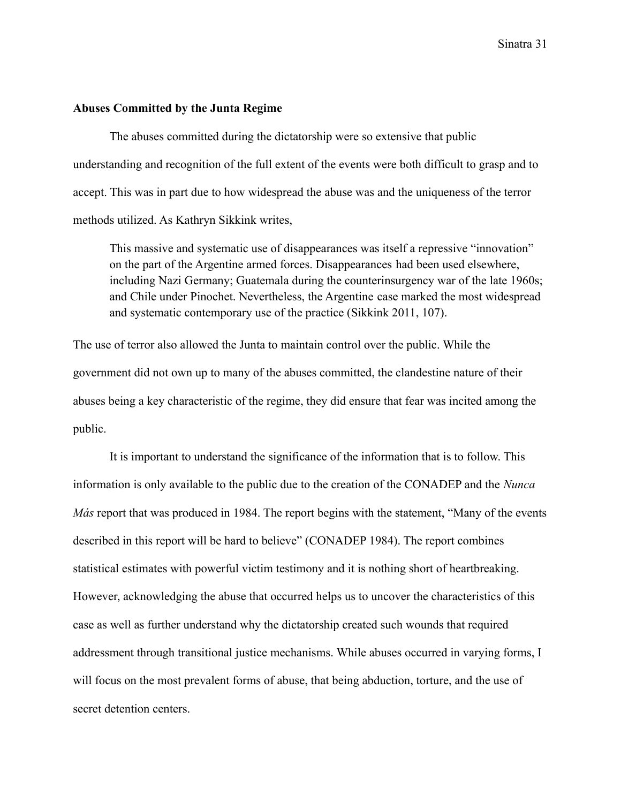#### **Abuses Committed by the Junta Regime**

The abuses committed during the dictatorship were so extensive that public understanding and recognition of the full extent of the events were both difficult to grasp and to accept. This was in part due to how widespread the abuse was and the uniqueness of the terror methods utilized. As Kathryn Sikkink writes,

This massive and systematic use of disappearances was itself a repressive "innovation" on the part of the Argentine armed forces. Disappearances had been used elsewhere, including Nazi Germany; Guatemala during the counterinsurgency war of the late 1960s; and Chile under Pinochet. Nevertheless, the Argentine case marked the most widespread and systematic contemporary use of the practice (Sikkink 2011, 107).

The use of terror also allowed the Junta to maintain control over the public. While the government did not own up to many of the abuses committed, the clandestine nature of their abuses being a key characteristic of the regime, they did ensure that fear was incited among the public.

It is important to understand the significance of the information that is to follow. This information is only available to the public due to the creation of the CONADEP and the *Nunca Más* report that was produced in 1984. The report begins with the statement, "Many of the events described in this report will be hard to believe" (CONADEP 1984). The report combines statistical estimates with powerful victim testimony and it is nothing short of heartbreaking. However, acknowledging the abuse that occurred helps us to uncover the characteristics of this case as well as further understand why the dictatorship created such wounds that required addressment through transitional justice mechanisms. While abuses occurred in varying forms, I will focus on the most prevalent forms of abuse, that being abduction, torture, and the use of secret detention centers.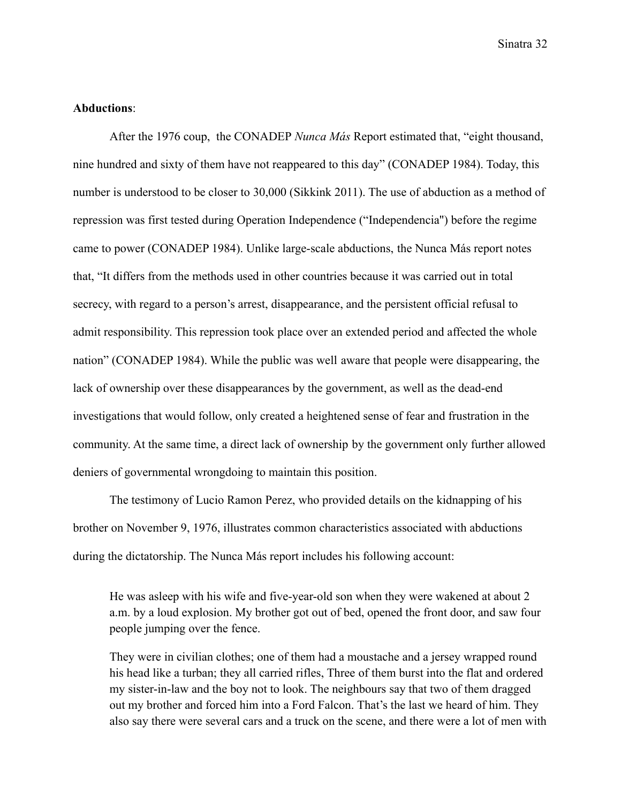### **Abductions**:

After the 1976 coup, the CONADEP *Nunca Más* Report estimated that, "eight thousand, nine hundred and sixty of them have not reappeared to this day" (CONADEP 1984). Today, this number is understood to be closer to 30,000 (Sikkink 2011). The use of abduction as a method of repression was first tested during Operation Independence ("Independencia'') before the regime came to power (CONADEP 1984). Unlike large-scale abductions, the Nunca Más report notes that, "It differs from the methods used in other countries because it was carried out in total secrecy, with regard to a person's arrest, disappearance, and the persistent official refusal to admit responsibility. This repression took place over an extended period and affected the whole nation" (CONADEP 1984). While the public was well aware that people were disappearing, the lack of ownership over these disappearances by the government, as well as the dead-end investigations that would follow, only created a heightened sense of fear and frustration in the community. At the same time, a direct lack of ownership by the government only further allowed deniers of governmental wrongdoing to maintain this position.

The testimony of Lucio Ramon Perez, who provided details on the kidnapping of his brother on November 9, 1976, illustrates common characteristics associated with abductions during the dictatorship. The Nunca Más report includes his following account:

He was asleep with his wife and five-year-old son when they were wakened at about 2 a.m. by a loud explosion. My brother got out of bed, opened the front door, and saw four people jumping over the fence.

They were in civilian clothes; one of them had a moustache and a jersey wrapped round his head like a turban; they all carried rifles, Three of them burst into the flat and ordered my sister-in-law and the boy not to look. The neighbours say that two of them dragged out my brother and forced him into a Ford Falcon. That's the last we heard of him. They also say there were several cars and a truck on the scene, and there were a lot of men with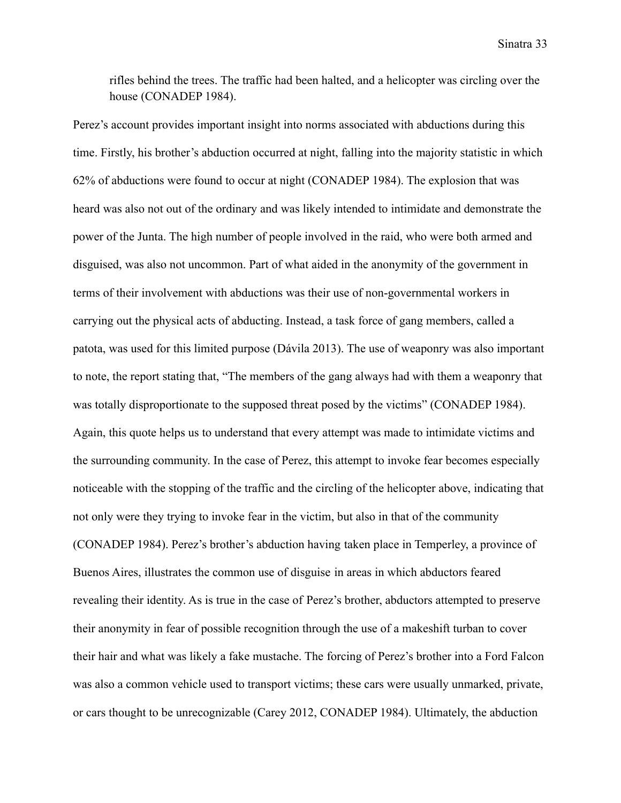rifles behind the trees. The traffic had been halted, and a helicopter was circling over the house (CONADEP 1984).

Perez's account provides important insight into norms associated with abductions during this time. Firstly, his brother's abduction occurred at night, falling into the majority statistic in which 62% of abductions were found to occur at night (CONADEP 1984). The explosion that was heard was also not out of the ordinary and was likely intended to intimidate and demonstrate the power of the Junta. The high number of people involved in the raid, who were both armed and disguised, was also not uncommon. Part of what aided in the anonymity of the government in terms of their involvement with abductions was their use of non-governmental workers in carrying out the physical acts of abducting. Instead, a task force of gang members, called a patota, was used for this limited purpose (Dávila 2013). The use of weaponry was also important to note, the report stating that, "The members of the gang always had with them a weaponry that was totally disproportionate to the supposed threat posed by the victims" (CONADEP 1984). Again, this quote helps us to understand that every attempt was made to intimidate victims and the surrounding community. In the case of Perez, this attempt to invoke fear becomes especially noticeable with the stopping of the traffic and the circling of the helicopter above, indicating that not only were they trying to invoke fear in the victim, but also in that of the community (CONADEP 1984). Perez's brother's abduction having taken place in Temperley, a province of Buenos Aires, illustrates the common use of disguise in areas in which abductors feared revealing their identity. As is true in the case of Perez's brother, abductors attempted to preserve their anonymity in fear of possible recognition through the use of a makeshift turban to cover their hair and what was likely a fake mustache. The forcing of Perez's brother into a Ford Falcon was also a common vehicle used to transport victims; these cars were usually unmarked, private, or cars thought to be unrecognizable (Carey 2012, CONADEP 1984). Ultimately, the abduction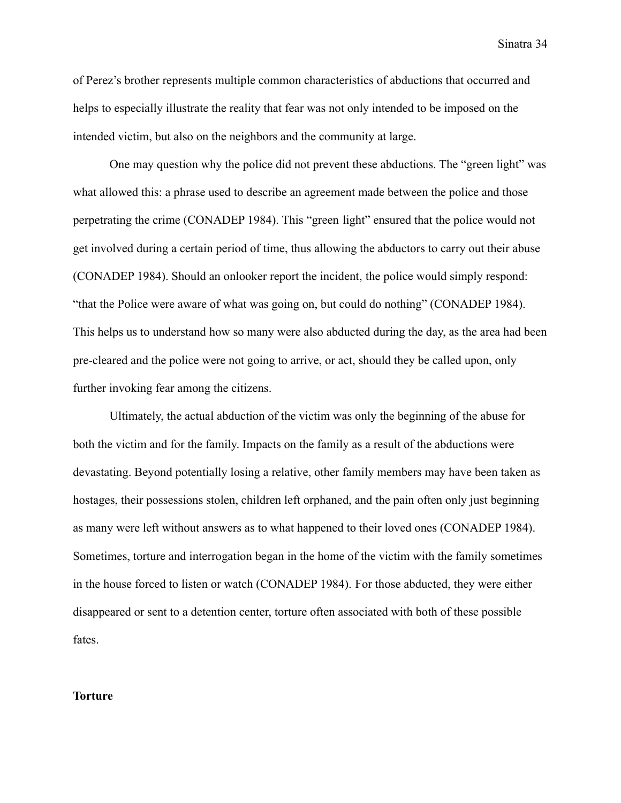of Perez's brother represents multiple common characteristics of abductions that occurred and helps to especially illustrate the reality that fear was not only intended to be imposed on the intended victim, but also on the neighbors and the community at large.

One may question why the police did not prevent these abductions. The "green light" was what allowed this: a phrase used to describe an agreement made between the police and those perpetrating the crime (CONADEP 1984). This "green light" ensured that the police would not get involved during a certain period of time, thus allowing the abductors to carry out their abuse (CONADEP 1984). Should an onlooker report the incident, the police would simply respond: "that the Police were aware of what was going on, but could do nothing" (CONADEP 1984). This helps us to understand how so many were also abducted during the day, as the area had been pre-cleared and the police were not going to arrive, or act, should they be called upon, only further invoking fear among the citizens.

Ultimately, the actual abduction of the victim was only the beginning of the abuse for both the victim and for the family. Impacts on the family as a result of the abductions were devastating. Beyond potentially losing a relative, other family members may have been taken as hostages, their possessions stolen, children left orphaned, and the pain often only just beginning as many were left without answers as to what happened to their loved ones (CONADEP 1984). Sometimes, torture and interrogation began in the home of the victim with the family sometimes in the house forced to listen or watch (CONADEP 1984). For those abducted, they were either disappeared or sent to a detention center, torture often associated with both of these possible fates.

#### **Torture**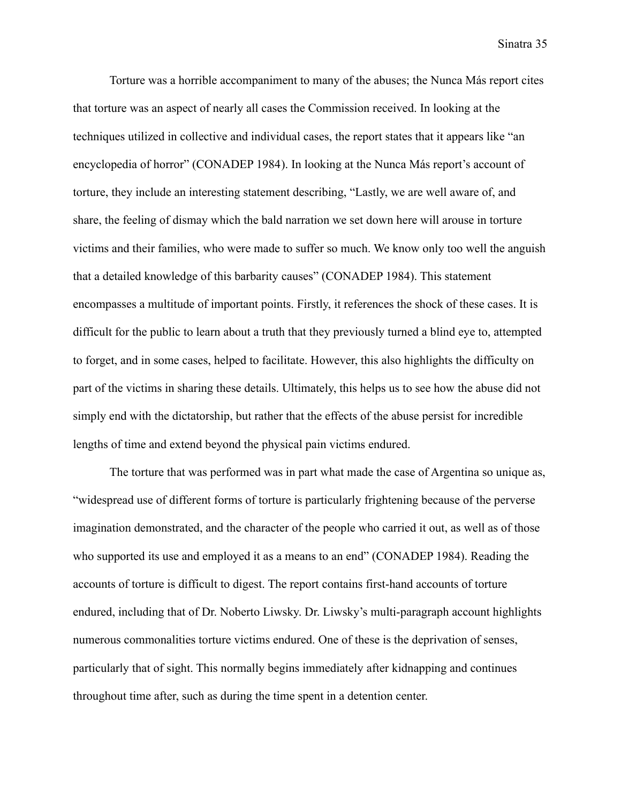Torture was a horrible accompaniment to many of the abuses; the Nunca Más report cites that torture was an aspect of nearly all cases the Commission received. In looking at the techniques utilized in collective and individual cases, the report states that it appears like "an encyclopedia of horror" (CONADEP 1984). In looking at the Nunca Más report's account of torture, they include an interesting statement describing, "Lastly, we are well aware of, and share, the feeling of dismay which the bald narration we set down here will arouse in torture victims and their families, who were made to suffer so much. We know only too well the anguish that a detailed knowledge of this barbarity causes" (CONADEP 1984). This statement encompasses a multitude of important points. Firstly, it references the shock of these cases. It is difficult for the public to learn about a truth that they previously turned a blind eye to, attempted to forget, and in some cases, helped to facilitate. However, this also highlights the difficulty on part of the victims in sharing these details. Ultimately, this helps us to see how the abuse did not simply end with the dictatorship, but rather that the effects of the abuse persist for incredible lengths of time and extend beyond the physical pain victims endured.

The torture that was performed was in part what made the case of Argentina so unique as, "widespread use of different forms of torture is particularly frightening because of the perverse imagination demonstrated, and the character of the people who carried it out, as well as of those who supported its use and employed it as a means to an end" (CONADEP 1984). Reading the accounts of torture is difficult to digest. The report contains first-hand accounts of torture endured, including that of Dr. Noberto Liwsky. Dr. Liwsky's multi-paragraph account highlights numerous commonalities torture victims endured. One of these is the deprivation of senses, particularly that of sight. This normally begins immediately after kidnapping and continues throughout time after, such as during the time spent in a detention center.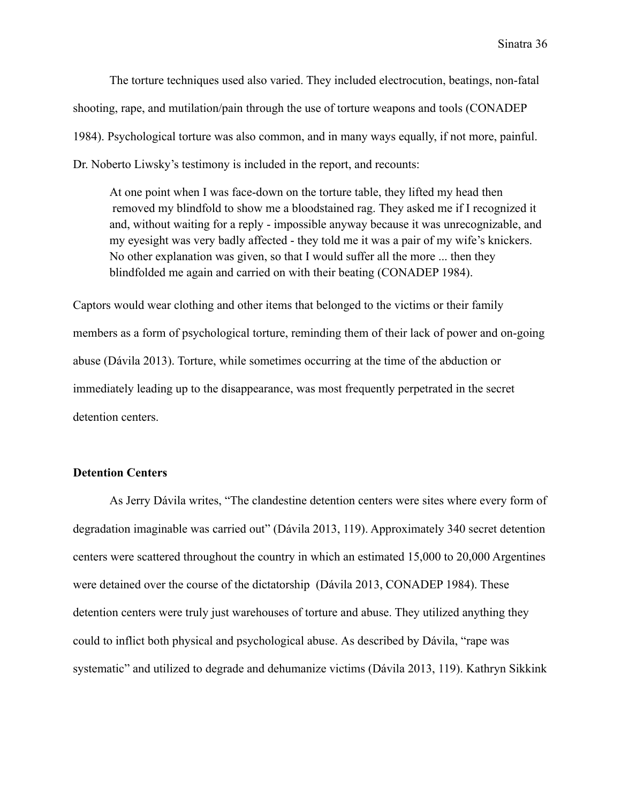The torture techniques used also varied. They included electrocution, beatings, non-fatal shooting, rape, and mutilation/pain through the use of torture weapons and tools (CONADEP 1984). Psychological torture was also common, and in many ways equally, if not more, painful. Dr. Noberto Liwsky's testimony is included in the report, and recounts:

At one point when I was face-down on the torture table, they lifted my head then removed my blindfold to show me a bloodstained rag. They asked me if I recognized it and, without waiting for a reply - impossible anyway because it was unrecognizable, and my eyesight was very badly affected - they told me it was a pair of my wife's knickers. No other explanation was given, so that I would suffer all the more ... then they blindfolded me again and carried on with their beating (CONADEP 1984).

Captors would wear clothing and other items that belonged to the victims or their family members as a form of psychological torture, reminding them of their lack of power and on-going abuse (Dávila 2013). Torture, while sometimes occurring at the time of the abduction or immediately leading up to the disappearance, was most frequently perpetrated in the secret detention centers.

## **Detention Centers**

As Jerry Dávila writes, "The clandestine detention centers were sites where every form of degradation imaginable was carried out" (Dávila 2013, 119). Approximately 340 secret detention centers were scattered throughout the country in which an estimated 15,000 to 20,000 Argentines were detained over the course of the dictatorship (Dávila 2013, CONADEP 1984). These detention centers were truly just warehouses of torture and abuse. They utilized anything they could to inflict both physical and psychological abuse. As described by Dávila, "rape was systematic" and utilized to degrade and dehumanize victims (Dávila 2013, 119). Kathryn Sikkink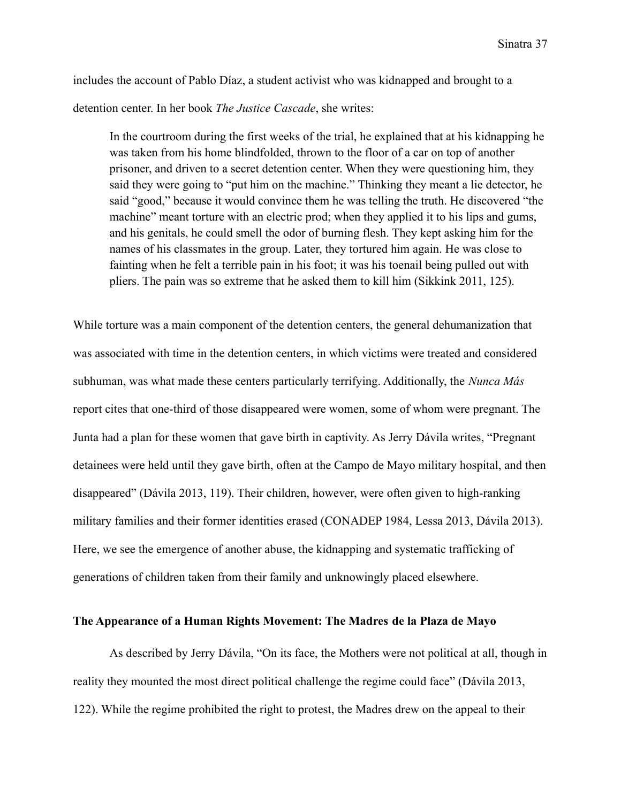includes the account of Pablo Díaz, a student activist who was kidnapped and brought to a detention center. In her book *The Justice Cascade*, she writes:

In the courtroom during the first weeks of the trial, he explained that at his kidnapping he was taken from his home blindfolded, thrown to the floor of a car on top of another prisoner, and driven to a secret detention center. When they were questioning him, they said they were going to "put him on the machine." Thinking they meant a lie detector, he said "good," because it would convince them he was telling the truth. He discovered "the machine" meant torture with an electric prod; when they applied it to his lips and gums, and his genitals, he could smell the odor of burning flesh. They kept asking him for the names of his classmates in the group. Later, they tortured him again. He was close to fainting when he felt a terrible pain in his foot; it was his toenail being pulled out with pliers. The pain was so extreme that he asked them to kill him (Sikkink 2011, 125).

While torture was a main component of the detention centers, the general dehumanization that was associated with time in the detention centers, in which victims were treated and considered subhuman, was what made these centers particularly terrifying. Additionally, the *Nunca Más* report cites that one-third of those disappeared were women, some of whom were pregnant. The Junta had a plan for these women that gave birth in captivity. As Jerry Dávila writes, "Pregnant detainees were held until they gave birth, often at the Campo de Mayo military hospital, and then disappeared" (Dávila 2013, 119). Their children, however, were often given to high-ranking military families and their former identities erased (CONADEP 1984, Lessa 2013, Dávila 2013). Here, we see the emergence of another abuse, the kidnapping and systematic trafficking of generations of children taken from their family and unknowingly placed elsewhere.

## **The Appearance of a Human Rights Movement: The Madres de la Plaza de Mayo**

As described by Jerry Dávila, "On its face, the Mothers were not political at all, though in reality they mounted the most direct political challenge the regime could face" (Dávila 2013, 122). While the regime prohibited the right to protest, the Madres drew on the appeal to their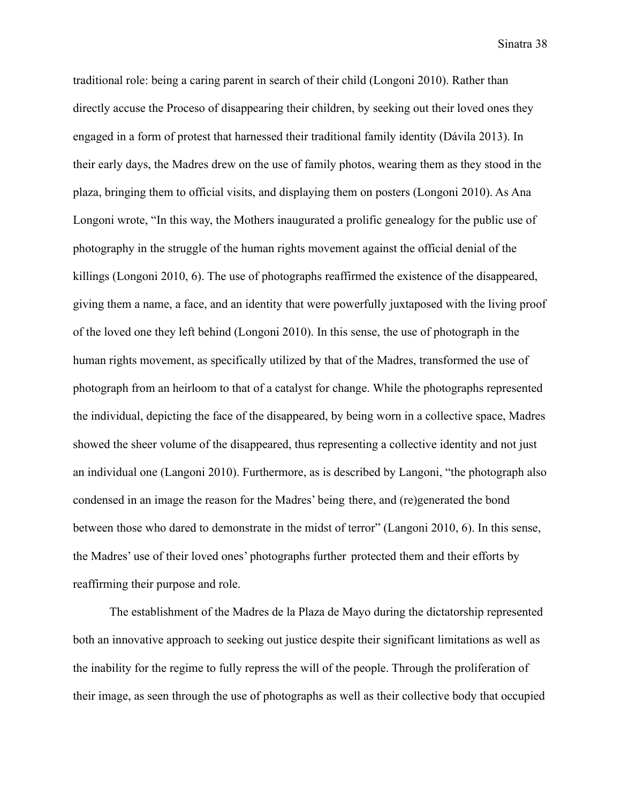traditional role: being a caring parent in search of their child (Longoni 2010). Rather than directly accuse the Proceso of disappearing their children, by seeking out their loved ones they engaged in a form of protest that harnessed their traditional family identity (Dávila 2013). In their early days, the Madres drew on the use of family photos, wearing them as they stood in the plaza, bringing them to official visits, and displaying them on posters (Longoni 2010). As Ana Longoni wrote, "In this way, the Mothers inaugurated a prolific genealogy for the public use of photography in the struggle of the human rights movement against the official denial of the killings (Longoni 2010, 6). The use of photographs reaffirmed the existence of the disappeared, giving them a name, a face, and an identity that were powerfully juxtaposed with the living proof of the loved one they left behind (Longoni 2010). In this sense, the use of photograph in the human rights movement, as specifically utilized by that of the Madres, transformed the use of photograph from an heirloom to that of a catalyst for change. While the photographs represented the individual, depicting the face of the disappeared, by being worn in a collective space, Madres showed the sheer volume of the disappeared, thus representing a collective identity and not just an individual one (Langoni 2010). Furthermore, as is described by Langoni, "the photograph also condensed in an image the reason for the Madres' being there, and (re)generated the bond between those who dared to demonstrate in the midst of terror" (Langoni 2010, 6). In this sense, the Madres' use of their loved ones' photographs further protected them and their efforts by reaffirming their purpose and role.

The establishment of the Madres de la Plaza de Mayo during the dictatorship represented both an innovative approach to seeking out justice despite their significant limitations as well as the inability for the regime to fully repress the will of the people. Through the proliferation of their image, as seen through the use of photographs as well as their collective body that occupied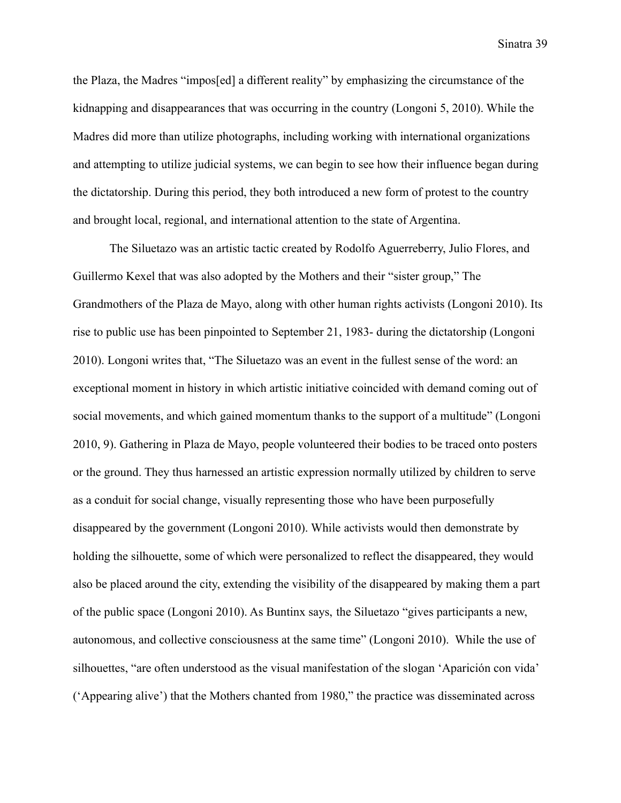the Plaza, the Madres "impos[ed] a different reality" by emphasizing the circumstance of the kidnapping and disappearances that was occurring in the country (Longoni 5, 2010). While the Madres did more than utilize photographs, including working with international organizations and attempting to utilize judicial systems, we can begin to see how their influence began during the dictatorship. During this period, they both introduced a new form of protest to the country and brought local, regional, and international attention to the state of Argentina.

The Siluetazo was an artistic tactic created by Rodolfo Aguerreberry, Julio Flores, and Guillermo Kexel that was also adopted by the Mothers and their "sister group," The Grandmothers of the Plaza de Mayo, along with other human rights activists (Longoni 2010). Its rise to public use has been pinpointed to September 21, 1983- during the dictatorship (Longoni 2010). Longoni writes that, "The Siluetazo was an event in the fullest sense of the word: an exceptional moment in history in which artistic initiative coincided with demand coming out of social movements, and which gained momentum thanks to the support of a multitude" (Longoni 2010, 9). Gathering in Plaza de Mayo, people volunteered their bodies to be traced onto posters or the ground. They thus harnessed an artistic expression normally utilized by children to serve as a conduit for social change, visually representing those who have been purposefully disappeared by the government (Longoni 2010). While activists would then demonstrate by holding the silhouette, some of which were personalized to reflect the disappeared, they would also be placed around the city, extending the visibility of the disappeared by making them a part of the public space (Longoni 2010). As Buntinx says, the Siluetazo "gives participants a new, autonomous, and collective consciousness at the same time" (Longoni 2010). While the use of silhouettes, "are often understood as the visual manifestation of the slogan 'Aparición con vida' ('Appearing alive') that the Mothers chanted from 1980," the practice was disseminated across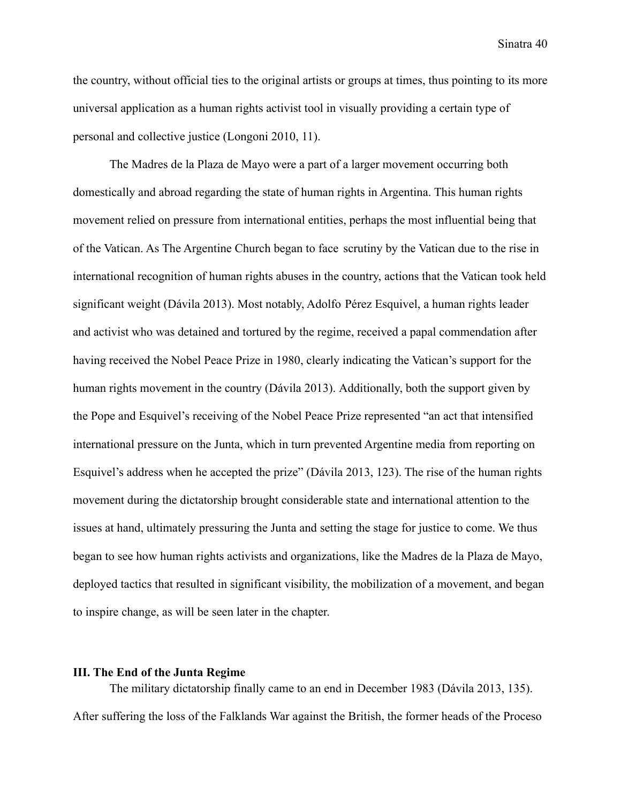the country, without official ties to the original artists or groups at times, thus pointing to its more universal application as a human rights activist tool in visually providing a certain type of personal and collective justice (Longoni 2010, 11).

The Madres de la Plaza de Mayo were a part of a larger movement occurring both domestically and abroad regarding the state of human rights in Argentina. This human rights movement relied on pressure from international entities, perhaps the most influential being that of the Vatican. As The Argentine Church began to face scrutiny by the Vatican due to the rise in international recognition of human rights abuses in the country, actions that the Vatican took held significant weight (Dávila 2013). Most notably, Adolfo Pérez Esquivel, a human rights leader and activist who was detained and tortured by the regime, received a papal commendation after having received the Nobel Peace Prize in 1980, clearly indicating the Vatican's support for the human rights movement in the country (Dávila 2013). Additionally, both the support given by the Pope and Esquivel's receiving of the Nobel Peace Prize represented "an act that intensified international pressure on the Junta, which in turn prevented Argentine media from reporting on Esquivel's address when he accepted the prize" (Dávila 2013, 123). The rise of the human rights movement during the dictatorship brought considerable state and international attention to the issues at hand, ultimately pressuring the Junta and setting the stage for justice to come. We thus began to see how human rights activists and organizations, like the Madres de la Plaza de Mayo, deployed tactics that resulted in significant visibility, the mobilization of a movement, and began to inspire change, as will be seen later in the chapter.

## **III. The End of the Junta Regime**

The military dictatorship finally came to an end in December 1983 (Dávila 2013, 135). After suffering the loss of the Falklands War against the British, the former heads of the Proceso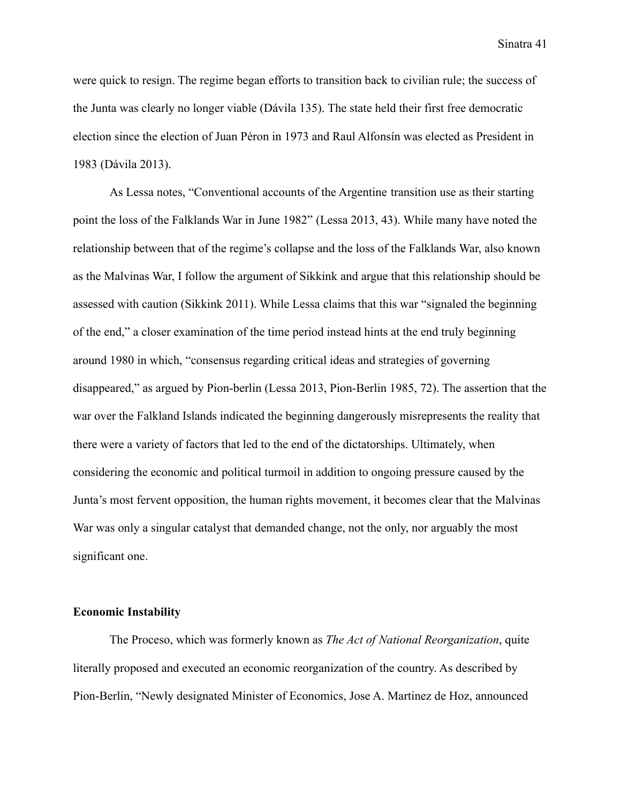were quick to resign. The regime began efforts to transition back to civilian rule; the success of the Junta was clearly no longer viable (Dávila 135). The state held their first free democratic election since the election of Juan Péron in 1973 and Raul Alfonsín was elected as President in 1983 (Dávila 2013).

As Lessa notes, "Conventional accounts of the Argentine transition use as their starting point the loss of the Falklands War in June 1982" (Lessa 2013, 43). While many have noted the relationship between that of the regime's collapse and the loss of the Falklands War, also known as the Malvinas War, I follow the argument of Sikkink and argue that this relationship should be assessed with caution (Sikkink 2011). While Lessa claims that this war "signaled the beginning of the end," a closer examination of the time period instead hints at the end truly beginning around 1980 in which, "consensus regarding critical ideas and strategies of governing disappeared," as argued by Pion-berlin (Lessa 2013, Pion-Berlin 1985, 72). The assertion that the war over the Falkland Islands indicated the beginning dangerously misrepresents the reality that there were a variety of factors that led to the end of the dictatorships. Ultimately, when considering the economic and political turmoil in addition to ongoing pressure caused by the Junta's most fervent opposition, the human rights movement, it becomes clear that the Malvinas War was only a singular catalyst that demanded change, not the only, nor arguably the most significant one.

### **Economic Instability**

The Proceso, which was formerly known as *The Act of National Reorganization*, quite literally proposed and executed an economic reorganization of the country. As described by Pion-Berlin, "Newly designated Minister of Economics, Jose A. Martinez de Hoz, announced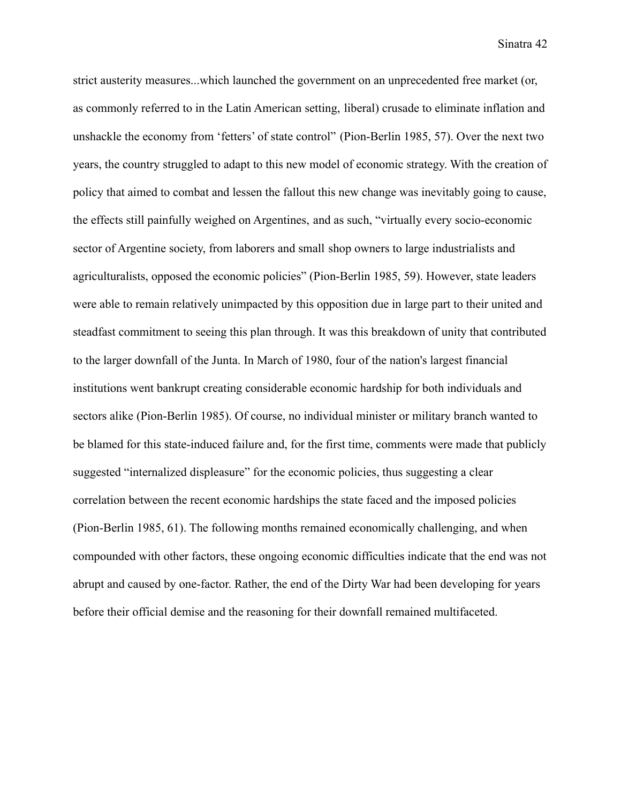strict austerity measures...which launched the government on an unprecedented free market (or, as commonly referred to in the Latin American setting, liberal) crusade to eliminate inflation and unshackle the economy from 'fetters' of state control" (Pion-Berlin 1985, 57). Over the next two years, the country struggled to adapt to this new model of economic strategy. With the creation of policy that aimed to combat and lessen the fallout this new change was inevitably going to cause, the effects still painfully weighed on Argentines, and as such, "virtually every socio-economic sector of Argentine society, from laborers and small shop owners to large industrialists and agriculturalists, opposed the economic policies" (Pion-Berlin 1985, 59). However, state leaders were able to remain relatively unimpacted by this opposition due in large part to their united and steadfast commitment to seeing this plan through. It was this breakdown of unity that contributed to the larger downfall of the Junta. In March of 1980, four of the nation's largest financial institutions went bankrupt creating considerable economic hardship for both individuals and sectors alike (Pion-Berlin 1985). Of course, no individual minister or military branch wanted to be blamed for this state-induced failure and, for the first time, comments were made that publicly suggested "internalized displeasure" for the economic policies, thus suggesting a clear correlation between the recent economic hardships the state faced and the imposed policies (Pion-Berlin 1985, 61). The following months remained economically challenging, and when compounded with other factors, these ongoing economic difficulties indicate that the end was not abrupt and caused by one-factor. Rather, the end of the Dirty War had been developing for years before their official demise and the reasoning for their downfall remained multifaceted.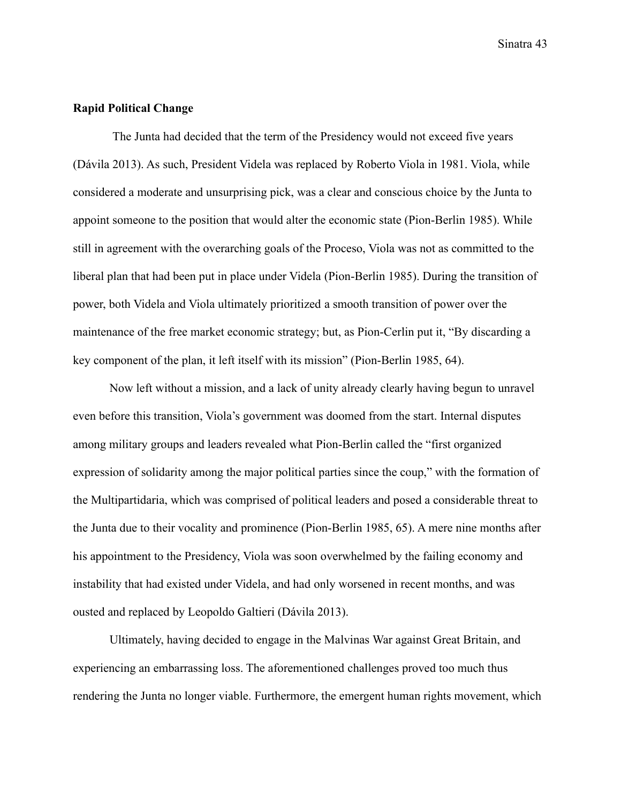## **Rapid Political Change**

The Junta had decided that the term of the Presidency would not exceed five years (Dávila 2013). As such, President Videla was replaced by Roberto Viola in 1981. Viola, while considered a moderate and unsurprising pick, was a clear and conscious choice by the Junta to appoint someone to the position that would alter the economic state (Pion-Berlin 1985). While still in agreement with the overarching goals of the Proceso, Viola was not as committed to the liberal plan that had been put in place under Videla (Pion-Berlin 1985). During the transition of power, both Videla and Viola ultimately prioritized a smooth transition of power over the maintenance of the free market economic strategy; but, as Pion-Cerlin put it, "By discarding a key component of the plan, it left itself with its mission" (Pion-Berlin 1985, 64).

Now left without a mission, and a lack of unity already clearly having begun to unravel even before this transition, Viola's government was doomed from the start. Internal disputes among military groups and leaders revealed what Pion-Berlin called the "first organized expression of solidarity among the major political parties since the coup," with the formation of the Multipartidaria, which was comprised of political leaders and posed a considerable threat to the Junta due to their vocality and prominence (Pion-Berlin 1985, 65). A mere nine months after his appointment to the Presidency, Viola was soon overwhelmed by the failing economy and instability that had existed under Videla, and had only worsened in recent months, and was ousted and replaced by Leopoldo Galtieri (Dávila 2013).

Ultimately, having decided to engage in the Malvinas War against Great Britain, and experiencing an embarrassing loss. The aforementioned challenges proved too much thus rendering the Junta no longer viable. Furthermore, the emergent human rights movement, which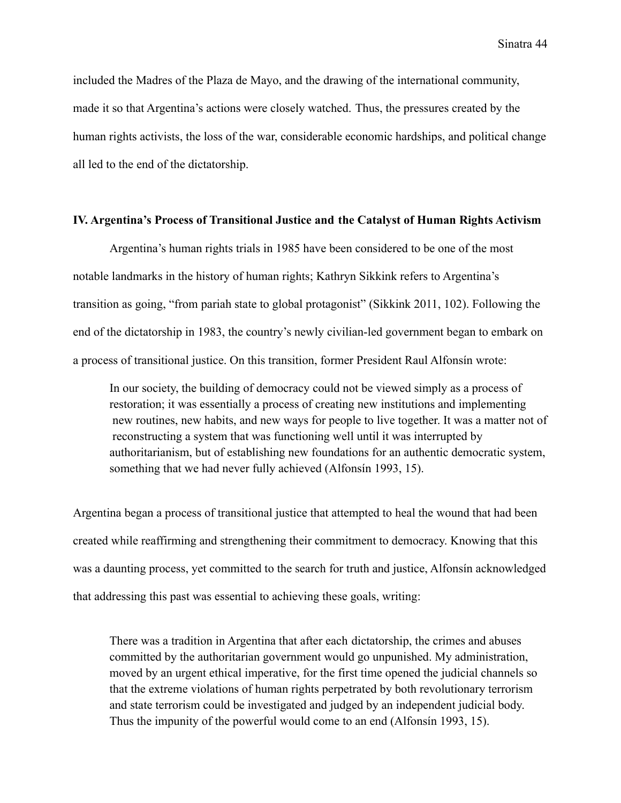included the Madres of the Plaza de Mayo, and the drawing of the international community, made it so that Argentina's actions were closely watched. Thus, the pressures created by the human rights activists, the loss of the war, considerable economic hardships, and political change all led to the end of the dictatorship.

## **IV. Argentina's Process of Transitional Justice and the Catalyst of Human Rights Activism**

Argentina's human rights trials in 1985 have been considered to be one of the most notable landmarks in the history of human rights; Kathryn Sikkink refers to Argentina's transition as going, "from pariah state to global protagonist" (Sikkink 2011, 102). Following the end of the dictatorship in 1983, the country's newly civilian-led government began to embark on a process of transitional justice. On this transition, former President Raul Alfonsín wrote:

In our society, the building of democracy could not be viewed simply as a process of restoration; it was essentially a process of creating new institutions and implementing new routines, new habits, and new ways for people to live together. It was a matter not of reconstructing a system that was functioning well until it was interrupted by authoritarianism, but of establishing new foundations for an authentic democratic system, something that we had never fully achieved (Alfonsín 1993, 15).

Argentina began a process of transitional justice that attempted to heal the wound that had been created while reaffirming and strengthening their commitment to democracy. Knowing that this was a daunting process, yet committed to the search for truth and justice, Alfonsín acknowledged that addressing this past was essential to achieving these goals, writing:

There was a tradition in Argentina that after each dictatorship, the crimes and abuses committed by the authoritarian government would go unpunished. My administration, moved by an urgent ethical imperative, for the first time opened the judicial channels so that the extreme violations of human rights perpetrated by both revolutionary terrorism and state terrorism could be investigated and judged by an independent judicial body. Thus the impunity of the powerful would come to an end (Alfonsín 1993, 15).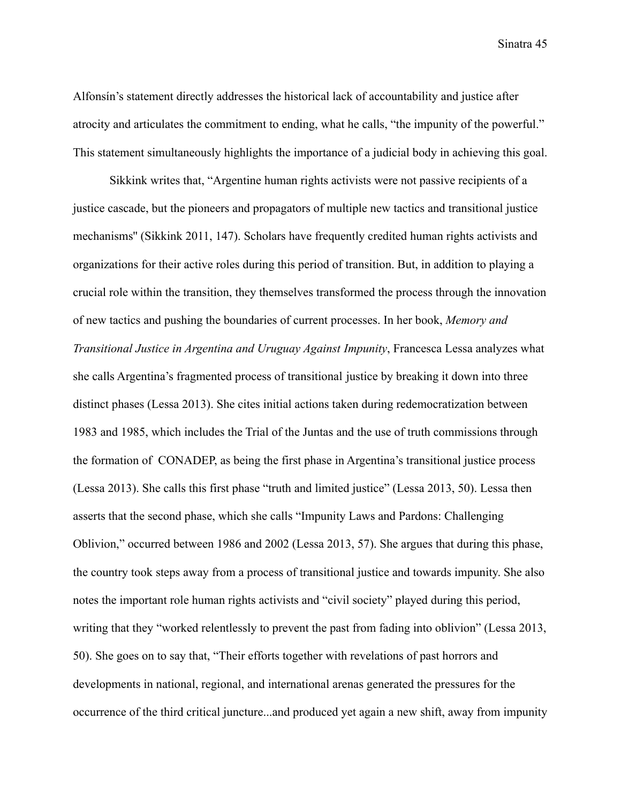Alfonsín's statement directly addresses the historical lack of accountability and justice after atrocity and articulates the commitment to ending, what he calls, "the impunity of the powerful." This statement simultaneously highlights the importance of a judicial body in achieving this goal.

Sikkink writes that, "Argentine human rights activists were not passive recipients of a justice cascade, but the pioneers and propagators of multiple new tactics and transitional justice mechanisms'' (Sikkink 2011, 147). Scholars have frequently credited human rights activists and organizations for their active roles during this period of transition. But, in addition to playing a crucial role within the transition, they themselves transformed the process through the innovation of new tactics and pushing the boundaries of current processes. In her book, *Memory and Transitional Justice in Argentina and Uruguay Against Impunity*, Francesca Lessa analyzes what she calls Argentina's fragmented process of transitional justice by breaking it down into three distinct phases (Lessa 2013). She cites initial actions taken during redemocratization between 1983 and 1985, which includes the Trial of the Juntas and the use of truth commissions through the formation of CONADEP, as being the first phase in Argentina's transitional justice process (Lessa 2013). She calls this first phase "truth and limited justice" (Lessa 2013, 50). Lessa then asserts that the second phase, which she calls "Impunity Laws and Pardons: Challenging Oblivion," occurred between 1986 and 2002 (Lessa 2013, 57). She argues that during this phase, the country took steps away from a process of transitional justice and towards impunity. She also notes the important role human rights activists and "civil society" played during this period, writing that they "worked relentlessly to prevent the past from fading into oblivion" (Lessa 2013, 50). She goes on to say that, "Their efforts together with revelations of past horrors and developments in national, regional, and international arenas generated the pressures for the occurrence of the third critical juncture...and produced yet again a new shift, away from impunity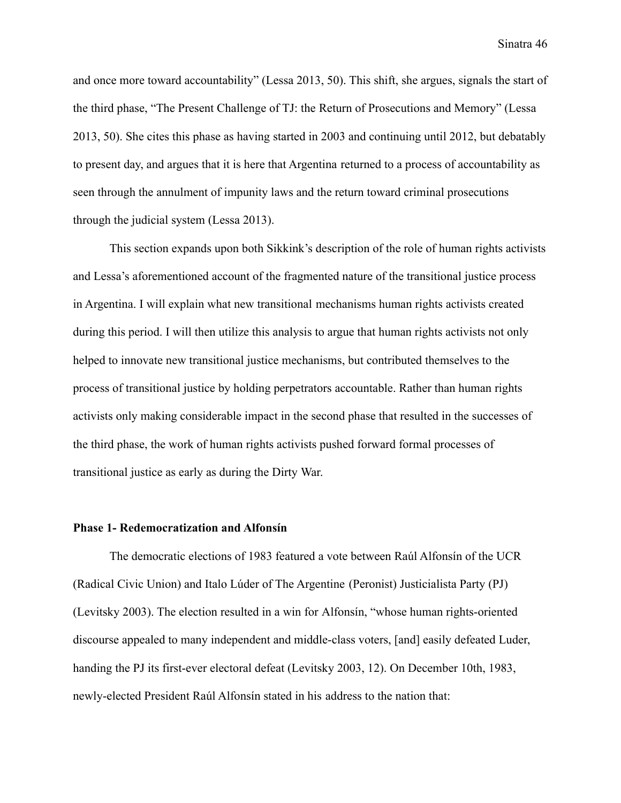and once more toward accountability" (Lessa 2013, 50). This shift, she argues, signals the start of the third phase, "The Present Challenge of TJ: the Return of Prosecutions and Memory" (Lessa 2013, 50). She cites this phase as having started in 2003 and continuing until 2012, but debatably to present day, and argues that it is here that Argentina returned to a process of accountability as seen through the annulment of impunity laws and the return toward criminal prosecutions through the judicial system (Lessa 2013).

This section expands upon both Sikkink's description of the role of human rights activists and Lessa's aforementioned account of the fragmented nature of the transitional justice process in Argentina. I will explain what new transitional mechanisms human rights activists created during this period. I will then utilize this analysis to argue that human rights activists not only helped to innovate new transitional justice mechanisms, but contributed themselves to the process of transitional justice by holding perpetrators accountable. Rather than human rights activists only making considerable impact in the second phase that resulted in the successes of the third phase, the work of human rights activists pushed forward formal processes of transitional justice as early as during the Dirty War.

### **Phase 1- Redemocratization and Alfonsín**

The democratic elections of 1983 featured a vote between Raúl Alfonsín of the UCR (Radical Civic Union) and Italo Lúder of The Argentine (Peronist) Justicialista Party (PJ) (Levitsky 2003). The election resulted in a win for Alfonsín, "whose human rights-oriented discourse appealed to many independent and middle-class voters, [and] easily defeated Luder, handing the PJ its first-ever electoral defeat (Levitsky 2003, 12). On December 10th, 1983, newly-elected President Raúl Alfonsín stated in his address to the nation that: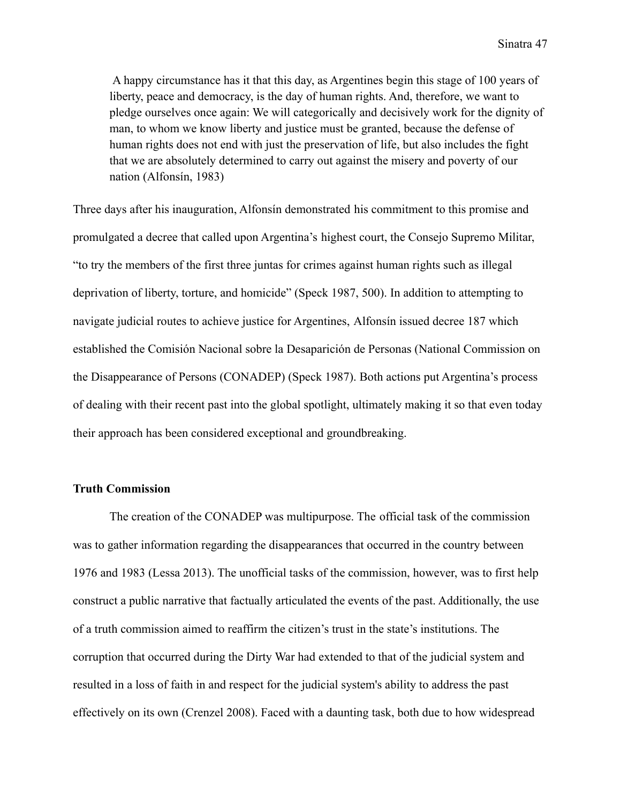A happy circumstance has it that this day, as Argentines begin this stage of 100 years of liberty, peace and democracy, is the day of human rights. And, therefore, we want to pledge ourselves once again: We will categorically and decisively work for the dignity of man, to whom we know liberty and justice must be granted, because the defense of human rights does not end with just the preservation of life, but also includes the fight that we are absolutely determined to carry out against the misery and poverty of our nation (Alfonsín, 1983)

Three days after his inauguration, Alfonsín demonstrated his commitment to this promise and promulgated a decree that called upon Argentina's highest court, the Consejo Supremo Militar, "to try the members of the first three juntas for crimes against human rights such as illegal deprivation of liberty, torture, and homicide" (Speck 1987, 500). In addition to attempting to navigate judicial routes to achieve justice for Argentines, Alfonsín issued decree 187 which established the Comisión Nacional sobre la Desaparición de Personas (National Commission on the Disappearance of Persons (CONADEP) (Speck 1987). Both actions put Argentina's process of dealing with their recent past into the global spotlight, ultimately making it so that even today their approach has been considered exceptional and groundbreaking.

### **Truth Commission**

The creation of the CONADEP was multipurpose. The official task of the commission was to gather information regarding the disappearances that occurred in the country between 1976 and 1983 (Lessa 2013). The unofficial tasks of the commission, however, was to first help construct a public narrative that factually articulated the events of the past. Additionally, the use of a truth commission aimed to reaffirm the citizen's trust in the state's institutions. The corruption that occurred during the Dirty War had extended to that of the judicial system and resulted in a loss of faith in and respect for the judicial system's ability to address the past effectively on its own (Crenzel 2008). Faced with a daunting task, both due to how widespread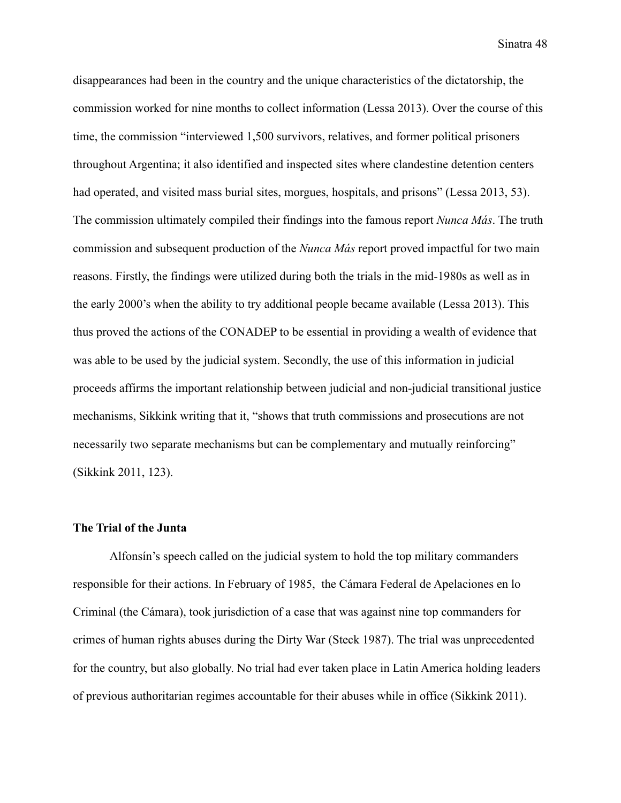disappearances had been in the country and the unique characteristics of the dictatorship, the commission worked for nine months to collect information (Lessa 2013). Over the course of this time, the commission "interviewed 1,500 survivors, relatives, and former political prisoners throughout Argentina; it also identified and inspected sites where clandestine detention centers had operated, and visited mass burial sites, morgues, hospitals, and prisons" (Lessa 2013, 53). The commission ultimately compiled their findings into the famous report *Nunca Más*. The truth commission and subsequent production of the *Nunca Más* report proved impactful for two main reasons. Firstly, the findings were utilized during both the trials in the mid-1980s as well as in the early 2000's when the ability to try additional people became available (Lessa 2013). This thus proved the actions of the CONADEP to be essential in providing a wealth of evidence that was able to be used by the judicial system. Secondly, the use of this information in judicial proceeds affirms the important relationship between judicial and non-judicial transitional justice mechanisms, Sikkink writing that it, "shows that truth commissions and prosecutions are not necessarily two separate mechanisms but can be complementary and mutually reinforcing" (Sikkink 2011, 123).

#### **The Trial of the Junta**

Alfonsín's speech called on the judicial system to hold the top military commanders responsible for their actions. In February of 1985, the Cámara Federal de Apelaciones en lo Criminal (the Cámara), took jurisdiction of a case that was against nine top commanders for crimes of human rights abuses during the Dirty War (Steck 1987). The trial was unprecedented for the country, but also globally. No trial had ever taken place in Latin America holding leaders of previous authoritarian regimes accountable for their abuses while in office (Sikkink 2011).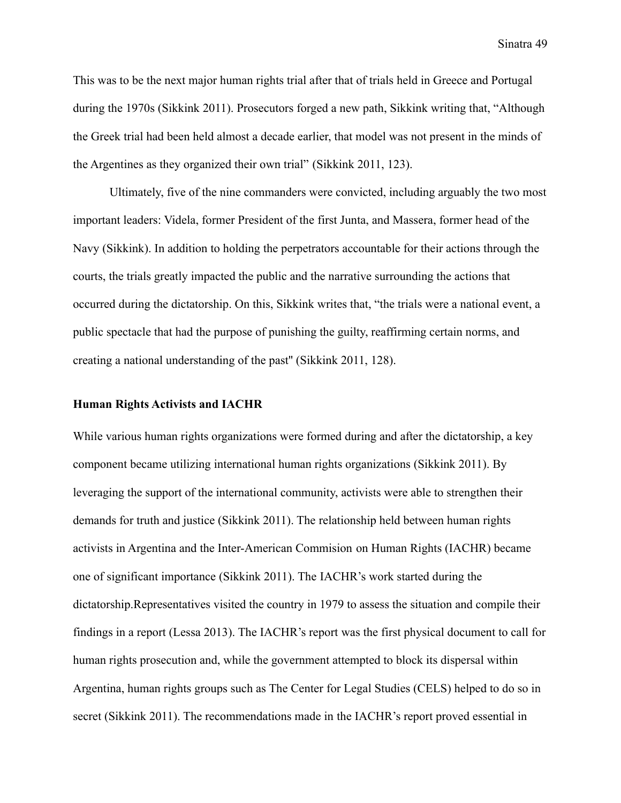This was to be the next major human rights trial after that of trials held in Greece and Portugal during the 1970s (Sikkink 2011). Prosecutors forged a new path, Sikkink writing that, "Although the Greek trial had been held almost a decade earlier, that model was not present in the minds of the Argentines as they organized their own trial" (Sikkink 2011, 123).

Ultimately, five of the nine commanders were convicted, including arguably the two most important leaders: Videla, former President of the first Junta, and Massera, former head of the Navy (Sikkink). In addition to holding the perpetrators accountable for their actions through the courts, the trials greatly impacted the public and the narrative surrounding the actions that occurred during the dictatorship. On this, Sikkink writes that, "the trials were a national event, a public spectacle that had the purpose of punishing the guilty, reaffirming certain norms, and creating a national understanding of the past'' (Sikkink 2011, 128).

## **Human Rights Activists and IACHR**

While various human rights organizations were formed during and after the dictatorship, a key component became utilizing international human rights organizations (Sikkink 2011). By leveraging the support of the international community, activists were able to strengthen their demands for truth and justice (Sikkink 2011). The relationship held between human rights activists in Argentina and the Inter-American Commision on Human Rights (IACHR) became one of significant importance (Sikkink 2011). The IACHR's work started during the dictatorship.Representatives visited the country in 1979 to assess the situation and compile their findings in a report (Lessa 2013). The IACHR's report was the first physical document to call for human rights prosecution and, while the government attempted to block its dispersal within Argentina, human rights groups such as The Center for Legal Studies (CELS) helped to do so in secret (Sikkink 2011). The recommendations made in the IACHR's report proved essential in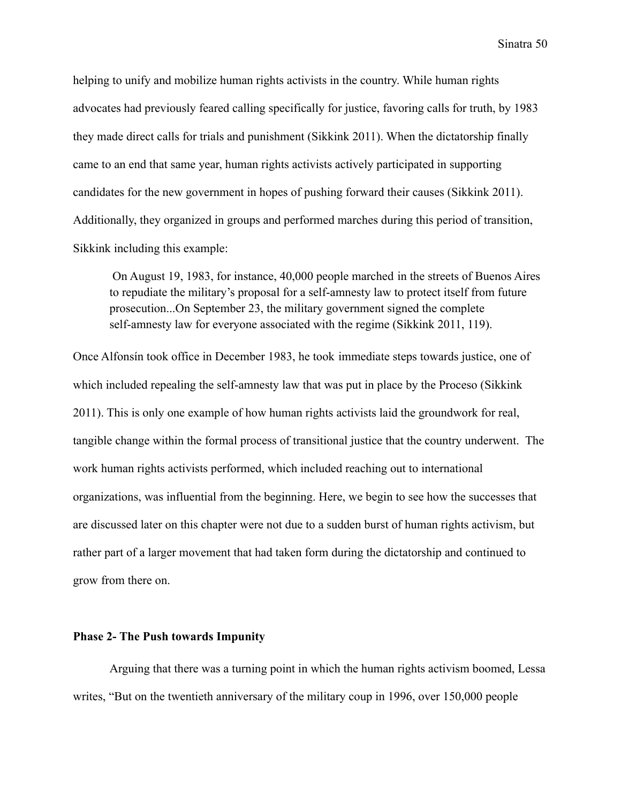helping to unify and mobilize human rights activists in the country. While human rights advocates had previously feared calling specifically for justice, favoring calls for truth, by 1983 they made direct calls for trials and punishment (Sikkink 2011). When the dictatorship finally came to an end that same year, human rights activists actively participated in supporting candidates for the new government in hopes of pushing forward their causes (Sikkink 2011). Additionally, they organized in groups and performed marches during this period of transition, Sikkink including this example:

On August 19, 1983, for instance, 40,000 people marched in the streets of Buenos Aires to repudiate the military's proposal for a self-amnesty law to protect itself from future prosecution...On September 23, the military government signed the complete self-amnesty law for everyone associated with the regime (Sikkink 2011, 119).

Once Alfonsín took office in December 1983, he took immediate steps towards justice, one of which included repealing the self-amnesty law that was put in place by the Proceso (Sikkink 2011). This is only one example of how human rights activists laid the groundwork for real, tangible change within the formal process of transitional justice that the country underwent. The work human rights activists performed, which included reaching out to international organizations, was influential from the beginning. Here, we begin to see how the successes that are discussed later on this chapter were not due to a sudden burst of human rights activism, but rather part of a larger movement that had taken form during the dictatorship and continued to grow from there on.

## **Phase 2- The Push towards Impunity**

Arguing that there was a turning point in which the human rights activism boomed, Lessa writes, "But on the twentieth anniversary of the military coup in 1996, over 150,000 people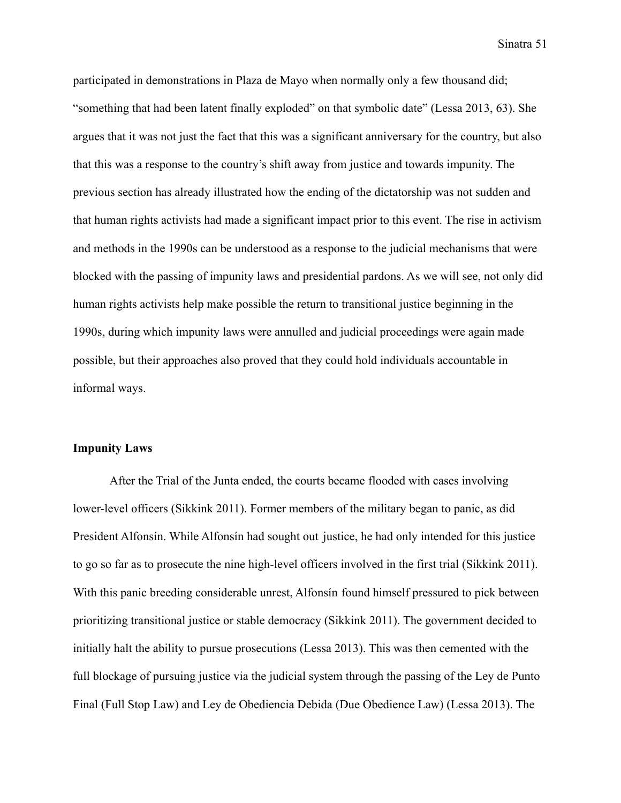participated in demonstrations in Plaza de Mayo when normally only a few thousand did; "something that had been latent finally exploded" on that symbolic date" (Lessa 2013, 63). She argues that it was not just the fact that this was a significant anniversary for the country, but also that this was a response to the country's shift away from justice and towards impunity. The previous section has already illustrated how the ending of the dictatorship was not sudden and that human rights activists had made a significant impact prior to this event. The rise in activism and methods in the 1990s can be understood as a response to the judicial mechanisms that were blocked with the passing of impunity laws and presidential pardons. As we will see, not only did human rights activists help make possible the return to transitional justice beginning in the 1990s, during which impunity laws were annulled and judicial proceedings were again made possible, but their approaches also proved that they could hold individuals accountable in informal ways.

## **Impunity Laws**

After the Trial of the Junta ended, the courts became flooded with cases involving lower-level officers (Sikkink 2011). Former members of the military began to panic, as did President Alfonsín. While Alfonsín had sought out justice, he had only intended for this justice to go so far as to prosecute the nine high-level officers involved in the first trial (Sikkink 2011). With this panic breeding considerable unrest, Alfonsín found himself pressured to pick between prioritizing transitional justice or stable democracy (Sikkink 2011). The government decided to initially halt the ability to pursue prosecutions (Lessa 2013). This was then cemented with the full blockage of pursuing justice via the judicial system through the passing of the Ley de Punto Final (Full Stop Law) and Ley de Obediencia Debida (Due Obedience Law) (Lessa 2013). The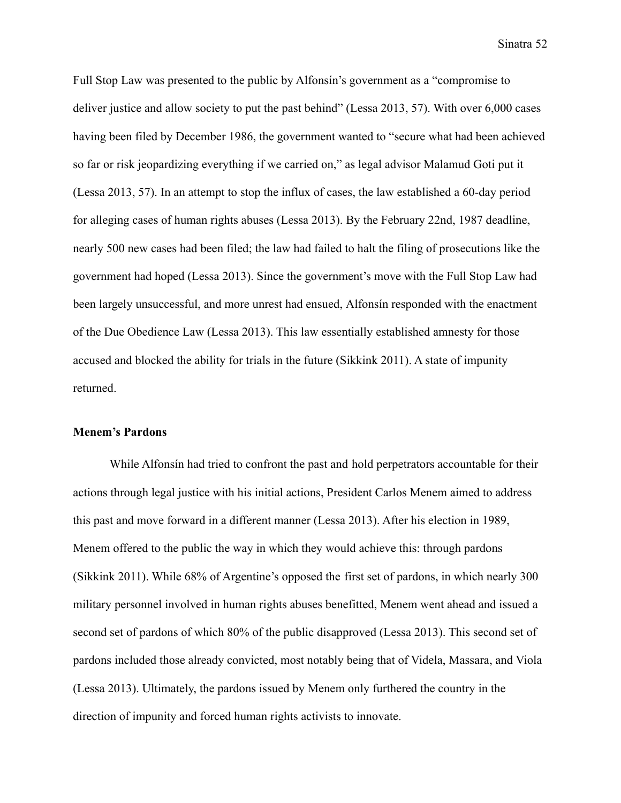Full Stop Law was presented to the public by Alfonsín's government as a "compromise to deliver justice and allow society to put the past behind" (Lessa 2013, 57). With over 6,000 cases having been filed by December 1986, the government wanted to "secure what had been achieved so far or risk jeopardizing everything if we carried on," as legal advisor Malamud Goti put it (Lessa 2013, 57). In an attempt to stop the influx of cases, the law established a 60-day period for alleging cases of human rights abuses (Lessa 2013). By the February 22nd, 1987 deadline, nearly 500 new cases had been filed; the law had failed to halt the filing of prosecutions like the government had hoped (Lessa 2013). Since the government's move with the Full Stop Law had been largely unsuccessful, and more unrest had ensued, Alfonsín responded with the enactment of the Due Obedience Law (Lessa 2013). This law essentially established amnesty for those accused and blocked the ability for trials in the future (Sikkink 2011). A state of impunity returned.

## **Menem's Pardons**

While Alfonsín had tried to confront the past and hold perpetrators accountable for their actions through legal justice with his initial actions, President Carlos Menem aimed to address this past and move forward in a different manner (Lessa 2013). After his election in 1989, Menem offered to the public the way in which they would achieve this: through pardons (Sikkink 2011). While 68% of Argentine's opposed the first set of pardons, in which nearly 300 military personnel involved in human rights abuses benefitted, Menem went ahead and issued a second set of pardons of which 80% of the public disapproved (Lessa 2013). This second set of pardons included those already convicted, most notably being that of Videla, Massara, and Viola (Lessa 2013). Ultimately, the pardons issued by Menem only furthered the country in the direction of impunity and forced human rights activists to innovate.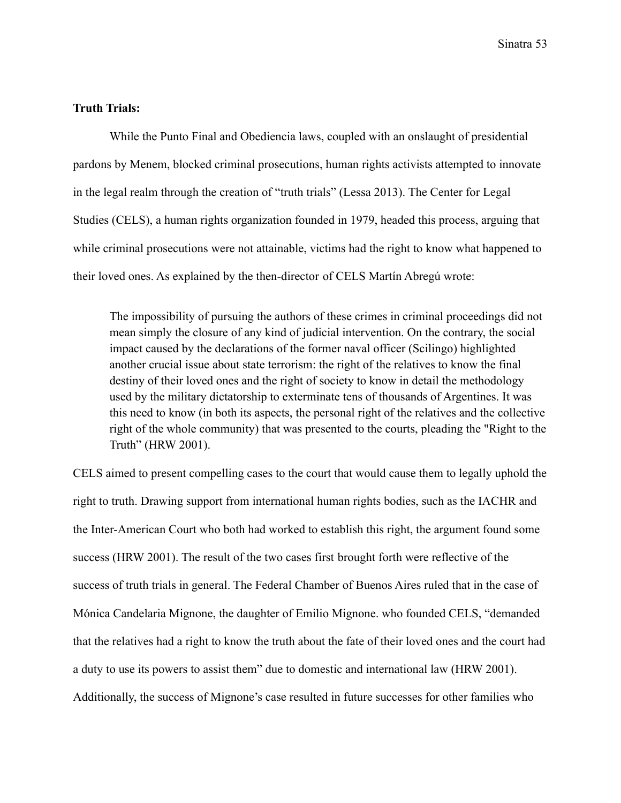## **Truth Trials:**

While the Punto Final and Obediencia laws, coupled with an onslaught of presidential pardons by Menem, blocked criminal prosecutions, human rights activists attempted to innovate in the legal realm through the creation of "truth trials" (Lessa 2013). The Center for Legal Studies (CELS), a human rights organization founded in 1979, headed this process, arguing that while criminal prosecutions were not attainable, victims had the right to know what happened to their loved ones. As explained by the then-director of CELS Martín Abregú wrote:

The impossibility of pursuing the authors of these crimes in criminal proceedings did not mean simply the closure of any kind of judicial intervention. On the contrary, the social impact caused by the declarations of the former naval officer (Scilingo) highlighted another crucial issue about state terrorism: the right of the relatives to know the final destiny of their loved ones and the right of society to know in detail the methodology used by the military dictatorship to exterminate tens of thousands of Argentines. It was this need to know (in both its aspects, the personal right of the relatives and the collective right of the whole community) that was presented to the courts, pleading the "Right to the Truth" (HRW 2001).

CELS aimed to present compelling cases to the court that would cause them to legally uphold the right to truth. Drawing support from international human rights bodies, such as the IACHR and the Inter-American Court who both had worked to establish this right, the argument found some success (HRW 2001). The result of the two cases first brought forth were reflective of the success of truth trials in general. The Federal Chamber of Buenos Aires ruled that in the case of Mónica Candelaria Mignone, the daughter of Emilio Mignone. who founded CELS, "demanded that the relatives had a right to know the truth about the fate of their loved ones and the court had a duty to use its powers to assist them" due to domestic and international law (HRW 2001). Additionally, the success of Mignone's case resulted in future successes for other families who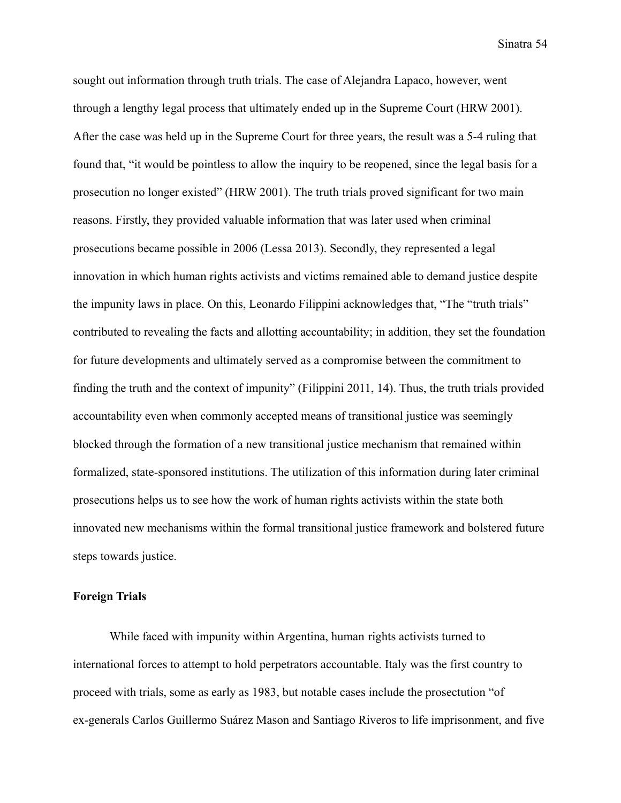sought out information through truth trials. The case of Alejandra Lapaco, however, went through a lengthy legal process that ultimately ended up in the Supreme Court (HRW 2001). After the case was held up in the Supreme Court for three years, the result was a 5-4 ruling that found that, "it would be pointless to allow the inquiry to be reopened, since the legal basis for a prosecution no longer existed" (HRW 2001). The truth trials proved significant for two main reasons. Firstly, they provided valuable information that was later used when criminal prosecutions became possible in 2006 (Lessa 2013). Secondly, they represented a legal innovation in which human rights activists and victims remained able to demand justice despite the impunity laws in place. On this, Leonardo Filippini acknowledges that, "The "truth trials" contributed to revealing the facts and allotting accountability; in addition, they set the foundation for future developments and ultimately served as a compromise between the commitment to finding the truth and the context of impunity" (Filippini 2011, 14). Thus, the truth trials provided accountability even when commonly accepted means of transitional justice was seemingly blocked through the formation of a new transitional justice mechanism that remained within formalized, state-sponsored institutions. The utilization of this information during later criminal prosecutions helps us to see how the work of human rights activists within the state both innovated new mechanisms within the formal transitional justice framework and bolstered future steps towards justice.

## **Foreign Trials**

While faced with impunity within Argentina, human rights activists turned to international forces to attempt to hold perpetrators accountable. Italy was the first country to proceed with trials, some as early as 1983, but notable cases include the prosectution "of ex-generals Carlos Guillermo Suárez Mason and Santiago Riveros to life imprisonment, and five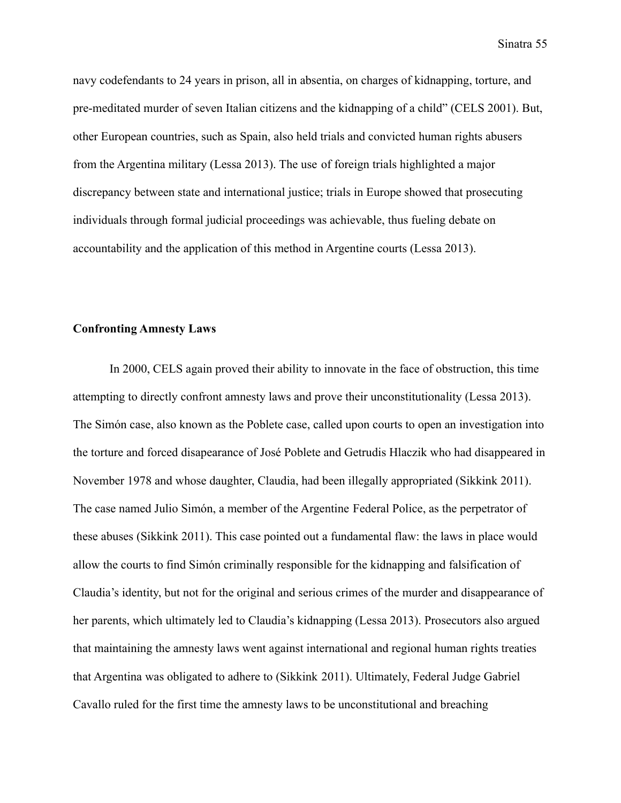navy codefendants to 24 years in prison, all in absentia, on charges of kidnapping, torture, and pre-meditated murder of seven Italian citizens and the kidnapping of a child" (CELS 2001). But, other European countries, such as Spain, also held trials and convicted human rights abusers from the Argentina military (Lessa 2013). The use of foreign trials highlighted a major discrepancy between state and international justice; trials in Europe showed that prosecuting individuals through formal judicial proceedings was achievable, thus fueling debate on accountability and the application of this method in Argentine courts (Lessa 2013).

## **Confronting Amnesty Laws**

In 2000, CELS again proved their ability to innovate in the face of obstruction, this time attempting to directly confront amnesty laws and prove their unconstitutionality (Lessa 2013). The Simón case, also known as the Poblete case, called upon courts to open an investigation into the torture and forced disapearance of José Poblete and Getrudis Hlaczik who had disappeared in November 1978 and whose daughter, Claudia, had been illegally appropriated (Sikkink 2011). The case named Julio Simón, a member of the Argentine Federal Police, as the perpetrator of these abuses (Sikkink 2011). This case pointed out a fundamental flaw: the laws in place would allow the courts to find Simón criminally responsible for the kidnapping and falsification of Claudia's identity, but not for the original and serious crimes of the murder and disappearance of her parents, which ultimately led to Claudia's kidnapping (Lessa 2013). Prosecutors also argued that maintaining the amnesty laws went against international and regional human rights treaties that Argentina was obligated to adhere to (Sikkink 2011). Ultimately, Federal Judge Gabriel Cavallo ruled for the first time the amnesty laws to be unconstitutional and breaching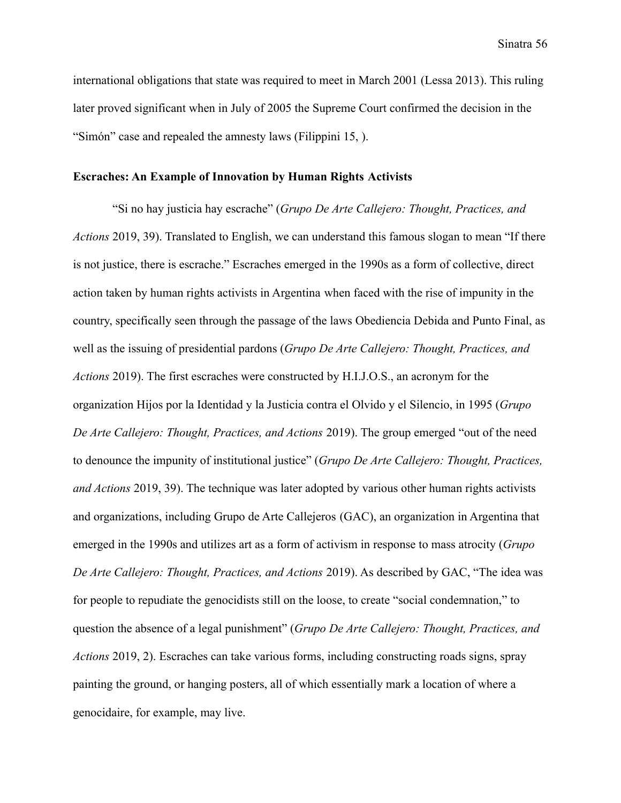international obligations that state was required to meet in March 2001 (Lessa 2013). This ruling later proved significant when in July of 2005 the Supreme Court confirmed the decision in the "Simón" case and repealed the amnesty laws (Filippini 15, ).

### **Escraches: An Example of Innovation by Human Rights Activists**

"Si no hay justicia hay escrache" (*Grupo De Arte Callejero: Thought, Practices, and Actions* 2019, 39). Translated to English, we can understand this famous slogan to mean "If there is not justice, there is escrache." Escraches emerged in the 1990s as a form of collective, direct action taken by human rights activists in Argentina when faced with the rise of impunity in the country, specifically seen through the passage of the laws Obediencia Debida and Punto Final, as well as the issuing of presidential pardons (*Grupo De Arte Callejero: Thought, Practices, and Actions* 2019). The first escraches were constructed by H.I.J.O.S., an acronym for the organization Hijos por la Identidad y la Justicia contra el Olvido y el Silencio, in 1995 (*Grupo De Arte Callejero: Thought, Practices, and Actions* 2019). The group emerged "out of the need to denounce the impunity of institutional justice" (*Grupo De Arte Callejero: Thought, Practices, and Actions* 2019, 39). The technique was later adopted by various other human rights activists and organizations, including Grupo de Arte Callejeros (GAC), an organization in Argentina that emerged in the 1990s and utilizes art as a form of activism in response to mass atrocity (*Grupo De Arte Callejero: Thought, Practices, and Actions* 2019). As described by GAC, "The idea was for people to repudiate the genocidists still on the loose, to create "social condemnation," to question the absence of a legal punishment" (*Grupo De Arte Callejero: Thought, Practices, and Actions* 2019, 2). Escraches can take various forms, including constructing roads signs, spray painting the ground, or hanging posters, all of which essentially mark a location of where a genocidaire, for example, may live.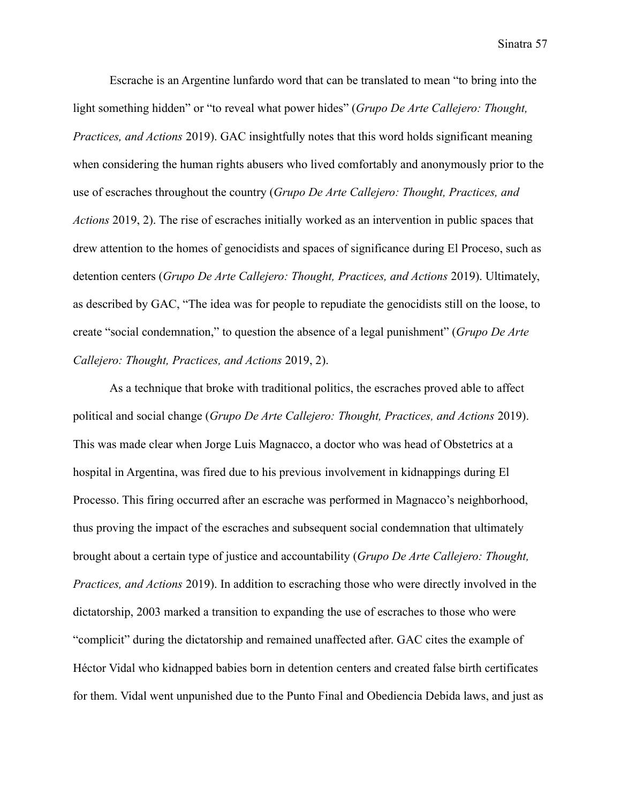Escrache is an Argentine lunfardo word that can be translated to mean "to bring into the light something hidden" or "to reveal what power hides" (*Grupo De Arte Callejero: Thought, Practices, and Actions* 2019). GAC insightfully notes that this word holds significant meaning when considering the human rights abusers who lived comfortably and anonymously prior to the use of escraches throughout the country (*Grupo De Arte Callejero: Thought, Practices, and Actions* 2019, 2). The rise of escraches initially worked as an intervention in public spaces that drew attention to the homes of genocidists and spaces of significance during El Proceso, such as detention centers (*Grupo De Arte Callejero: Thought, Practices, and Actions* 2019). Ultimately, as described by GAC, "The idea was for people to repudiate the genocidists still on the loose, to create "social condemnation," to question the absence of a legal punishment" (*Grupo De Arte Callejero: Thought, Practices, and Actions* 2019, 2).

As a technique that broke with traditional politics, the escraches proved able to affect political and social change (*Grupo De Arte Callejero: Thought, Practices, and Actions* 2019). This was made clear when Jorge Luis Magnacco, a doctor who was head of Obstetrics at a hospital in Argentina, was fired due to his previous involvement in kidnappings during El Processo. This firing occurred after an escrache was performed in Magnacco's neighborhood, thus proving the impact of the escraches and subsequent social condemnation that ultimately brought about a certain type of justice and accountability (*Grupo De Arte Callejero: Thought, Practices, and Actions* 2019). In addition to escraching those who were directly involved in the dictatorship, 2003 marked a transition to expanding the use of escraches to those who were "complicit" during the dictatorship and remained unaffected after. GAC cites the example of Héctor Vidal who kidnapped babies born in detention centers and created false birth certificates for them. Vidal went unpunished due to the Punto Final and Obediencia Debida laws, and just as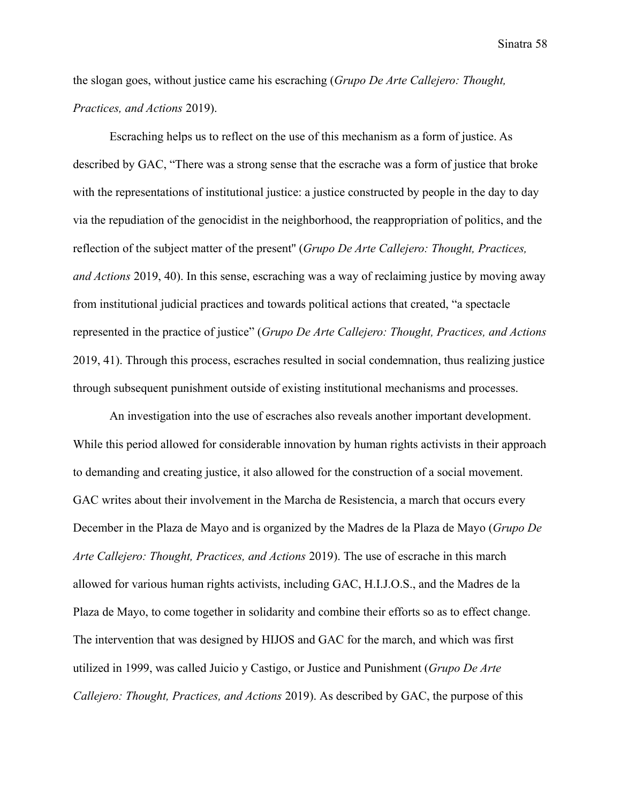the slogan goes, without justice came his escraching (*Grupo De Arte Callejero: Thought, Practices, and Actions* 2019).

Escraching helps us to reflect on the use of this mechanism as a form of justice. As described by GAC, "There was a strong sense that the escrache was a form of justice that broke with the representations of institutional justice: a justice constructed by people in the day to day via the repudiation of the genocidist in the neighborhood, the reappropriation of politics, and the reflection of the subject matter of the present'' (*Grupo De Arte Callejero: Thought, Practices, and Actions* 2019, 40). In this sense, escraching was a way of reclaiming justice by moving away from institutional judicial practices and towards political actions that created, "a spectacle represented in the practice of justice" (*Grupo De Arte Callejero: Thought, Practices, and Actions* 2019, 41). Through this process, escraches resulted in social condemnation, thus realizing justice through subsequent punishment outside of existing institutional mechanisms and processes.

An investigation into the use of escraches also reveals another important development. While this period allowed for considerable innovation by human rights activists in their approach to demanding and creating justice, it also allowed for the construction of a social movement. GAC writes about their involvement in the Marcha de Resistencia, a march that occurs every December in the Plaza de Mayo and is organized by the Madres de la Plaza de Mayo (*Grupo De Arte Callejero: Thought, Practices, and Actions* 2019). The use of escrache in this march allowed for various human rights activists, including GAC, H.I.J.O.S., and the Madres de la Plaza de Mayo, to come together in solidarity and combine their efforts so as to effect change. The intervention that was designed by HIJOS and GAC for the march, and which was first utilized in 1999, was called Juicio y Castigo, or Justice and Punishment (*Grupo De Arte Callejero: Thought, Practices, and Actions* 2019). As described by GAC, the purpose of this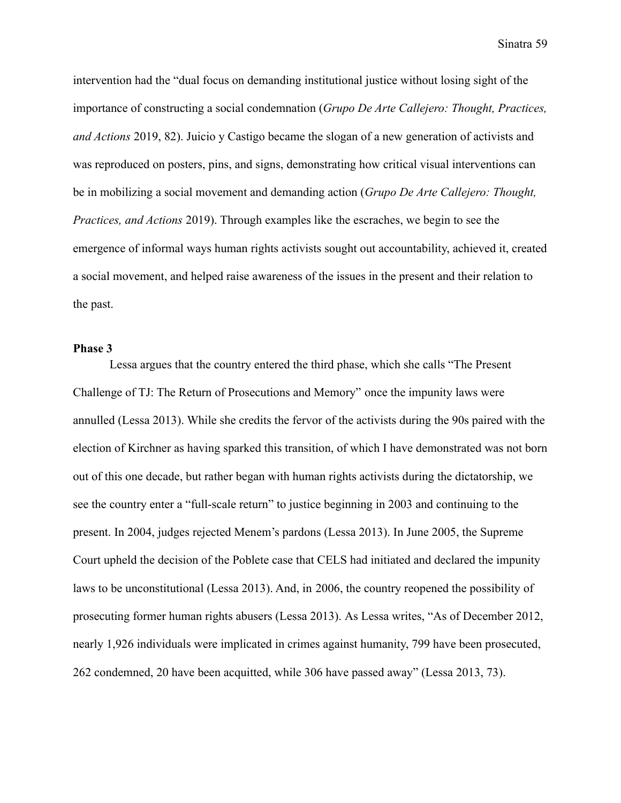intervention had the "dual focus on demanding institutional justice without losing sight of the importance of constructing a social condemnation (*Grupo De Arte Callejero: Thought, Practices, and Actions* 2019, 82). Juicio y Castigo became the slogan of a new generation of activists and was reproduced on posters, pins, and signs, demonstrating how critical visual interventions can be in mobilizing a social movement and demanding action (*Grupo De Arte Callejero: Thought, Practices, and Actions* 2019). Through examples like the escraches, we begin to see the emergence of informal ways human rights activists sought out accountability, achieved it, created a social movement, and helped raise awareness of the issues in the present and their relation to the past.

## **Phase 3**

Lessa argues that the country entered the third phase, which she calls "The Present Challenge of TJ: The Return of Prosecutions and Memory" once the impunity laws were annulled (Lessa 2013). While she credits the fervor of the activists during the 90s paired with the election of Kirchner as having sparked this transition, of which I have demonstrated was not born out of this one decade, but rather began with human rights activists during the dictatorship, we see the country enter a "full-scale return" to justice beginning in 2003 and continuing to the present. In 2004, judges rejected Menem's pardons (Lessa 2013). In June 2005, the Supreme Court upheld the decision of the Poblete case that CELS had initiated and declared the impunity laws to be unconstitutional (Lessa 2013). And, in 2006, the country reopened the possibility of prosecuting former human rights abusers (Lessa 2013). As Lessa writes, "As of December 2012, nearly 1,926 individuals were implicated in crimes against humanity, 799 have been prosecuted, 262 condemned, 20 have been acquitted, while 306 have passed away" (Lessa 2013, 73).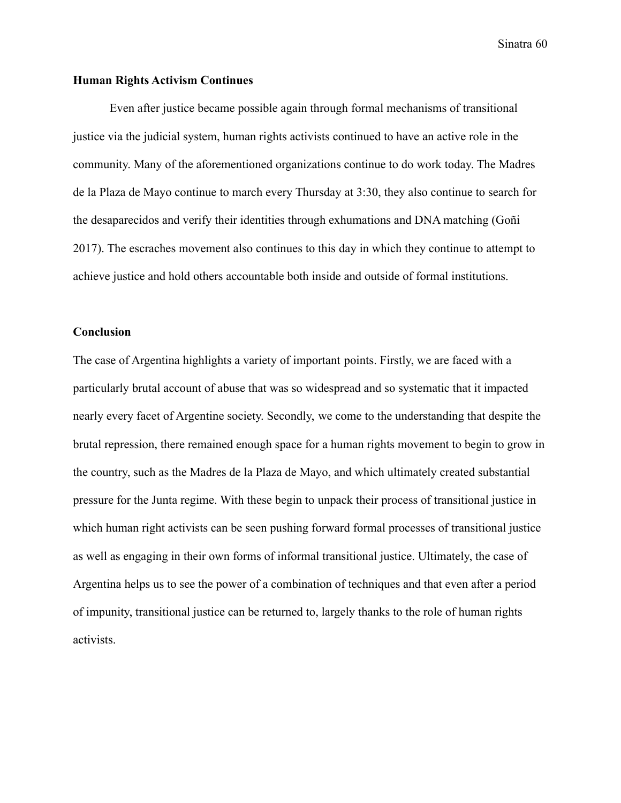## **Human Rights Activism Continues**

Even after justice became possible again through formal mechanisms of transitional justice via the judicial system, human rights activists continued to have an active role in the community. Many of the aforementioned organizations continue to do work today. The Madres de la Plaza de Mayo continue to march every Thursday at 3:30, they also continue to search for the desaparecidos and verify their identities through exhumations and DNA matching (Goñi 2017). The escraches movement also continues to this day in which they continue to attempt to achieve justice and hold others accountable both inside and outside of formal institutions.

#### **Conclusion**

The case of Argentina highlights a variety of important points. Firstly, we are faced with a particularly brutal account of abuse that was so widespread and so systematic that it impacted nearly every facet of Argentine society. Secondly, we come to the understanding that despite the brutal repression, there remained enough space for a human rights movement to begin to grow in the country, such as the Madres de la Plaza de Mayo, and which ultimately created substantial pressure for the Junta regime. With these begin to unpack their process of transitional justice in which human right activists can be seen pushing forward formal processes of transitional justice as well as engaging in their own forms of informal transitional justice. Ultimately, the case of Argentina helps us to see the power of a combination of techniques and that even after a period of impunity, transitional justice can be returned to, largely thanks to the role of human rights activists.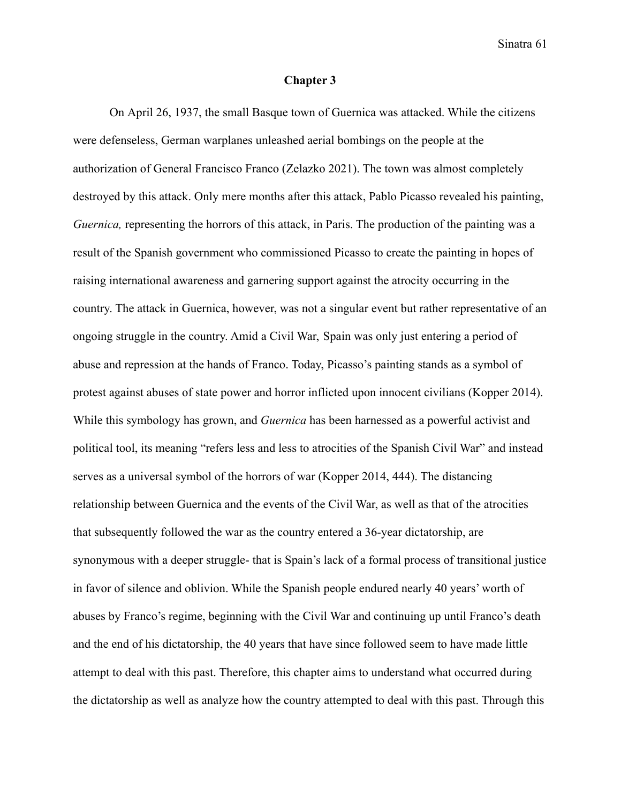### **Chapter 3**

On April 26, 1937, the small Basque town of Guernica was attacked. While the citizens were defenseless, German warplanes unleashed aerial bombings on the people at the authorization of General Francisco Franco (Zelazko 2021). The town was almost completely destroyed by this attack. Only mere months after this attack, Pablo Picasso revealed his painting, *Guernica*, representing the horrors of this attack, in Paris. The production of the painting was a result of the Spanish government who commissioned Picasso to create the painting in hopes of raising international awareness and garnering support against the atrocity occurring in the country. The attack in Guernica, however, was not a singular event but rather representative of an ongoing struggle in the country. Amid a Civil War, Spain was only just entering a period of abuse and repression at the hands of Franco. Today, Picasso's painting stands as a symbol of protest against abuses of state power and horror inflicted upon innocent civilians (Kopper 2014). While this symbology has grown, and *Guernica* has been harnessed as a powerful activist and political tool, its meaning "refers less and less to atrocities of the Spanish Civil War" and instead serves as a universal symbol of the horrors of war (Kopper 2014, 444). The distancing relationship between Guernica and the events of the Civil War, as well as that of the atrocities that subsequently followed the war as the country entered a 36-year dictatorship, are synonymous with a deeper struggle- that is Spain's lack of a formal process of transitional justice in favor of silence and oblivion. While the Spanish people endured nearly 40 years' worth of abuses by Franco's regime, beginning with the Civil War and continuing up until Franco's death and the end of his dictatorship, the 40 years that have since followed seem to have made little attempt to deal with this past. Therefore, this chapter aims to understand what occurred during the dictatorship as well as analyze how the country attempted to deal with this past. Through this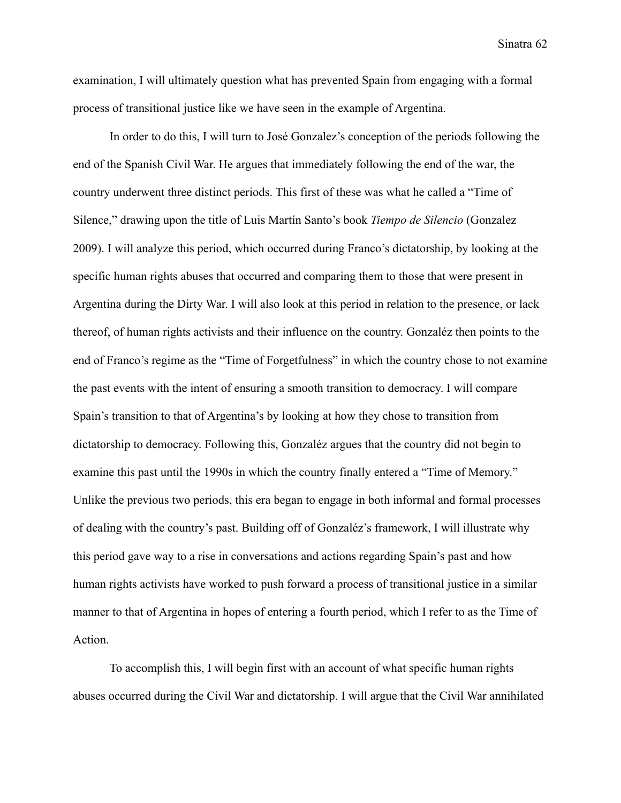examination, I will ultimately question what has prevented Spain from engaging with a formal process of transitional justice like we have seen in the example of Argentina.

In order to do this, I will turn to José Gonzalez's conception of the periods following the end of the Spanish Civil War. He argues that immediately following the end of the war, the country underwent three distinct periods. This first of these was what he called a "Time of Silence," drawing upon the title of Luis Martín Santo's book *Tiempo de Silencio* (Gonzalez 2009). I will analyze this period, which occurred during Franco's dictatorship, by looking at the specific human rights abuses that occurred and comparing them to those that were present in Argentina during the Dirty War. I will also look at this period in relation to the presence, or lack thereof, of human rights activists and their influence on the country. Gonzaléz then points to the end of Franco's regime as the "Time of Forgetfulness" in which the country chose to not examine the past events with the intent of ensuring a smooth transition to democracy. I will compare Spain's transition to that of Argentina's by looking at how they chose to transition from dictatorship to democracy. Following this, Gonzaléz argues that the country did not begin to examine this past until the 1990s in which the country finally entered a "Time of Memory." Unlike the previous two periods, this era began to engage in both informal and formal processes of dealing with the country's past. Building off of Gonzaléz's framework, I will illustrate why this period gave way to a rise in conversations and actions regarding Spain's past and how human rights activists have worked to push forward a process of transitional justice in a similar manner to that of Argentina in hopes of entering a fourth period, which I refer to as the Time of Action.

To accomplish this, I will begin first with an account of what specific human rights abuses occurred during the Civil War and dictatorship. I will argue that the Civil War annihilated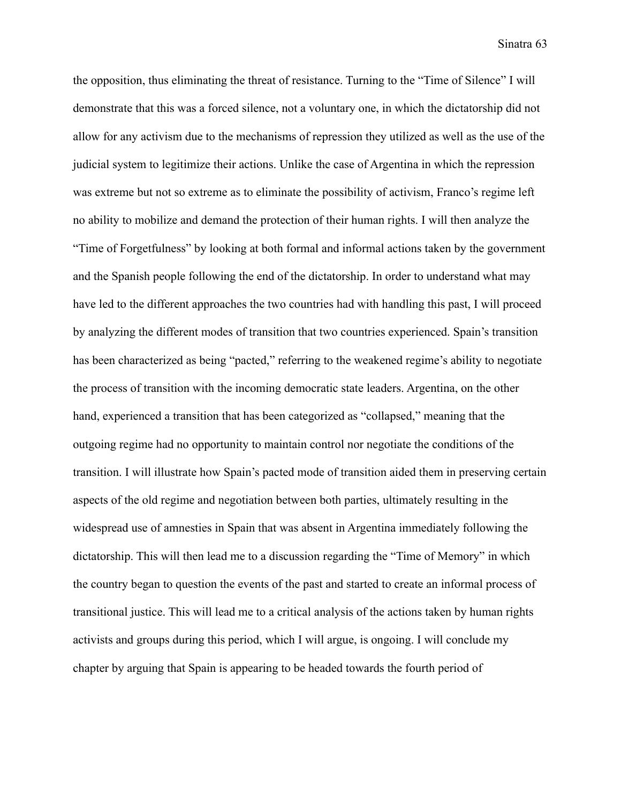the opposition, thus eliminating the threat of resistance. Turning to the "Time of Silence" I will demonstrate that this was a forced silence, not a voluntary one, in which the dictatorship did not allow for any activism due to the mechanisms of repression they utilized as well as the use of the judicial system to legitimize their actions. Unlike the case of Argentina in which the repression was extreme but not so extreme as to eliminate the possibility of activism, Franco's regime left no ability to mobilize and demand the protection of their human rights. I will then analyze the "Time of Forgetfulness" by looking at both formal and informal actions taken by the government and the Spanish people following the end of the dictatorship. In order to understand what may have led to the different approaches the two countries had with handling this past, I will proceed by analyzing the different modes of transition that two countries experienced. Spain's transition has been characterized as being "pacted," referring to the weakened regime's ability to negotiate the process of transition with the incoming democratic state leaders. Argentina, on the other hand, experienced a transition that has been categorized as "collapsed," meaning that the outgoing regime had no opportunity to maintain control nor negotiate the conditions of the transition. I will illustrate how Spain's pacted mode of transition aided them in preserving certain aspects of the old regime and negotiation between both parties, ultimately resulting in the widespread use of amnesties in Spain that was absent in Argentina immediately following the dictatorship. This will then lead me to a discussion regarding the "Time of Memory" in which the country began to question the events of the past and started to create an informal process of transitional justice. This will lead me to a critical analysis of the actions taken by human rights activists and groups during this period, which I will argue, is ongoing. I will conclude my chapter by arguing that Spain is appearing to be headed towards the fourth period of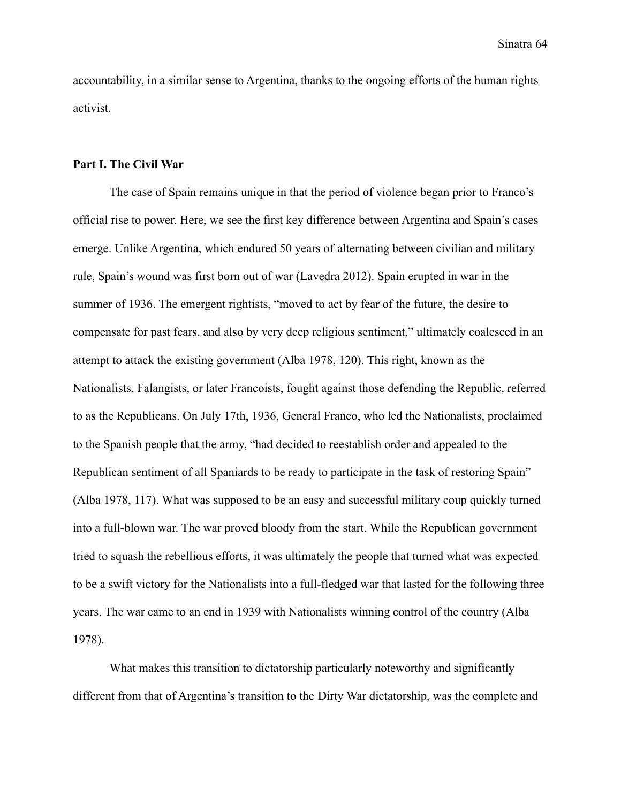accountability, in a similar sense to Argentina, thanks to the ongoing efforts of the human rights activist.

### **Part I. The Civil War**

The case of Spain remains unique in that the period of violence began prior to Franco's official rise to power. Here, we see the first key difference between Argentina and Spain's cases emerge. Unlike Argentina, which endured 50 years of alternating between civilian and military rule, Spain's wound was first born out of war (Lavedra 2012). Spain erupted in war in the summer of 1936. The emergent rightists, "moved to act by fear of the future, the desire to compensate for past fears, and also by very deep religious sentiment," ultimately coalesced in an attempt to attack the existing government (Alba 1978, 120). This right, known as the Nationalists, Falangists, or later Francoists, fought against those defending the Republic, referred to as the Republicans. On July 17th, 1936, General Franco, who led the Nationalists, proclaimed to the Spanish people that the army, "had decided to reestablish order and appealed to the Republican sentiment of all Spaniards to be ready to participate in the task of restoring Spain" (Alba 1978, 117). What was supposed to be an easy and successful military coup quickly turned into a full-blown war. The war proved bloody from the start. While the Republican government tried to squash the rebellious efforts, it was ultimately the people that turned what was expected to be a swift victory for the Nationalists into a full-fledged war that lasted for the following three years. The war came to an end in 1939 with Nationalists winning control of the country (Alba 1978).

What makes this transition to dictatorship particularly noteworthy and significantly different from that of Argentina's transition to the Dirty War dictatorship, was the complete and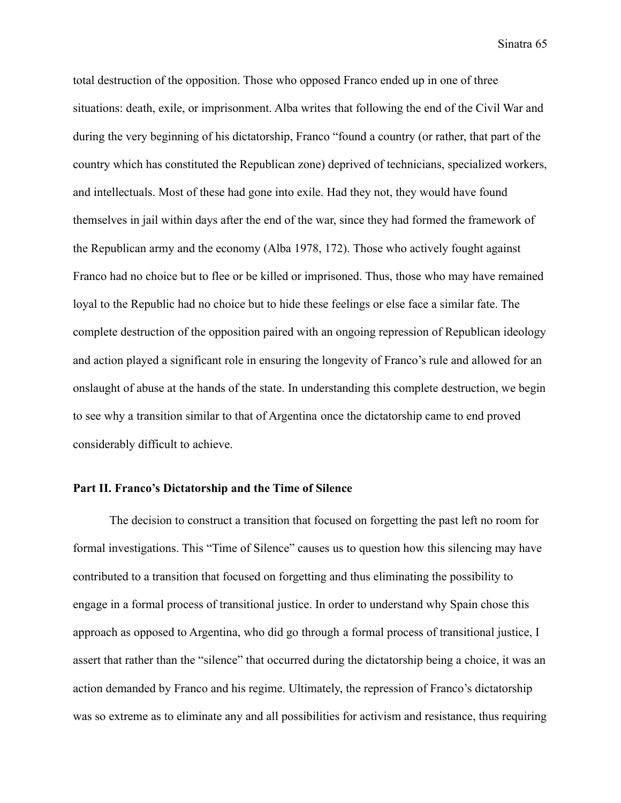total destruction of the opposition. Those who opposed Franco ended up in one of three situations: death, exile, or imprisonment. Alba writes that following the end of the Civil War and during the very beginning of his dictatorship, Franco "found a country (or rather, that part of the country which has constituted the Republican zone) deprived of technicians, specialized workers, and intellectuals. Most of these had gone into exile. Had they not, they would have found themselves in jail within days after the end of the war, since they had formed the framework of the Republican army and the economy (Alba 1978, 172). Those who actively fought against Franco had no choice but to flee or be killed or imprisoned. Thus, those who may have remained loyal to the Republic had no choice but to hide these feelings or else face a similar fate. The complete destruction of the opposition paired with an ongoing repression of Republican ideology and action played a significant role in ensuring the longevity of Franco's rule and allowed for an onslaught of abuse at the hands of the state. In understanding this complete destruction, we begin to see why a transition similar to that of Argentina once the dictatorship came to end proved considerably difficult to achieve.

### **Part II. Franco's Dictatorship and the Time of Silence**

The decision to construct a transition that focused on forgetting the past left no room for formal investigations. This "Time of Silence" causes us to question how this silencing may have contributed to a transition that focused on forgetting and thus eliminating the possibility to engage in a formal process of transitional justice. In order to understand why Spain chose this approach as opposed to Argentina, who did go through a formal process of transitional justice, I assert that rather than the "silence" that occurred during the dictatorship being a choice, it was an action demanded by Franco and his regime. Ultimately, the repression of Franco's dictatorship was so extreme as to eliminate any and all possibilities for activism and resistance, thus requiring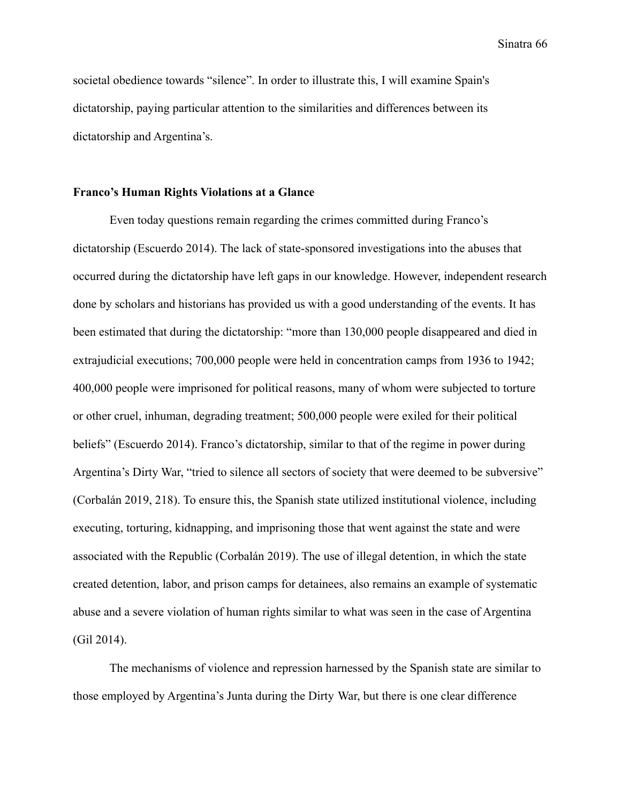societal obedience towards "silence". In order to illustrate this, I will examine Spain's dictatorship, paying particular attention to the similarities and differences between its dictatorship and Argentina's.

## **Franco's Human Rights Violations at a Glance**

Even today questions remain regarding the crimes committed during Franco's dictatorship (Escuerdo 2014). The lack of state-sponsored investigations into the abuses that occurred during the dictatorship have left gaps in our knowledge. However, independent research done by scholars and historians has provided us with a good understanding of the events. It has been estimated that during the dictatorship: "more than 130,000 people disappeared and died in extrajudicial executions; 700,000 people were held in concentration camps from 1936 to 1942; 400,000 people were imprisoned for political reasons, many of whom were subjected to torture or other cruel, inhuman, degrading treatment; 500,000 people were exiled for their political beliefs" (Escuerdo 2014). Franco's dictatorship, similar to that of the regime in power during Argentina's Dirty War, "tried to silence all sectors of society that were deemed to be subversive" (Corbalán 2019, 218). To ensure this, the Spanish state utilized institutional violence, including executing, torturing, kidnapping, and imprisoning those that went against the state and were associated with the Republic (Corbalán 2019). The use of illegal detention, in which the state created detention, labor, and prison camps for detainees, also remains an example of systematic abuse and a severe violation of human rights similar to what was seen in the case of Argentina (Gil 2014).

The mechanisms of violence and repression harnessed by the Spanish state are similar to those employed by Argentina's Junta during the Dirty War, but there is one clear difference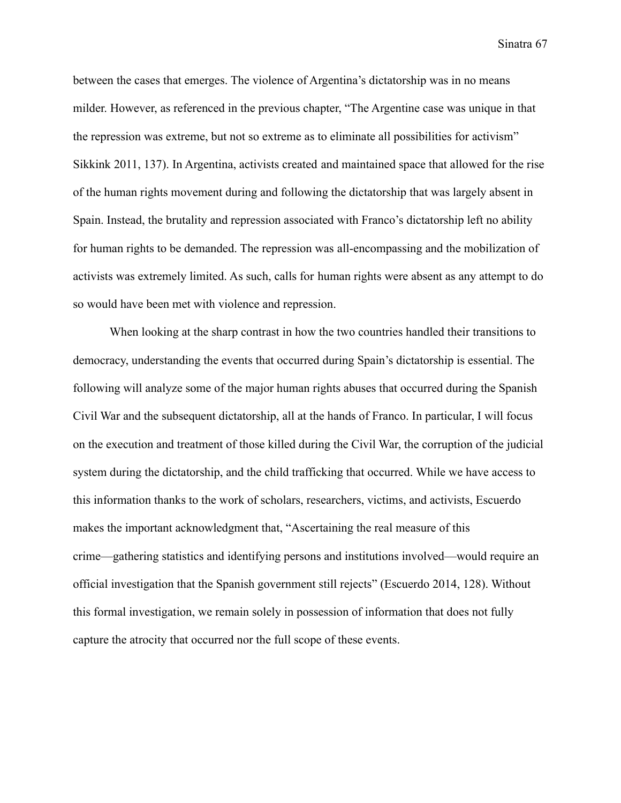between the cases that emerges. The violence of Argentina's dictatorship was in no means milder. However, as referenced in the previous chapter, "The Argentine case was unique in that the repression was extreme, but not so extreme as to eliminate all possibilities for activism" Sikkink 2011, 137). In Argentina, activists created and maintained space that allowed for the rise of the human rights movement during and following the dictatorship that was largely absent in Spain. Instead, the brutality and repression associated with Franco's dictatorship left no ability for human rights to be demanded. The repression was all-encompassing and the mobilization of activists was extremely limited. As such, calls for human rights were absent as any attempt to do so would have been met with violence and repression.

When looking at the sharp contrast in how the two countries handled their transitions to democracy, understanding the events that occurred during Spain's dictatorship is essential. The following will analyze some of the major human rights abuses that occurred during the Spanish Civil War and the subsequent dictatorship, all at the hands of Franco. In particular, I will focus on the execution and treatment of those killed during the Civil War, the corruption of the judicial system during the dictatorship, and the child trafficking that occurred. While we have access to this information thanks to the work of scholars, researchers, victims, and activists, Escuerdo makes the important acknowledgment that, "Ascertaining the real measure of this crime—gathering statistics and identifying persons and institutions involved—would require an official investigation that the Spanish government still rejects" (Escuerdo 2014, 128). Without this formal investigation, we remain solely in possession of information that does not fully capture the atrocity that occurred nor the full scope of these events.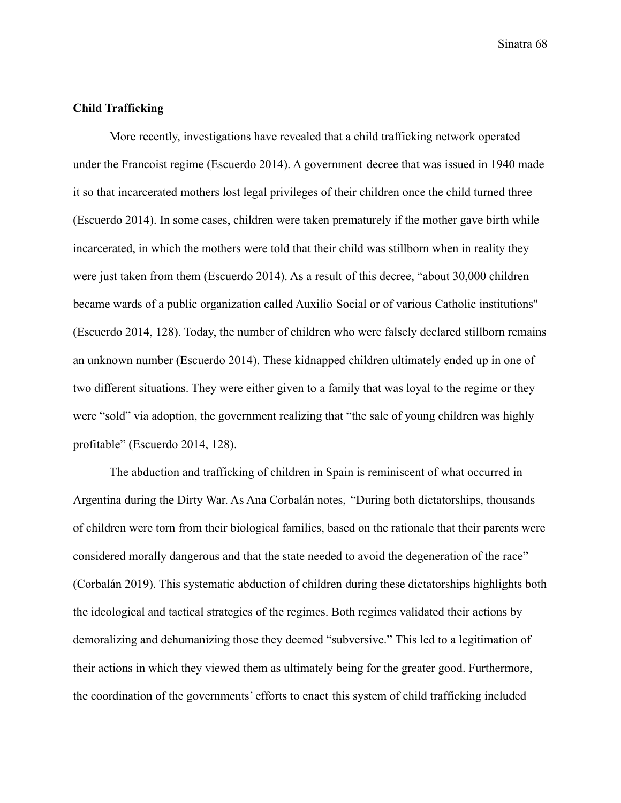# **Child Trafficking**

More recently, investigations have revealed that a child trafficking network operated under the Francoist regime (Escuerdo 2014). A government decree that was issued in 1940 made it so that incarcerated mothers lost legal privileges of their children once the child turned three (Escuerdo 2014). In some cases, children were taken prematurely if the mother gave birth while incarcerated, in which the mothers were told that their child was stillborn when in reality they were just taken from them (Escuerdo 2014). As a result of this decree, "about 30,000 children became wards of a public organization called Auxilio Social or of various Catholic institutions'' (Escuerdo 2014, 128). Today, the number of children who were falsely declared stillborn remains an unknown number (Escuerdo 2014). These kidnapped children ultimately ended up in one of two different situations. They were either given to a family that was loyal to the regime or they were "sold" via adoption, the government realizing that "the sale of young children was highly profitable" (Escuerdo 2014, 128).

The abduction and trafficking of children in Spain is reminiscent of what occurred in Argentina during the Dirty War. As Ana Corbalán notes, "During both dictatorships, thousands of children were torn from their biological families, based on the rationale that their parents were considered morally dangerous and that the state needed to avoid the degeneration of the race" (Corbalán 2019). This systematic abduction of children during these dictatorships highlights both the ideological and tactical strategies of the regimes. Both regimes validated their actions by demoralizing and dehumanizing those they deemed "subversive." This led to a legitimation of their actions in which they viewed them as ultimately being for the greater good. Furthermore, the coordination of the governments' efforts to enact this system of child trafficking included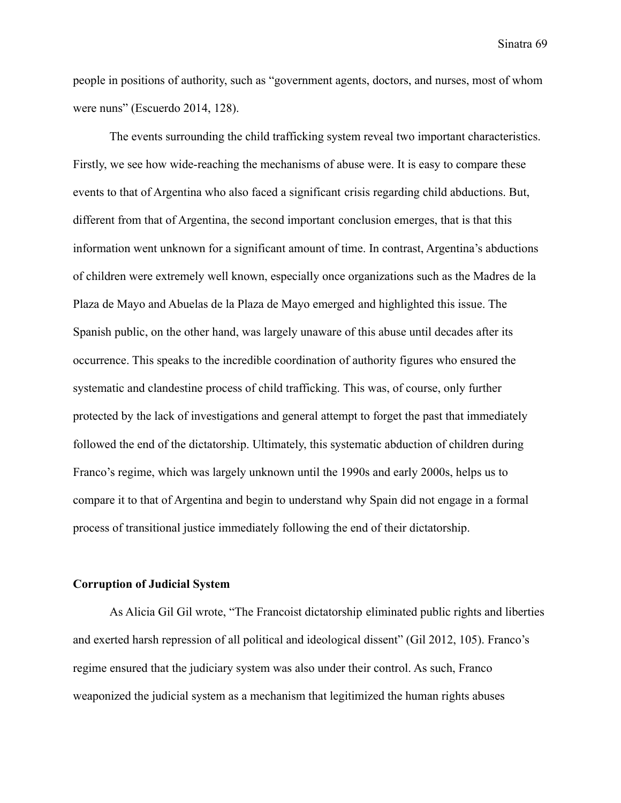people in positions of authority, such as "government agents, doctors, and nurses, most of whom were nuns" (Escuerdo 2014, 128).

The events surrounding the child trafficking system reveal two important characteristics. Firstly, we see how wide-reaching the mechanisms of abuse were. It is easy to compare these events to that of Argentina who also faced a significant crisis regarding child abductions. But, different from that of Argentina, the second important conclusion emerges, that is that this information went unknown for a significant amount of time. In contrast, Argentina's abductions of children were extremely well known, especially once organizations such as the Madres de la Plaza de Mayo and Abuelas de la Plaza de Mayo emerged and highlighted this issue. The Spanish public, on the other hand, was largely unaware of this abuse until decades after its occurrence. This speaks to the incredible coordination of authority figures who ensured the systematic and clandestine process of child trafficking. This was, of course, only further protected by the lack of investigations and general attempt to forget the past that immediately followed the end of the dictatorship. Ultimately, this systematic abduction of children during Franco's regime, which was largely unknown until the 1990s and early 2000s, helps us to compare it to that of Argentina and begin to understand why Spain did not engage in a formal process of transitional justice immediately following the end of their dictatorship.

## **Corruption of Judicial System**

As Alicia Gil Gil wrote, "The Francoist dictatorship eliminated public rights and liberties and exerted harsh repression of all political and ideological dissent" (Gil 2012, 105). Franco's regime ensured that the judiciary system was also under their control. As such, Franco weaponized the judicial system as a mechanism that legitimized the human rights abuses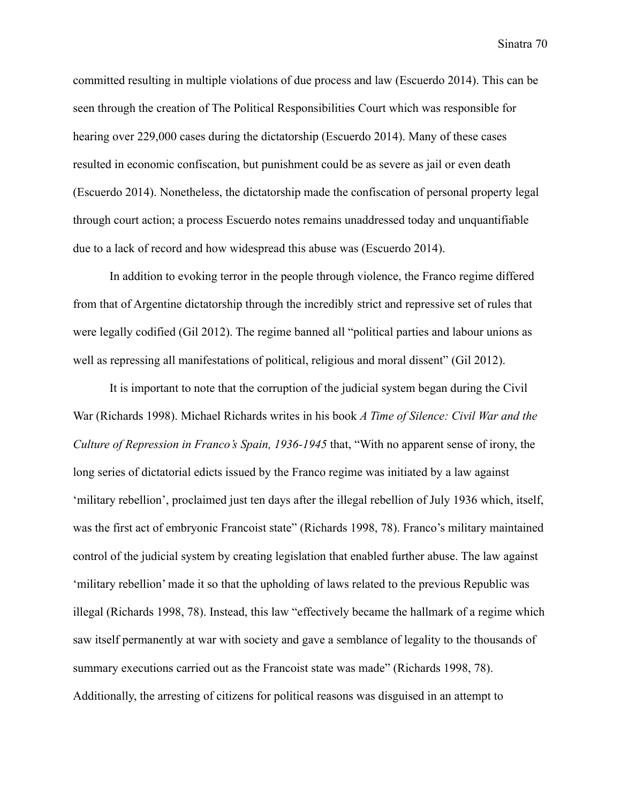committed resulting in multiple violations of due process and law (Escuerdo 2014). This can be seen through the creation of The Political Responsibilities Court which was responsible for hearing over 229,000 cases during the dictatorship (Escuerdo 2014). Many of these cases resulted in economic confiscation, but punishment could be as severe as jail or even death (Escuerdo 2014). Nonetheless, the dictatorship made the confiscation of personal property legal through court action; a process Escuerdo notes remains unaddressed today and unquantifiable due to a lack of record and how widespread this abuse was (Escuerdo 2014).

In addition to evoking terror in the people through violence, the Franco regime differed from that of Argentine dictatorship through the incredibly strict and repressive set of rules that were legally codified (Gil 2012). The regime banned all "political parties and labour unions as well as repressing all manifestations of political, religious and moral dissent" (Gil 2012).

It is important to note that the corruption of the judicial system began during the Civil War (Richards 1998). Michael Richards writes in his book *A Time of Silence: Civil War and the Culture of Repression in Franco's Spain, 1936-1945* that, "With no apparent sense of irony, the long series of dictatorial edicts issued by the Franco regime was initiated by a law against 'military rebellion', proclaimed just ten days after the illegal rebellion of July 1936 which, itself, was the first act of embryonic Francoist state" (Richards 1998, 78). Franco's military maintained control of the judicial system by creating legislation that enabled further abuse. The law against 'military rebellion' made it so that the upholding of laws related to the previous Republic was illegal (Richards 1998, 78). Instead, this law "effectively became the hallmark of a regime which saw itself permanently at war with society and gave a semblance of legality to the thousands of summary executions carried out as the Francoist state was made" (Richards 1998, 78). Additionally, the arresting of citizens for political reasons was disguised in an attempt to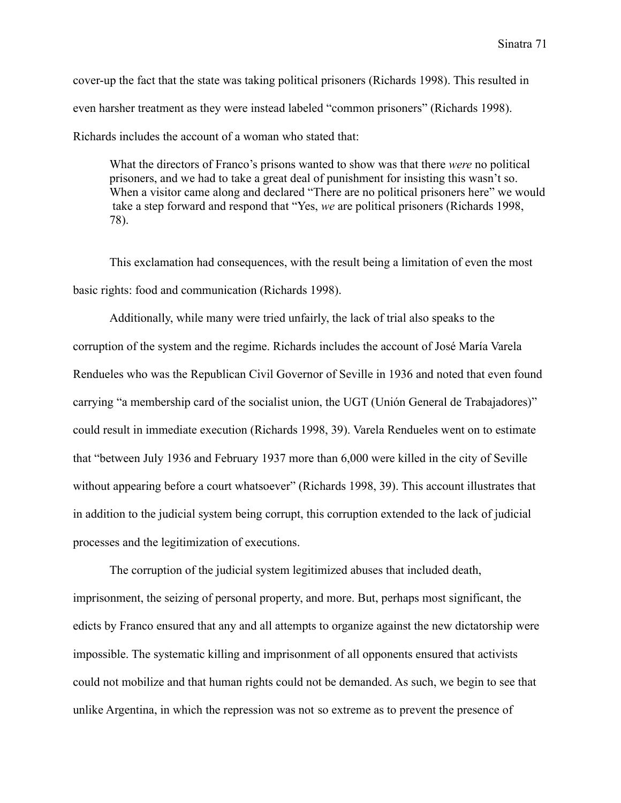cover-up the fact that the state was taking political prisoners (Richards 1998). This resulted in even harsher treatment as they were instead labeled "common prisoners" (Richards 1998). Richards includes the account of a woman who stated that:

What the directors of Franco's prisons wanted to show was that there *were* no political prisoners, and we had to take a great deal of punishment for insisting this wasn't so. When a visitor came along and declared "There are no political prisoners here" we would take a step forward and respond that "Yes, *we* are political prisoners (Richards 1998, 78).

This exclamation had consequences, with the result being a limitation of even the most basic rights: food and communication (Richards 1998).

Additionally, while many were tried unfairly, the lack of trial also speaks to the corruption of the system and the regime. Richards includes the account of José María Varela Rendueles who was the Republican Civil Governor of Seville in 1936 and noted that even found carrying "a membership card of the socialist union, the UGT (Unión General de Trabajadores)" could result in immediate execution (Richards 1998, 39). Varela Rendueles went on to estimate that "between July 1936 and February 1937 more than 6,000 were killed in the city of Seville without appearing before a court whatsoever" (Richards 1998, 39). This account illustrates that in addition to the judicial system being corrupt, this corruption extended to the lack of judicial processes and the legitimization of executions.

The corruption of the judicial system legitimized abuses that included death, imprisonment, the seizing of personal property, and more. But, perhaps most significant, the edicts by Franco ensured that any and all attempts to organize against the new dictatorship were impossible. The systematic killing and imprisonment of all opponents ensured that activists could not mobilize and that human rights could not be demanded. As such, we begin to see that unlike Argentina, in which the repression was not so extreme as to prevent the presence of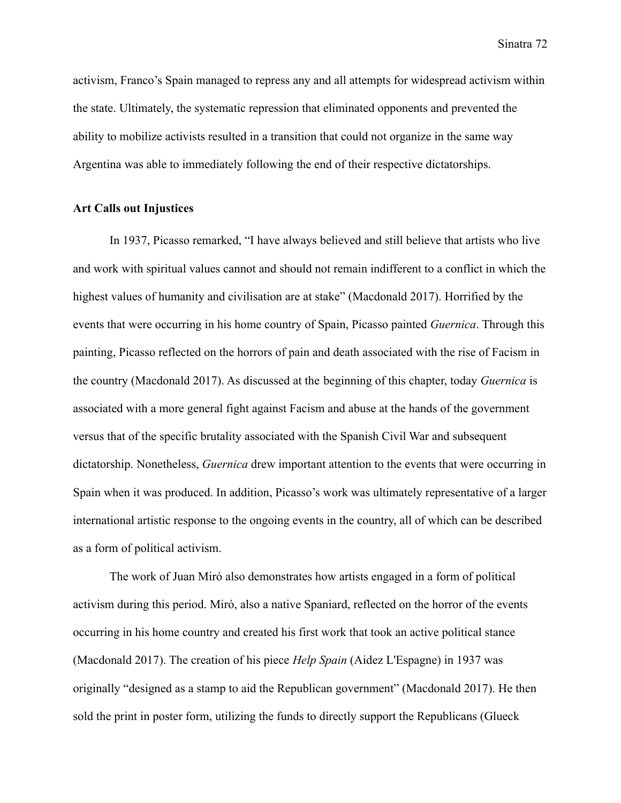activism, Franco's Spain managed to repress any and all attempts for widespread activism within the state. Ultimately, the systematic repression that eliminated opponents and prevented the ability to mobilize activists resulted in a transition that could not organize in the same way Argentina was able to immediately following the end of their respective dictatorships.

## **Art Calls out Injustices**

In 1937, Picasso remarked, "I have always believed and still believe that artists who live and work with spiritual values cannot and should not remain indifferent to a conflict in which the highest values of humanity and civilisation are at stake" (Macdonald 2017). Horrified by the events that were occurring in his home country of Spain, Picasso painted *Guernica*. Through this painting, Picasso reflected on the horrors of pain and death associated with the rise of Facism in the country (Macdonald 2017). As discussed at the beginning of this chapter, today *Guernica* is associated with a more general fight against Facism and abuse at the hands of the government versus that of the specific brutality associated with the Spanish Civil War and subsequent dictatorship. Nonetheless, *Guernica* drew important attention to the events that were occurring in Spain when it was produced. In addition, Picasso's work was ultimately representative of a larger international artistic response to the ongoing events in the country, all of which can be described as a form of political activism.

The work of Juan Miró also demonstrates how artists engaged in a form of political activism during this period. Miró, also a native Spaniard, reflected on the horror of the events occurring in his home country and created his first work that took an active political stance (Macdonald 2017). The creation of his piece *Help Spain* (Aidez L'Espagne) in 1937 was originally "designed as a stamp to aid the Republican government" (Macdonald 2017). He then sold the print in poster form, utilizing the funds to directly support the Republicans (Glueck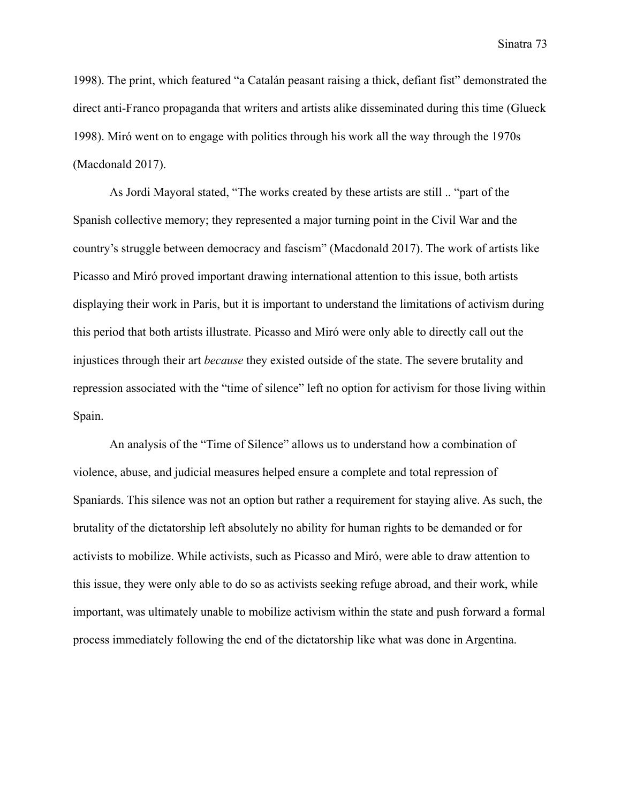1998). The print, which featured "a Catalán peasant raising a thick, defiant fist" demonstrated the direct anti-Franco propaganda that writers and artists alike disseminated during this time (Glueck 1998). Miró went on to engage with politics through his work all the way through the 1970s (Macdonald 2017).

As Jordi Mayoral stated, "The works created by these artists are still .. "part of the Spanish collective memory; they represented a major turning point in the Civil War and the country's struggle between democracy and fascism" (Macdonald 2017). The work of artists like Picasso and Miró proved important drawing international attention to this issue, both artists displaying their work in Paris, but it is important to understand the limitations of activism during this period that both artists illustrate. Picasso and Miró were only able to directly call out the injustices through their art *because* they existed outside of the state. The severe brutality and repression associated with the "time of silence" left no option for activism for those living within Spain.

An analysis of the "Time of Silence" allows us to understand how a combination of violence, abuse, and judicial measures helped ensure a complete and total repression of Spaniards. This silence was not an option but rather a requirement for staying alive. As such, the brutality of the dictatorship left absolutely no ability for human rights to be demanded or for activists to mobilize. While activists, such as Picasso and Miró, were able to draw attention to this issue, they were only able to do so as activists seeking refuge abroad, and their work, while important, was ultimately unable to mobilize activism within the state and push forward a formal process immediately following the end of the dictatorship like what was done in Argentina.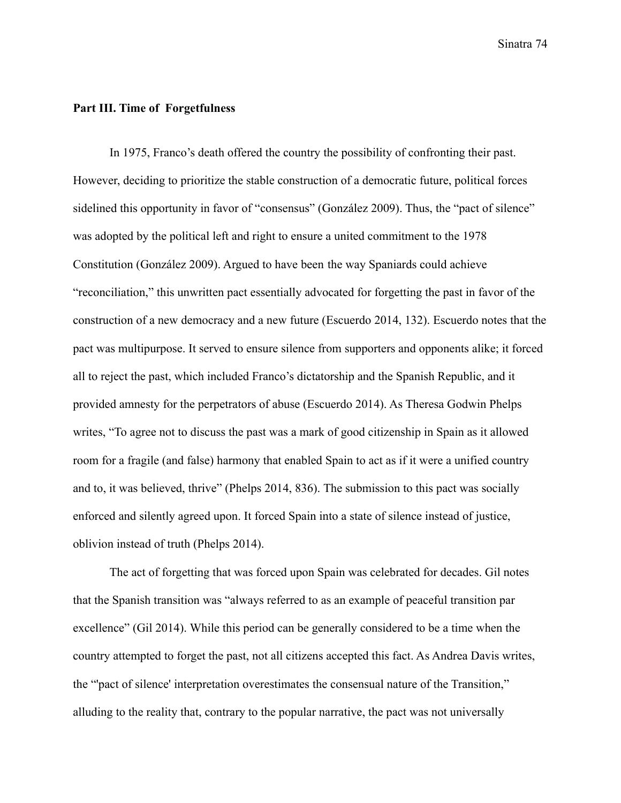## **Part III. Time of Forgetfulness**

In 1975, Franco's death offered the country the possibility of confronting their past. However, deciding to prioritize the stable construction of a democratic future, political forces sidelined this opportunity in favor of "consensus" (González 2009). Thus, the "pact of silence" was adopted by the political left and right to ensure a united commitment to the 1978 Constitution (González 2009). Argued to have been the way Spaniards could achieve "reconciliation," this unwritten pact essentially advocated for forgetting the past in favor of the construction of a new democracy and a new future (Escuerdo 2014, 132). Escuerdo notes that the pact was multipurpose. It served to ensure silence from supporters and opponents alike; it forced all to reject the past, which included Franco's dictatorship and the Spanish Republic, and it provided amnesty for the perpetrators of abuse (Escuerdo 2014). As Theresa Godwin Phelps writes, "To agree not to discuss the past was a mark of good citizenship in Spain as it allowed room for a fragile (and false) harmony that enabled Spain to act as if it were a unified country and to, it was believed, thrive" (Phelps 2014, 836). The submission to this pact was socially enforced and silently agreed upon. It forced Spain into a state of silence instead of justice, oblivion instead of truth (Phelps 2014).

The act of forgetting that was forced upon Spain was celebrated for decades. Gil notes that the Spanish transition was "always referred to as an example of peaceful transition par excellence" (Gil 2014). While this period can be generally considered to be a time when the country attempted to forget the past, not all citizens accepted this fact. As Andrea Davis writes, the "'pact of silence' interpretation overestimates the consensual nature of the Transition," alluding to the reality that, contrary to the popular narrative, the pact was not universally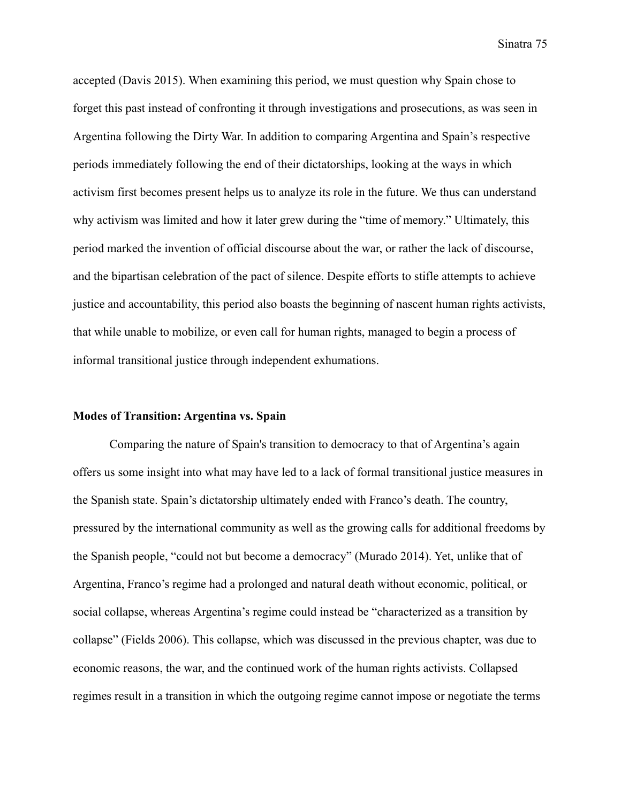accepted (Davis 2015). When examining this period, we must question why Spain chose to forget this past instead of confronting it through investigations and prosecutions, as was seen in Argentina following the Dirty War. In addition to comparing Argentina and Spain's respective periods immediately following the end of their dictatorships, looking at the ways in which activism first becomes present helps us to analyze its role in the future. We thus can understand why activism was limited and how it later grew during the "time of memory." Ultimately, this period marked the invention of official discourse about the war, or rather the lack of discourse, and the bipartisan celebration of the pact of silence. Despite efforts to stifle attempts to achieve justice and accountability, this period also boasts the beginning of nascent human rights activists, that while unable to mobilize, or even call for human rights, managed to begin a process of informal transitional justice through independent exhumations.

#### **Modes of Transition: Argentina vs. Spain**

Comparing the nature of Spain's transition to democracy to that of Argentina's again offers us some insight into what may have led to a lack of formal transitional justice measures in the Spanish state. Spain's dictatorship ultimately ended with Franco's death. The country, pressured by the international community as well as the growing calls for additional freedoms by the Spanish people, "could not but become a democracy" (Murado 2014). Yet, unlike that of Argentina, Franco's regime had a prolonged and natural death without economic, political, or social collapse, whereas Argentina's regime could instead be "characterized as a transition by collapse" (Fields 2006). This collapse, which was discussed in the previous chapter, was due to economic reasons, the war, and the continued work of the human rights activists. Collapsed regimes result in a transition in which the outgoing regime cannot impose or negotiate the terms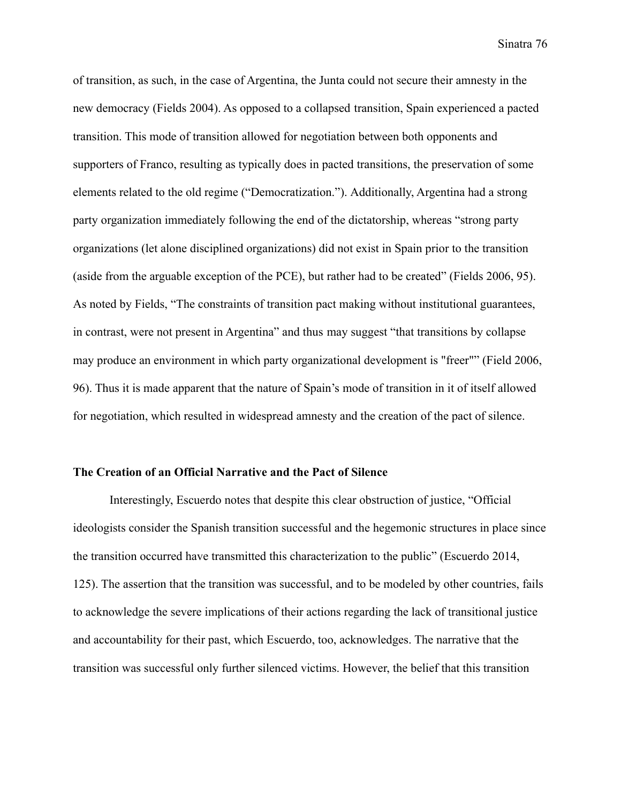of transition, as such, in the case of Argentina, the Junta could not secure their amnesty in the new democracy (Fields 2004). As opposed to a collapsed transition, Spain experienced a pacted transition. This mode of transition allowed for negotiation between both opponents and supporters of Franco, resulting as typically does in pacted transitions, the preservation of some elements related to the old regime ("Democratization."). Additionally, Argentina had a strong party organization immediately following the end of the dictatorship, whereas "strong party organizations (let alone disciplined organizations) did not exist in Spain prior to the transition (aside from the arguable exception of the PCE), but rather had to be created" (Fields 2006, 95). As noted by Fields, "The constraints of transition pact making without institutional guarantees, in contrast, were not present in Argentina" and thus may suggest "that transitions by collapse may produce an environment in which party organizational development is "freer"" (Field 2006, 96). Thus it is made apparent that the nature of Spain's mode of transition in it of itself allowed for negotiation, which resulted in widespread amnesty and the creation of the pact of silence.

## **The Creation of an Official Narrative and the Pact of Silence**

Interestingly, Escuerdo notes that despite this clear obstruction of justice, "Official ideologists consider the Spanish transition successful and the hegemonic structures in place since the transition occurred have transmitted this characterization to the public" (Escuerdo 2014, 125). The assertion that the transition was successful, and to be modeled by other countries, fails to acknowledge the severe implications of their actions regarding the lack of transitional justice and accountability for their past, which Escuerdo, too, acknowledges. The narrative that the transition was successful only further silenced victims. However, the belief that this transition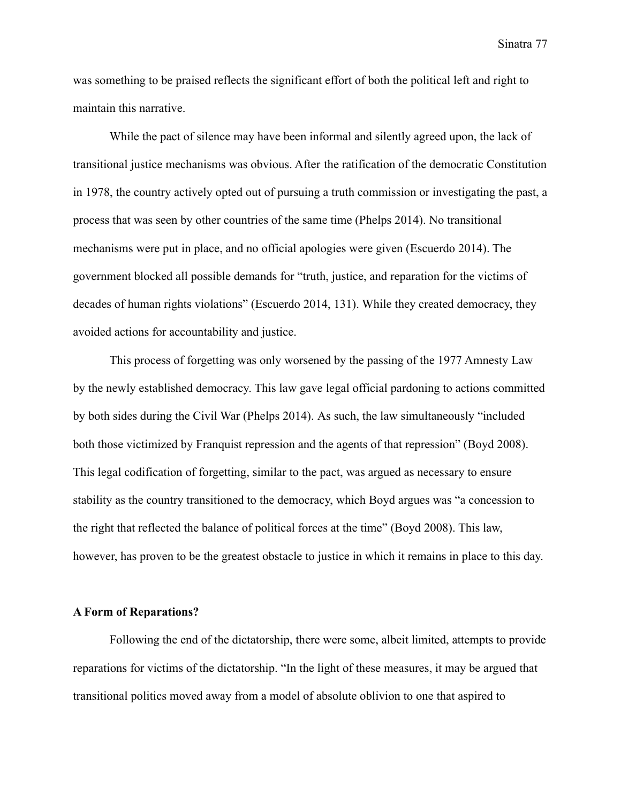was something to be praised reflects the significant effort of both the political left and right to maintain this narrative.

While the pact of silence may have been informal and silently agreed upon, the lack of transitional justice mechanisms was obvious. After the ratification of the democratic Constitution in 1978, the country actively opted out of pursuing a truth commission or investigating the past, a process that was seen by other countries of the same time (Phelps 2014). No transitional mechanisms were put in place, and no official apologies were given (Escuerdo 2014). The government blocked all possible demands for "truth, justice, and reparation for the victims of decades of human rights violations" (Escuerdo 2014, 131). While they created democracy, they avoided actions for accountability and justice.

This process of forgetting was only worsened by the passing of the 1977 Amnesty Law by the newly established democracy. This law gave legal official pardoning to actions committed by both sides during the Civil War (Phelps 2014). As such, the law simultaneously "included both those victimized by Franquist repression and the agents of that repression" (Boyd 2008). This legal codification of forgetting, similar to the pact, was argued as necessary to ensure stability as the country transitioned to the democracy, which Boyd argues was "a concession to the right that reflected the balance of political forces at the time" (Boyd 2008). This law, however, has proven to be the greatest obstacle to justice in which it remains in place to this day.

## **A Form of Reparations?**

Following the end of the dictatorship, there were some, albeit limited, attempts to provide reparations for victims of the dictatorship. "In the light of these measures, it may be argued that transitional politics moved away from a model of absolute oblivion to one that aspired to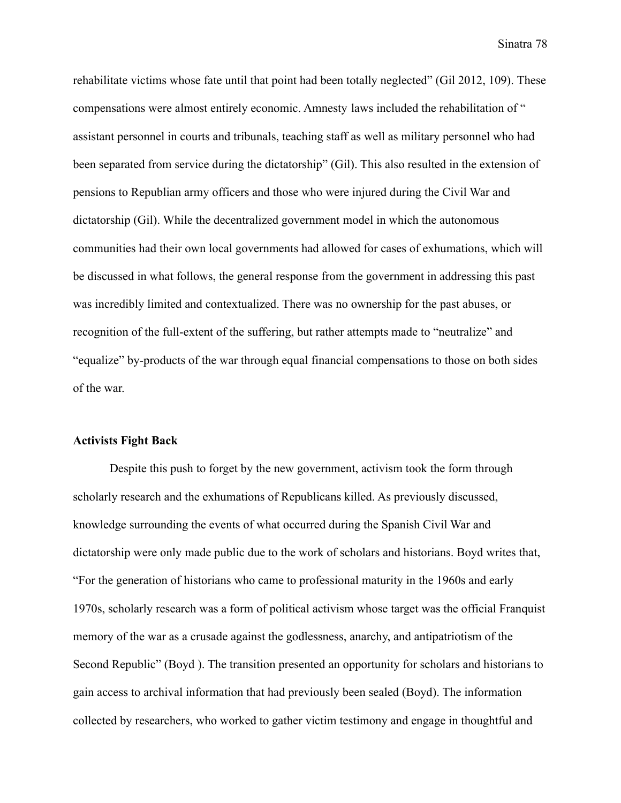rehabilitate victims whose fate until that point had been totally neglected" (Gil 2012, 109). These compensations were almost entirely economic. Amnesty laws included the rehabilitation of " assistant personnel in courts and tribunals, teaching staff as well as military personnel who had been separated from service during the dictatorship" (Gil). This also resulted in the extension of pensions to Republian army officers and those who were injured during the Civil War and dictatorship (Gil). While the decentralized government model in which the autonomous communities had their own local governments had allowed for cases of exhumations, which will be discussed in what follows, the general response from the government in addressing this past was incredibly limited and contextualized. There was no ownership for the past abuses, or recognition of the full-extent of the suffering, but rather attempts made to "neutralize" and "equalize" by-products of the war through equal financial compensations to those on both sides of the war.

# **Activists Fight Back**

Despite this push to forget by the new government, activism took the form through scholarly research and the exhumations of Republicans killed. As previously discussed, knowledge surrounding the events of what occurred during the Spanish Civil War and dictatorship were only made public due to the work of scholars and historians. Boyd writes that, "For the generation of historians who came to professional maturity in the 1960s and early 1970s, scholarly research was a form of political activism whose target was the official Franquist memory of the war as a crusade against the godlessness, anarchy, and antipatriotism of the Second Republic" (Boyd ). The transition presented an opportunity for scholars and historians to gain access to archival information that had previously been sealed (Boyd). The information collected by researchers, who worked to gather victim testimony and engage in thoughtful and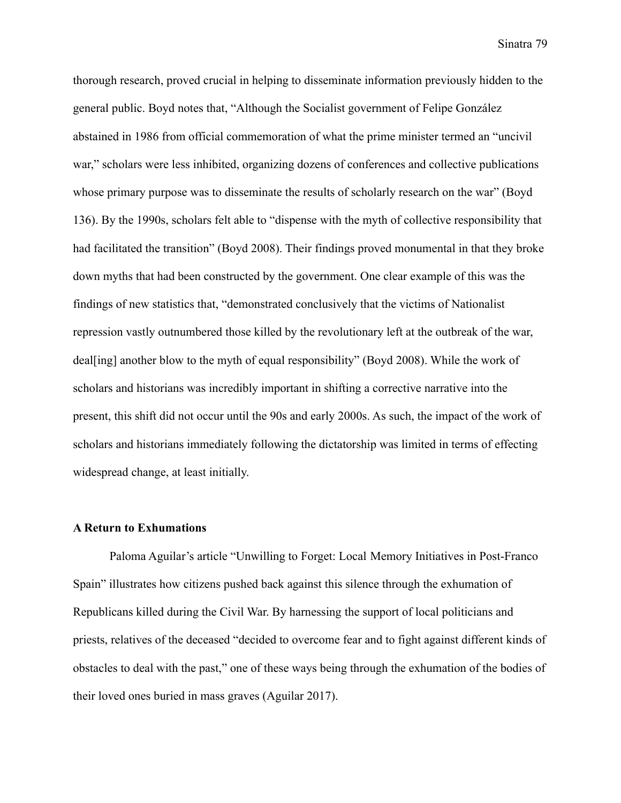thorough research, proved crucial in helping to disseminate information previously hidden to the general public. Boyd notes that, "Although the Socialist government of Felipe González abstained in 1986 from official commemoration of what the prime minister termed an "uncivil war," scholars were less inhibited, organizing dozens of conferences and collective publications whose primary purpose was to disseminate the results of scholarly research on the war" (Boyd 136). By the 1990s, scholars felt able to "dispense with the myth of collective responsibility that had facilitated the transition" (Boyd 2008). Their findings proved monumental in that they broke down myths that had been constructed by the government. One clear example of this was the findings of new statistics that, "demonstrated conclusively that the victims of Nationalist repression vastly outnumbered those killed by the revolutionary left at the outbreak of the war, deal[ing] another blow to the myth of equal responsibility" (Boyd 2008). While the work of scholars and historians was incredibly important in shifting a corrective narrative into the present, this shift did not occur until the 90s and early 2000s. As such, the impact of the work of scholars and historians immediately following the dictatorship was limited in terms of effecting widespread change, at least initially.

#### **A Return to Exhumations**

Paloma Aguilar's article "Unwilling to Forget: Local Memory Initiatives in Post-Franco Spain" illustrates how citizens pushed back against this silence through the exhumation of Republicans killed during the Civil War. By harnessing the support of local politicians and priests, relatives of the deceased "decided to overcome fear and to fight against different kinds of obstacles to deal with the past," one of these ways being through the exhumation of the bodies of their loved ones buried in mass graves (Aguilar 2017).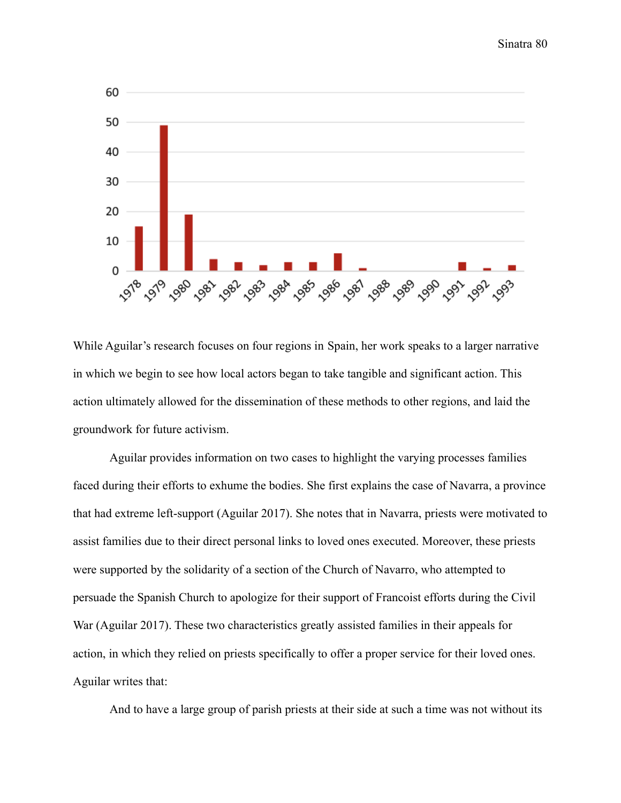

While Aguilar's research focuses on four regions in Spain, her work speaks to a larger narrative in which we begin to see how local actors began to take tangible and significant action. This action ultimately allowed for the dissemination of these methods to other regions, and laid the groundwork for future activism.

Aguilar provides information on two cases to highlight the varying processes families faced during their efforts to exhume the bodies. She first explains the case of Navarra, a province that had extreme left-support (Aguilar 2017). She notes that in Navarra, priests were motivated to assist families due to their direct personal links to loved ones executed. Moreover, these priests were supported by the solidarity of a section of the Church of Navarro, who attempted to persuade the Spanish Church to apologize for their support of Francoist efforts during the Civil War (Aguilar 2017). These two characteristics greatly assisted families in their appeals for action, in which they relied on priests specifically to offer a proper service for their loved ones. Aguilar writes that:

And to have a large group of parish priests at their side at such a time was not without its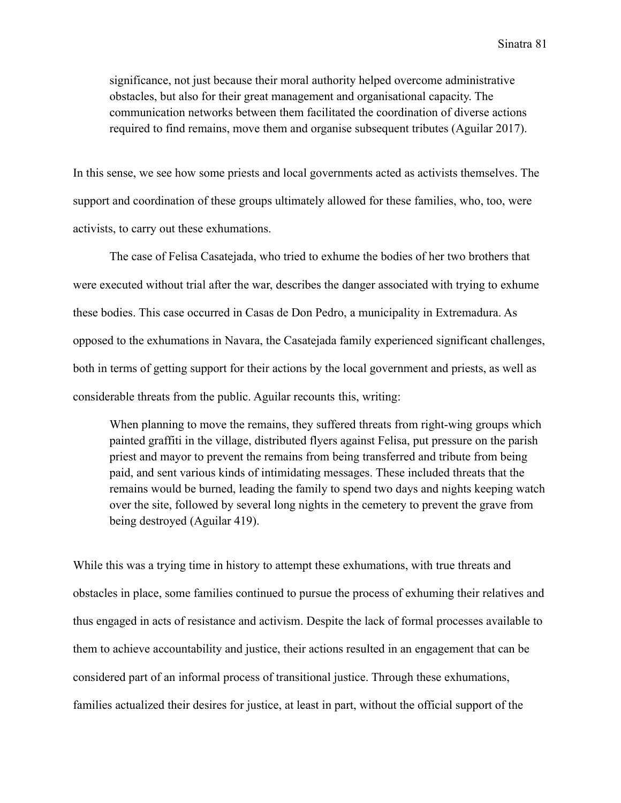significance, not just because their moral authority helped overcome administrative obstacles, but also for their great management and organisational capacity. The communication networks between them facilitated the coordination of diverse actions required to find remains, move them and organise subsequent tributes (Aguilar 2017).

In this sense, we see how some priests and local governments acted as activists themselves. The support and coordination of these groups ultimately allowed for these families, who, too, were activists, to carry out these exhumations.

The case of Felisa Casatejada, who tried to exhume the bodies of her two brothers that were executed without trial after the war, describes the danger associated with trying to exhume these bodies. This case occurred in Casas de Don Pedro, a municipality in Extremadura. As opposed to the exhumations in Navara, the Casatejada family experienced significant challenges, both in terms of getting support for their actions by the local government and priests, as well as considerable threats from the public. Aguilar recounts this, writing:

When planning to move the remains, they suffered threats from right-wing groups which painted graffiti in the village, distributed flyers against Felisa, put pressure on the parish priest and mayor to prevent the remains from being transferred and tribute from being paid, and sent various kinds of intimidating messages. These included threats that the remains would be burned, leading the family to spend two days and nights keeping watch over the site, followed by several long nights in the cemetery to prevent the grave from being destroyed (Aguilar 419).

While this was a trying time in history to attempt these exhumations, with true threats and obstacles in place, some families continued to pursue the process of exhuming their relatives and thus engaged in acts of resistance and activism. Despite the lack of formal processes available to them to achieve accountability and justice, their actions resulted in an engagement that can be considered part of an informal process of transitional justice. Through these exhumations, families actualized their desires for justice, at least in part, without the official support of the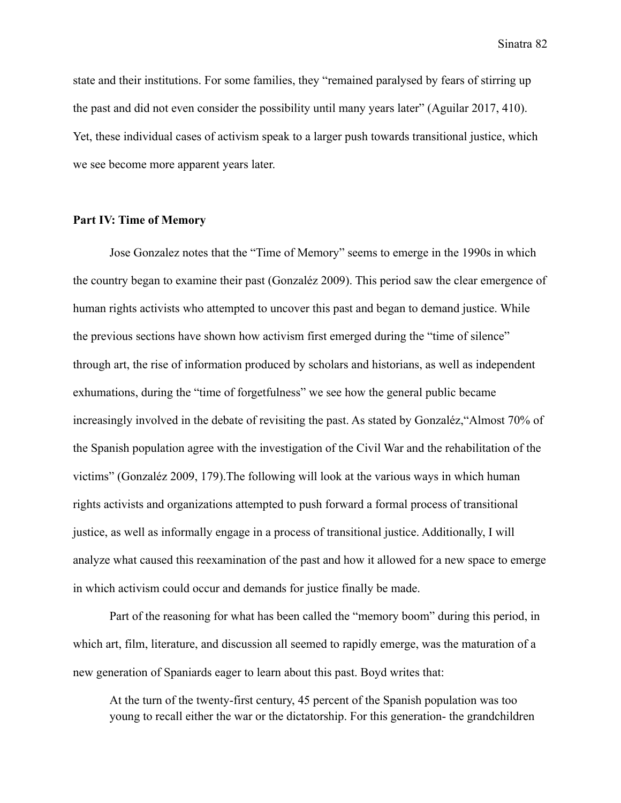state and their institutions. For some families, they "remained paralysed by fears of stirring up the past and did not even consider the possibility until many years later" (Aguilar 2017, 410). Yet, these individual cases of activism speak to a larger push towards transitional justice, which we see become more apparent years later.

## **Part IV: Time of Memory**

Jose Gonzalez notes that the "Time of Memory" seems to emerge in the 1990s in which the country began to examine their past (Gonzaléz 2009). This period saw the clear emergence of human rights activists who attempted to uncover this past and began to demand justice. While the previous sections have shown how activism first emerged during the "time of silence" through art, the rise of information produced by scholars and historians, as well as independent exhumations, during the "time of forgetfulness" we see how the general public became increasingly involved in the debate of revisiting the past. As stated by Gonzaléz,"Almost 70% of the Spanish population agree with the investigation of the Civil War and the rehabilitation of the victims" (Gonzaléz 2009, 179).The following will look at the various ways in which human rights activists and organizations attempted to push forward a formal process of transitional justice, as well as informally engage in a process of transitional justice. Additionally, I will analyze what caused this reexamination of the past and how it allowed for a new space to emerge in which activism could occur and demands for justice finally be made.

Part of the reasoning for what has been called the "memory boom" during this period, in which art, film, literature, and discussion all seemed to rapidly emerge, was the maturation of a new generation of Spaniards eager to learn about this past. Boyd writes that:

At the turn of the twenty-first century, 45 percent of the Spanish population was too young to recall either the war or the dictatorship. For this generation- the grandchildren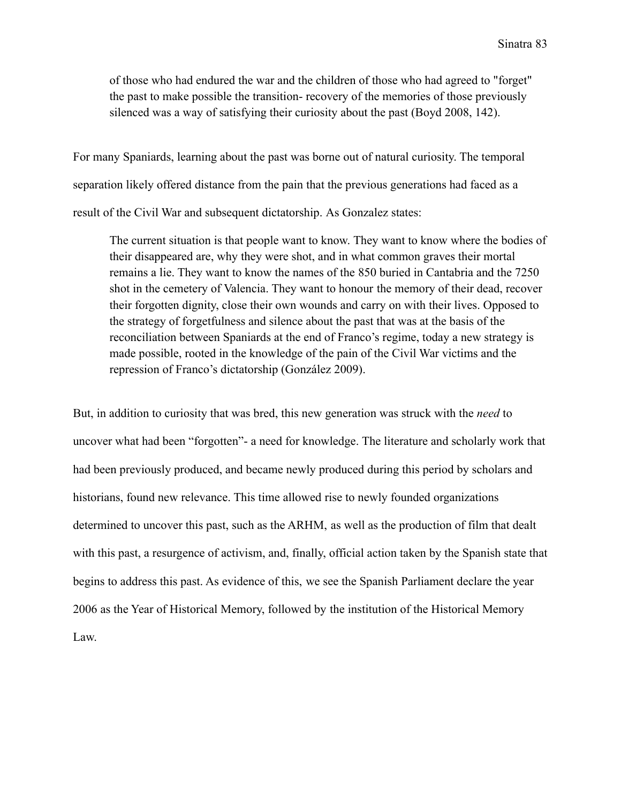of those who had endured the war and the children of those who had agreed to "forget" the past to make possible the transition- recovery of the memories of those previously silenced was a way of satisfying their curiosity about the past (Boyd 2008, 142).

For many Spaniards, learning about the past was borne out of natural curiosity. The temporal separation likely offered distance from the pain that the previous generations had faced as a result of the Civil War and subsequent dictatorship. As Gonzalez states:

The current situation is that people want to know. They want to know where the bodies of their disappeared are, why they were shot, and in what common graves their mortal remains a lie. They want to know the names of the 850 buried in Cantabria and the 7250 shot in the cemetery of Valencia. They want to honour the memory of their dead, recover their forgotten dignity, close their own wounds and carry on with their lives. Opposed to the strategy of forgetfulness and silence about the past that was at the basis of the reconciliation between Spaniards at the end of Franco's regime, today a new strategy is made possible, rooted in the knowledge of the pain of the Civil War victims and the repression of Franco's dictatorship (González 2009).

But, in addition to curiosity that was bred, this new generation was struck with the *need* to uncover what had been "forgotten"- a need for knowledge. The literature and scholarly work that had been previously produced, and became newly produced during this period by scholars and historians, found new relevance. This time allowed rise to newly founded organizations determined to uncover this past, such as the ARHM, as well as the production of film that dealt with this past, a resurgence of activism, and, finally, official action taken by the Spanish state that begins to address this past. As evidence of this, we see the Spanish Parliament declare the year 2006 as the Year of Historical Memory, followed by the institution of the Historical Memory Law.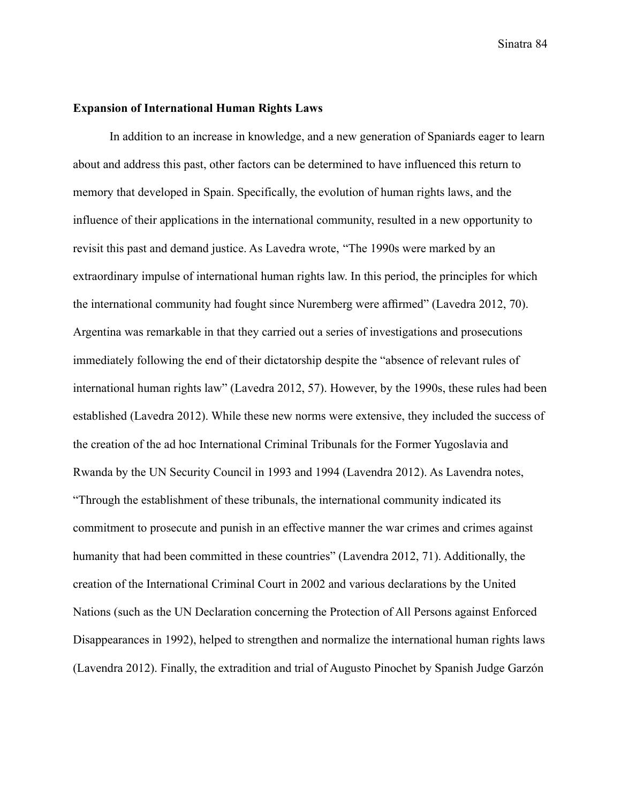## **Expansion of International Human Rights Laws**

In addition to an increase in knowledge, and a new generation of Spaniards eager to learn about and address this past, other factors can be determined to have influenced this return to memory that developed in Spain. Specifically, the evolution of human rights laws, and the influence of their applications in the international community, resulted in a new opportunity to revisit this past and demand justice. As Lavedra wrote, "The 1990s were marked by an extraordinary impulse of international human rights law. In this period, the principles for which the international community had fought since Nuremberg were affirmed" (Lavedra 2012, 70). Argentina was remarkable in that they carried out a series of investigations and prosecutions immediately following the end of their dictatorship despite the "absence of relevant rules of international human rights law" (Lavedra 2012, 57). However, by the 1990s, these rules had been established (Lavedra 2012). While these new norms were extensive, they included the success of the creation of the ad hoc International Criminal Tribunals for the Former Yugoslavia and Rwanda by the UN Security Council in 1993 and 1994 (Lavendra 2012). As Lavendra notes, "Through the establishment of these tribunals, the international community indicated its commitment to prosecute and punish in an effective manner the war crimes and crimes against humanity that had been committed in these countries" (Lavendra 2012, 71). Additionally, the creation of the International Criminal Court in 2002 and various declarations by the United Nations (such as the UN Declaration concerning the Protection of All Persons against Enforced Disappearances in 1992), helped to strengthen and normalize the international human rights laws (Lavendra 2012). Finally, the extradition and trial of Augusto Pinochet by Spanish Judge Garzón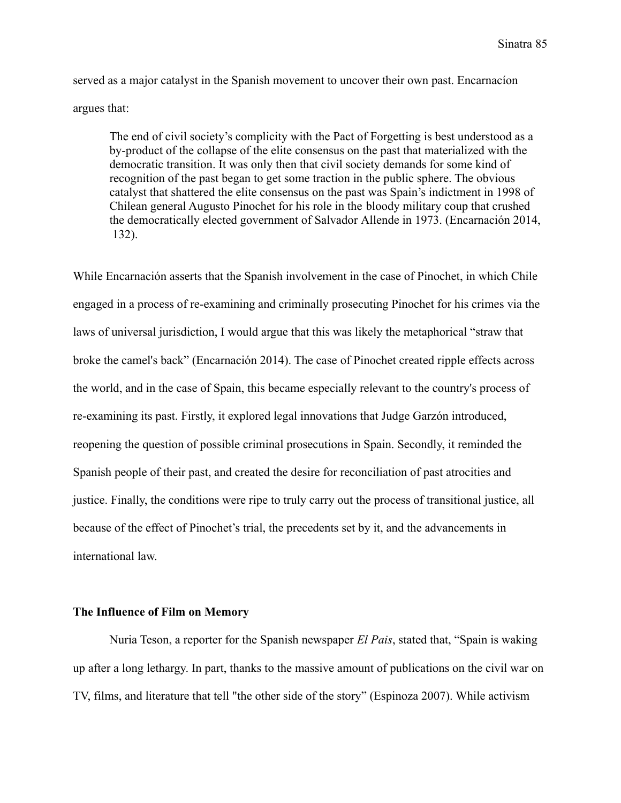served as a major catalyst in the Spanish movement to uncover their own past. Encarnacíon argues that:

The end of civil society's complicity with the Pact of Forgetting is best understood as a by-product of the collapse of the elite consensus on the past that materialized with the democratic transition. It was only then that civil society demands for some kind of recognition of the past began to get some traction in the public sphere. The obvious catalyst that shattered the elite consensus on the past was Spain's indictment in 1998 of Chilean general Augusto Pinochet for his role in the bloody military coup that crushed the democratically elected government of Salvador Allende in 1973. (Encarnación 2014, 132).

While Encarnación asserts that the Spanish involvement in the case of Pinochet, in which Chile engaged in a process of re-examining and criminally prosecuting Pinochet for his crimes via the laws of universal jurisdiction, I would argue that this was likely the metaphorical "straw that broke the camel's back" (Encarnación 2014). The case of Pinochet created ripple effects across the world, and in the case of Spain, this became especially relevant to the country's process of re-examining its past. Firstly, it explored legal innovations that Judge Garzón introduced, reopening the question of possible criminal prosecutions in Spain. Secondly, it reminded the Spanish people of their past, and created the desire for reconciliation of past atrocities and justice. Finally, the conditions were ripe to truly carry out the process of transitional justice, all because of the effect of Pinochet's trial, the precedents set by it, and the advancements in international law.

## **The Influence of Film on Memory**

Nuria Teson, a reporter for the Spanish newspaper *El Pais*, stated that, "Spain is waking up after a long lethargy. In part, thanks to the massive amount of publications on the civil war on TV, films, and literature that tell "the other side of the story" (Espinoza 2007). While activism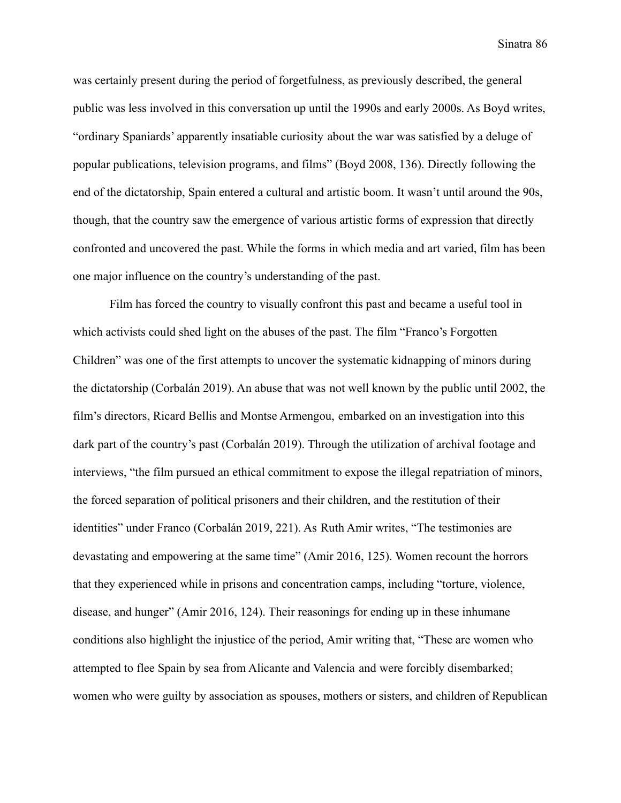was certainly present during the period of forgetfulness, as previously described, the general public was less involved in this conversation up until the 1990s and early 2000s. As Boyd writes, "ordinary Spaniards' apparently insatiable curiosity about the war was satisfied by a deluge of popular publications, television programs, and films" (Boyd 2008, 136). Directly following the end of the dictatorship, Spain entered a cultural and artistic boom. It wasn't until around the 90s, though, that the country saw the emergence of various artistic forms of expression that directly confronted and uncovered the past. While the forms in which media and art varied, film has been one major influence on the country's understanding of the past.

Film has forced the country to visually confront this past and became a useful tool in which activists could shed light on the abuses of the past. The film "Franco's Forgotten Children" was one of the first attempts to uncover the systematic kidnapping of minors during the dictatorship (Corbalán 2019). An abuse that was not well known by the public until 2002, the film's directors, Ricard Bellis and Montse Armengou, embarked on an investigation into this dark part of the country's past (Corbalán 2019). Through the utilization of archival footage and interviews, "the film pursued an ethical commitment to expose the illegal repatriation of minors, the forced separation of political prisoners and their children, and the restitution of their identities" under Franco (Corbalán 2019, 221). As Ruth Amir writes, "The testimonies are devastating and empowering at the same time" (Amir 2016, 125). Women recount the horrors that they experienced while in prisons and concentration camps, including "torture, violence, disease, and hunger" (Amir 2016, 124). Their reasonings for ending up in these inhumane conditions also highlight the injustice of the period, Amir writing that, "These are women who attempted to flee Spain by sea from Alicante and Valencia and were forcibly disembarked; women who were guilty by association as spouses, mothers or sisters, and children of Republican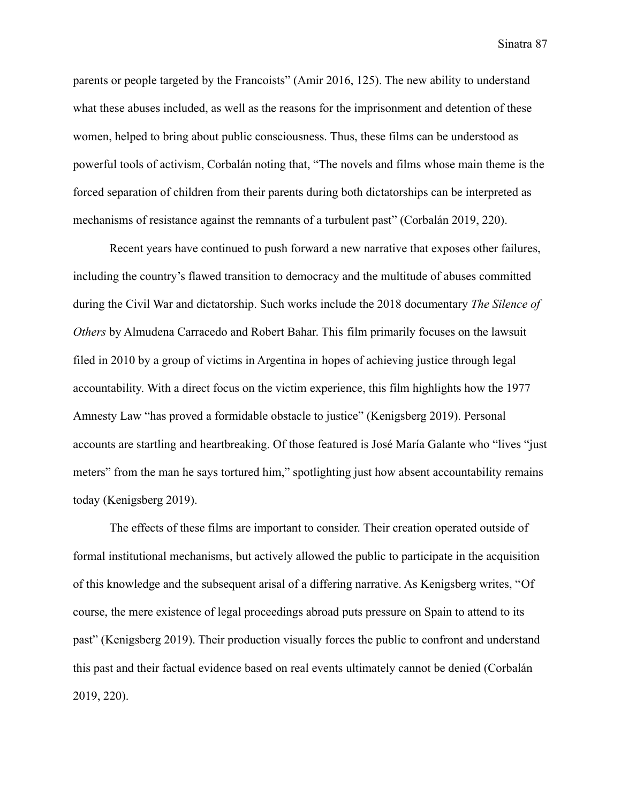parents or people targeted by the Francoists" (Amir 2016, 125). The new ability to understand what these abuses included, as well as the reasons for the imprisonment and detention of these women, helped to bring about public consciousness. Thus, these films can be understood as powerful tools of activism, Corbalán noting that, "The novels and films whose main theme is the forced separation of children from their parents during both dictatorships can be interpreted as mechanisms of resistance against the remnants of a turbulent past" (Corbalán 2019, 220).

Recent years have continued to push forward a new narrative that exposes other failures, including the country's flawed transition to democracy and the multitude of abuses committed during the Civil War and dictatorship. Such works include the 2018 documentary *The Silence of Others* by Almudena Carracedo and Robert Bahar. This film primarily focuses on the lawsuit filed in 2010 by a group of victims in Argentina in hopes of achieving justice through legal accountability. With a direct focus on the victim experience, this film highlights how the 1977 Amnesty Law "has proved a formidable obstacle to justice" (Kenigsberg 2019). Personal accounts are startling and heartbreaking. Of those featured is José María Galante who "lives "just meters" from the man he says tortured him," spotlighting just how absent accountability remains today (Kenigsberg 2019).

The effects of these films are important to consider. Their creation operated outside of formal institutional mechanisms, but actively allowed the public to participate in the acquisition of this knowledge and the subsequent arisal of a differing narrative. As Kenigsberg writes, "Of course, the mere existence of legal proceedings abroad puts pressure on Spain to attend to its past" (Kenigsberg 2019). Their production visually forces the public to confront and understand this past and their factual evidence based on real events ultimately cannot be denied (Corbalán 2019, 220).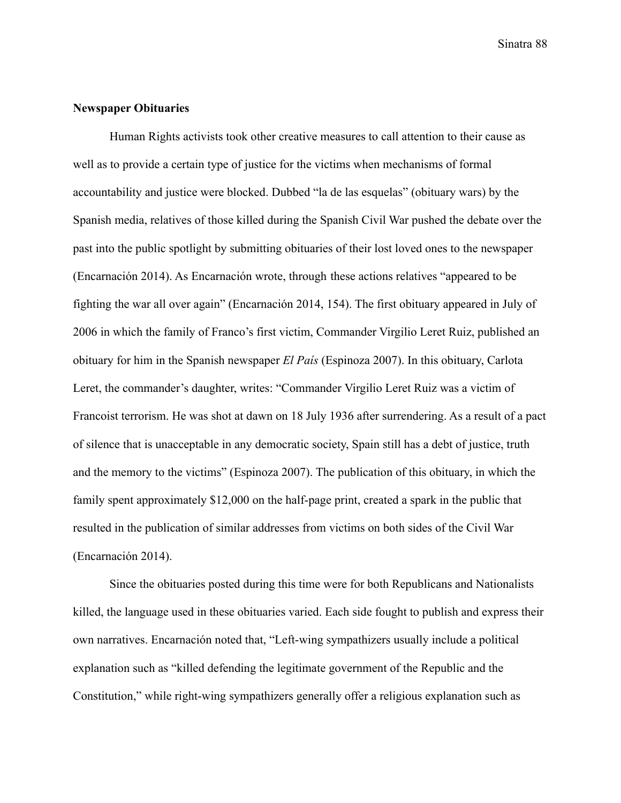# **Newspaper Obituaries**

Human Rights activists took other creative measures to call attention to their cause as well as to provide a certain type of justice for the victims when mechanisms of formal accountability and justice were blocked. Dubbed "la de las esquelas" (obituary wars) by the Spanish media, relatives of those killed during the Spanish Civil War pushed the debate over the past into the public spotlight by submitting obituaries of their lost loved ones to the newspaper (Encarnación 2014). As Encarnación wrote, through these actions relatives "appeared to be fighting the war all over again" (Encarnación 2014, 154). The first obituary appeared in July of 2006 in which the family of Franco's first victim, Commander Virgilio Leret Ruiz, published an obituary for him in the Spanish newspaper *El País* (Espinoza 2007). In this obituary, Carlota Leret, the commander's daughter, writes: "Commander Virgilio Leret Ruiz was a victim of Francoist terrorism. He was shot at dawn on 18 July 1936 after surrendering. As a result of a pact of silence that is unacceptable in any democratic society, Spain still has a debt of justice, truth and the memory to the victims" (Espinoza 2007). The publication of this obituary, in which the family spent approximately \$12,000 on the half-page print, created a spark in the public that resulted in the publication of similar addresses from victims on both sides of the Civil War (Encarnación 2014).

Since the obituaries posted during this time were for both Republicans and Nationalists killed, the language used in these obituaries varied. Each side fought to publish and express their own narratives. Encarnación noted that, "Left-wing sympathizers usually include a political explanation such as "killed defending the legitimate government of the Republic and the Constitution," while right-wing sympathizers generally offer a religious explanation such as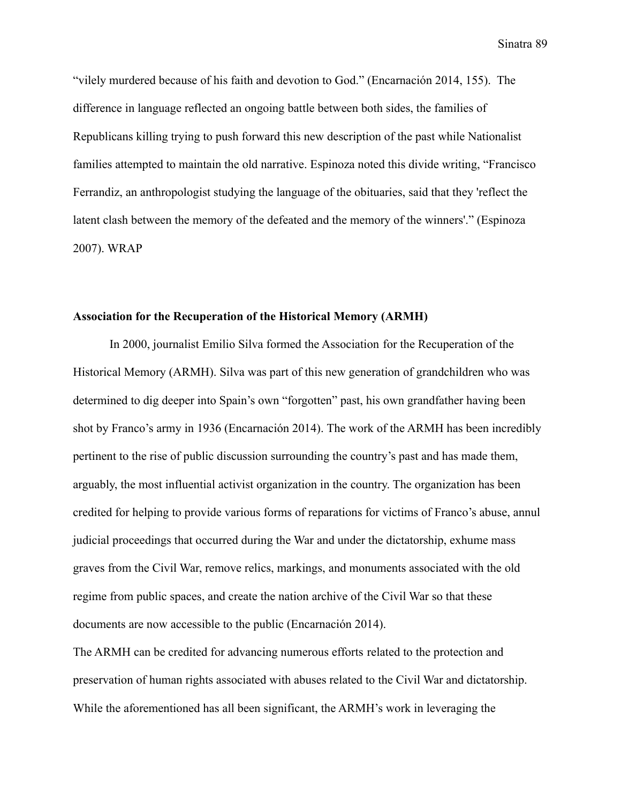"vilely murdered because of his faith and devotion to God." (Encarnación 2014, 155). The difference in language reflected an ongoing battle between both sides, the families of Republicans killing trying to push forward this new description of the past while Nationalist families attempted to maintain the old narrative. Espinoza noted this divide writing, "Francisco Ferrandiz, an anthropologist studying the language of the obituaries, said that they 'reflect the latent clash between the memory of the defeated and the memory of the winners'." (Espinoza 2007). WRAP

#### **Association for the Recuperation of the Historical Memory (ARMH)**

In 2000, journalist Emilio Silva formed the Association for the Recuperation of the Historical Memory (ARMH). Silva was part of this new generation of grandchildren who was determined to dig deeper into Spain's own "forgotten" past, his own grandfather having been shot by Franco's army in 1936 (Encarnación 2014). The work of the ARMH has been incredibly pertinent to the rise of public discussion surrounding the country's past and has made them, arguably, the most influential activist organization in the country. The organization has been credited for helping to provide various forms of reparations for victims of Franco's abuse, annul judicial proceedings that occurred during the War and under the dictatorship, exhume mass graves from the Civil War, remove relics, markings, and monuments associated with the old regime from public spaces, and create the nation archive of the Civil War so that these documents are now accessible to the public (Encarnación 2014).

The ARMH can be credited for advancing numerous efforts related to the protection and preservation of human rights associated with abuses related to the Civil War and dictatorship. While the aforementioned has all been significant, the ARMH's work in leveraging the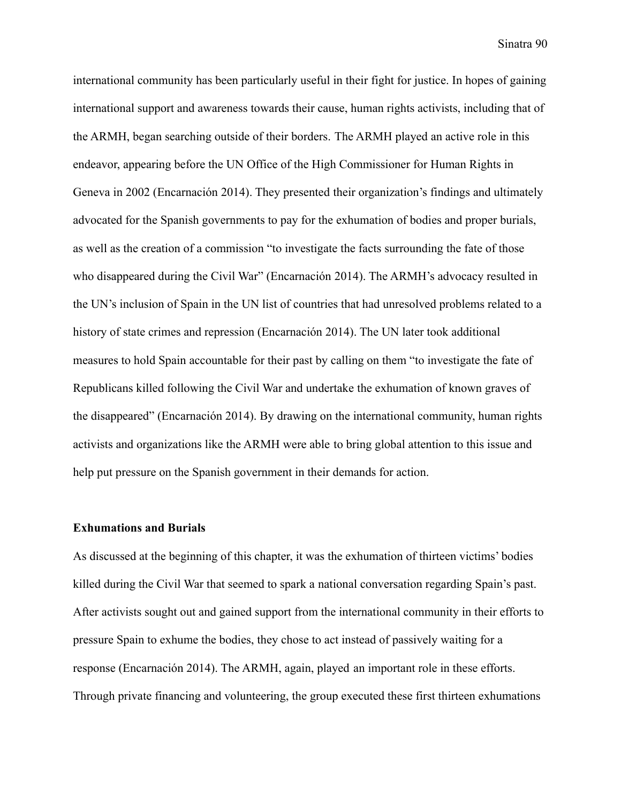international community has been particularly useful in their fight for justice. In hopes of gaining international support and awareness towards their cause, human rights activists, including that of the ARMH, began searching outside of their borders. The ARMH played an active role in this endeavor, appearing before the UN Office of the High Commissioner for Human Rights in Geneva in 2002 (Encarnación 2014). They presented their organization's findings and ultimately advocated for the Spanish governments to pay for the exhumation of bodies and proper burials, as well as the creation of a commission "to investigate the facts surrounding the fate of those who disappeared during the Civil War" (Encarnación 2014). The ARMH's advocacy resulted in the UN's inclusion of Spain in the UN list of countries that had unresolved problems related to a history of state crimes and repression (Encarnación 2014). The UN later took additional measures to hold Spain accountable for their past by calling on them "to investigate the fate of Republicans killed following the Civil War and undertake the exhumation of known graves of the disappeared" (Encarnación 2014). By drawing on the international community, human rights activists and organizations like the ARMH were able to bring global attention to this issue and help put pressure on the Spanish government in their demands for action.

#### **Exhumations and Burials**

As discussed at the beginning of this chapter, it was the exhumation of thirteen victims' bodies killed during the Civil War that seemed to spark a national conversation regarding Spain's past. After activists sought out and gained support from the international community in their efforts to pressure Spain to exhume the bodies, they chose to act instead of passively waiting for a response (Encarnación 2014). The ARMH, again, played an important role in these efforts. Through private financing and volunteering, the group executed these first thirteen exhumations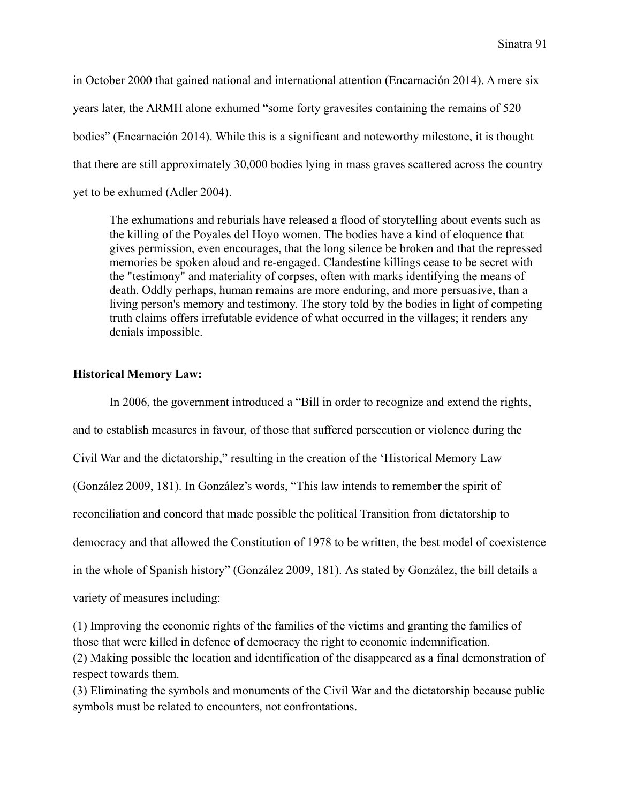in October 2000 that gained national and international attention (Encarnación 2014). A mere six years later, the ARMH alone exhumed "some forty gravesites containing the remains of 520 bodies" (Encarnación 2014). While this is a significant and noteworthy milestone, it is thought that there are still approximately 30,000 bodies lying in mass graves scattered across the country yet to be exhumed (Adler 2004).

The exhumations and reburials have released a flood of storytelling about events such as the killing of the Poyales del Hoyo women. The bodies have a kind of eloquence that gives permission, even encourages, that the long silence be broken and that the repressed memories be spoken aloud and re-engaged. Clandestine killings cease to be secret with the "testimony" and materiality of corpses, often with marks identifying the means of death. Oddly perhaps, human remains are more enduring, and more persuasive, than a living person's memory and testimony. The story told by the bodies in light of competing truth claims offers irrefutable evidence of what occurred in the villages; it renders any denials impossible.

# **Historical Memory Law:**

In 2006, the government introduced a "Bill in order to recognize and extend the rights, and to establish measures in favour, of those that suffered persecution or violence during the Civil War and the dictatorship," resulting in the creation of the 'Historical Memory Law (González 2009, 181). In González's words, "This law intends to remember the spirit of reconciliation and concord that made possible the political Transition from dictatorship to democracy and that allowed the Constitution of 1978 to be written, the best model of coexistence in the whole of Spanish history" (González 2009, 181). As stated by González, the bill details a variety of measures including: (1) Improving the economic rights of the families of the victims and granting the families of

those that were killed in defence of democracy the right to economic indemnification.

(2) Making possible the location and identification of the disappeared as a final demonstration of respect towards them.

(3) Eliminating the symbols and monuments of the Civil War and the dictatorship because public symbols must be related to encounters, not confrontations.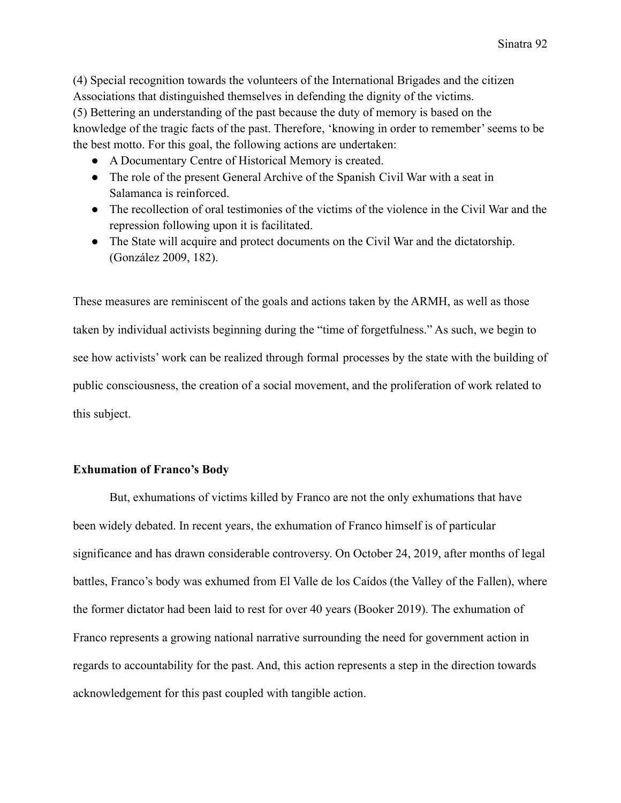(4) Special recognition towards the volunteers of the International Brigades and the citizen Associations that distinguished themselves in defending the dignity of the victims. (5) Bettering an understanding of the past because the duty of memory is based on the knowledge of the tragic facts of the past. Therefore, 'knowing in order to remember' seems to be the best motto. For this goal, the following actions are undertaken:

- A Documentary Centre of Historical Memory is created.
- The role of the present General Archive of the Spanish Civil War with a seat in Salamanca is reinforced.
- The recollection of oral testimonies of the victims of the violence in the Civil War and the repression following upon it is facilitated.
- The State will acquire and protect documents on the Civil War and the dictatorship. (González 2009, 182).

These measures are reminiscent of the goals and actions taken by the ARMH, as well as those taken by individual activists beginning during the "time of forgetfulness." As such, we begin to see how activists' work can be realized through formal processes by the state with the building of public consciousness, the creation of a social movement, and the proliferation of work related to this subject.

# **Exhumation of Franco's Body**

But, exhumations of victims killed by Franco are not the only exhumations that have been widely debated. In recent years, the exhumation of Franco himself is of particular significance and has drawn considerable controversy. On October 24, 2019, after months of legal battles, Franco's body was exhumed from El Valle de los Caídos (the Valley of the Fallen), where the former dictator had been laid to rest for over 40 years (Booker 2019). The exhumation of Franco represents a growing national narrative surrounding the need for government action in regards to accountability for the past. And, this action represents a step in the direction towards acknowledgement for this past coupled with tangible action.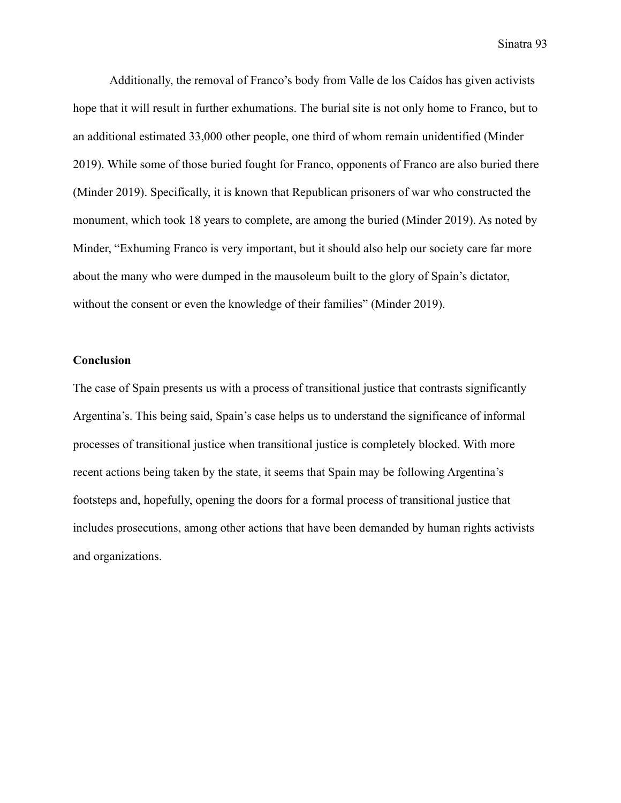Additionally, the removal of Franco's body from Valle de los Caídos has given activists hope that it will result in further exhumations. The burial site is not only home to Franco, but to an additional estimated 33,000 other people, one third of whom remain unidentified (Minder 2019). While some of those buried fought for Franco, opponents of Franco are also buried there (Minder 2019). Specifically, it is known that Republican prisoners of war who constructed the monument, which took 18 years to complete, are among the buried (Minder 2019). As noted by Minder, "Exhuming Franco is very important, but it should also help our society care far more about the many who were dumped in the mausoleum built to the glory of Spain's dictator, without the consent or even the knowledge of their families" (Minder 2019).

## **Conclusion**

The case of Spain presents us with a process of transitional justice that contrasts significantly Argentina's. This being said, Spain's case helps us to understand the significance of informal processes of transitional justice when transitional justice is completely blocked. With more recent actions being taken by the state, it seems that Spain may be following Argentina's footsteps and, hopefully, opening the doors for a formal process of transitional justice that includes prosecutions, among other actions that have been demanded by human rights activists and organizations.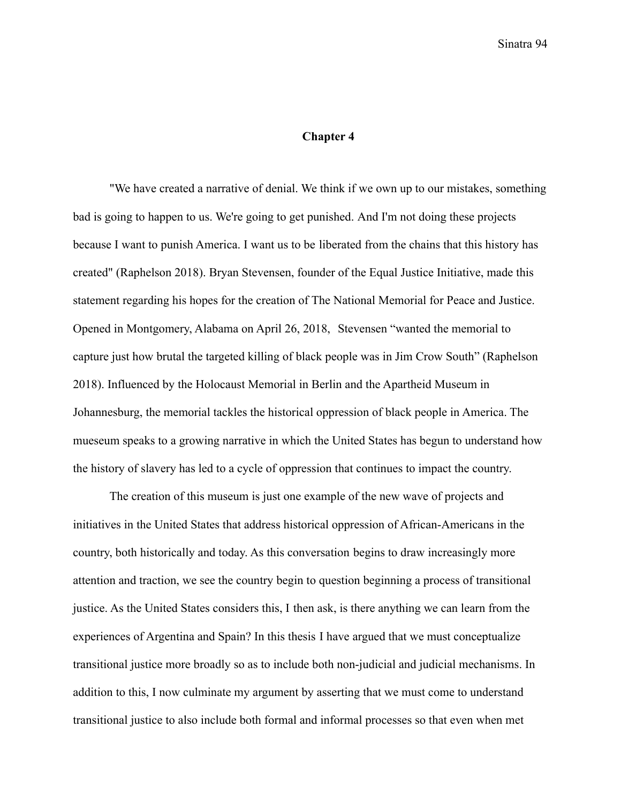#### **Chapter 4**

"We have created a narrative of denial. We think if we own up to our mistakes, something bad is going to happen to us. We're going to get punished. And I'm not doing these projects because I want to punish America. I want us to be liberated from the chains that this history has created" (Raphelson 2018). Bryan Stevensen, founder of the Equal Justice Initiative, made this statement regarding his hopes for the creation of The National Memorial for Peace and Justice. Opened in Montgomery, Alabama on April 26, 2018, Stevensen "wanted the memorial to capture just how brutal the targeted killing of black people was in Jim Crow South" (Raphelson 2018). Influenced by the Holocaust Memorial in Berlin and the Apartheid Museum in Johannesburg, the memorial tackles the historical oppression of black people in America. The mueseum speaks to a growing narrative in which the United States has begun to understand how the history of slavery has led to a cycle of oppression that continues to impact the country.

The creation of this museum is just one example of the new wave of projects and initiatives in the United States that address historical oppression of African-Americans in the country, both historically and today. As this conversation begins to draw increasingly more attention and traction, we see the country begin to question beginning a process of transitional justice. As the United States considers this, I then ask, is there anything we can learn from the experiences of Argentina and Spain? In this thesis I have argued that we must conceptualize transitional justice more broadly so as to include both non-judicial and judicial mechanisms. In addition to this, I now culminate my argument by asserting that we must come to understand transitional justice to also include both formal and informal processes so that even when met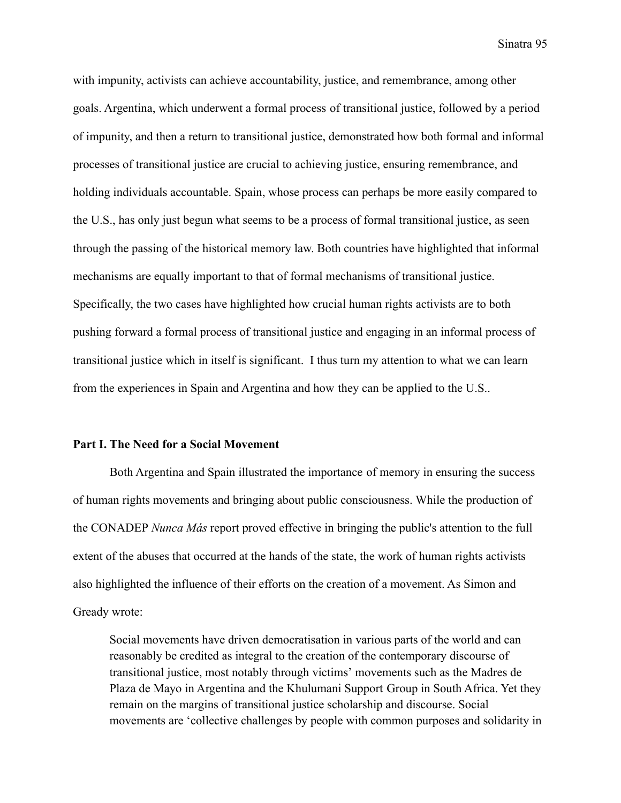with impunity, activists can achieve accountability, justice, and remembrance, among other goals. Argentina, which underwent a formal process of transitional justice, followed by a period of impunity, and then a return to transitional justice, demonstrated how both formal and informal processes of transitional justice are crucial to achieving justice, ensuring remembrance, and holding individuals accountable. Spain, whose process can perhaps be more easily compared to the U.S., has only just begun what seems to be a process of formal transitional justice, as seen through the passing of the historical memory law. Both countries have highlighted that informal mechanisms are equally important to that of formal mechanisms of transitional justice. Specifically, the two cases have highlighted how crucial human rights activists are to both pushing forward a formal process of transitional justice and engaging in an informal process of transitional justice which in itself is significant. I thus turn my attention to what we can learn from the experiences in Spain and Argentina and how they can be applied to the U.S..

## **Part I. The Need for a Social Movement**

Both Argentina and Spain illustrated the importance of memory in ensuring the success of human rights movements and bringing about public consciousness. While the production of the CONADEP *Nunca Más* report proved effective in bringing the public's attention to the full extent of the abuses that occurred at the hands of the state, the work of human rights activists also highlighted the influence of their efforts on the creation of a movement. As Simon and Gready wrote:

Social movements have driven democratisation in various parts of the world and can reasonably be credited as integral to the creation of the contemporary discourse of transitional justice, most notably through victims' movements such as the Madres de Plaza de Mayo in Argentina and the Khulumani Support Group in South Africa. Yet they remain on the margins of transitional justice scholarship and discourse. Social movements are 'collective challenges by people with common purposes and solidarity in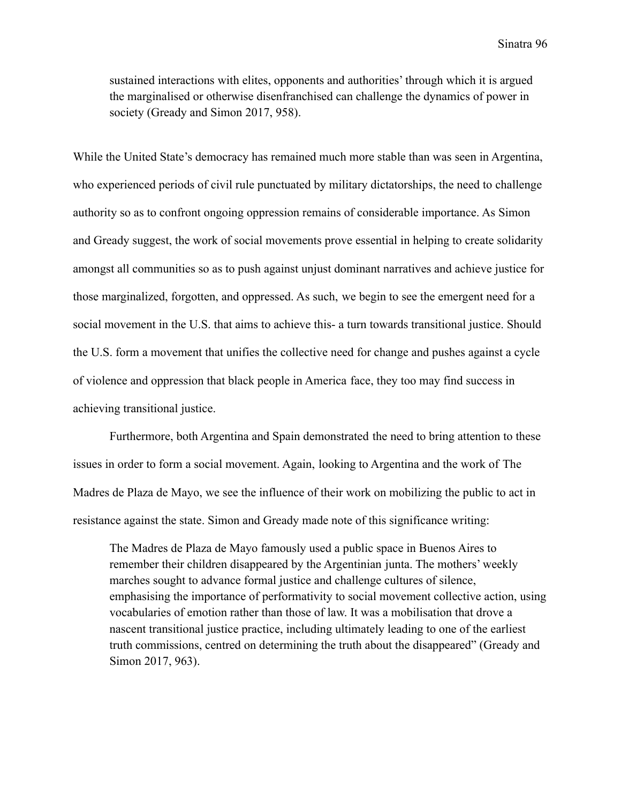sustained interactions with elites, opponents and authorities' through which it is argued the marginalised or otherwise disenfranchised can challenge the dynamics of power in society (Gready and Simon 2017, 958).

While the United State's democracy has remained much more stable than was seen in Argentina, who experienced periods of civil rule punctuated by military dictatorships, the need to challenge authority so as to confront ongoing oppression remains of considerable importance. As Simon and Gready suggest, the work of social movements prove essential in helping to create solidarity amongst all communities so as to push against unjust dominant narratives and achieve justice for those marginalized, forgotten, and oppressed. As such, we begin to see the emergent need for a social movement in the U.S. that aims to achieve this- a turn towards transitional justice. Should the U.S. form a movement that unifies the collective need for change and pushes against a cycle of violence and oppression that black people in America face, they too may find success in achieving transitional justice.

Furthermore, both Argentina and Spain demonstrated the need to bring attention to these issues in order to form a social movement. Again, looking to Argentina and the work of The Madres de Plaza de Mayo, we see the influence of their work on mobilizing the public to act in resistance against the state. Simon and Gready made note of this significance writing:

The Madres de Plaza de Mayo famously used a public space in Buenos Aires to remember their children disappeared by the Argentinian junta. The mothers' weekly marches sought to advance formal justice and challenge cultures of silence, emphasising the importance of performativity to social movement collective action, using vocabularies of emotion rather than those of law. It was a mobilisation that drove a nascent transitional justice practice, including ultimately leading to one of the earliest truth commissions, centred on determining the truth about the disappeared" (Gready and Simon 2017, 963).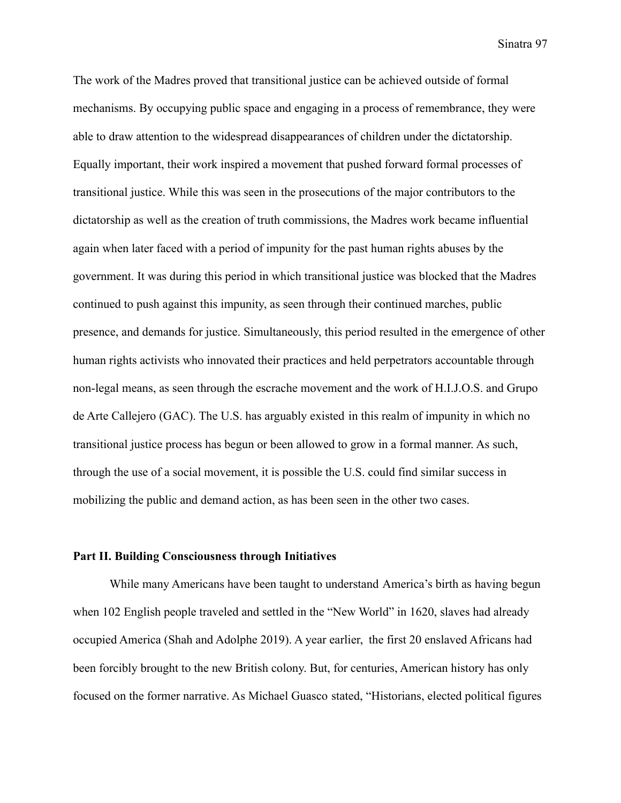The work of the Madres proved that transitional justice can be achieved outside of formal mechanisms. By occupying public space and engaging in a process of remembrance, they were able to draw attention to the widespread disappearances of children under the dictatorship. Equally important, their work inspired a movement that pushed forward formal processes of transitional justice. While this was seen in the prosecutions of the major contributors to the dictatorship as well as the creation of truth commissions, the Madres work became influential again when later faced with a period of impunity for the past human rights abuses by the government. It was during this period in which transitional justice was blocked that the Madres continued to push against this impunity, as seen through their continued marches, public presence, and demands for justice. Simultaneously, this period resulted in the emergence of other human rights activists who innovated their practices and held perpetrators accountable through non-legal means, as seen through the escrache movement and the work of H.I.J.O.S. and Grupo de Arte Callejero (GAC). The U.S. has arguably existed in this realm of impunity in which no transitional justice process has begun or been allowed to grow in a formal manner. As such, through the use of a social movement, it is possible the U.S. could find similar success in mobilizing the public and demand action, as has been seen in the other two cases.

## **Part II. Building Consciousness through Initiatives**

While many Americans have been taught to understand America's birth as having begun when 102 English people traveled and settled in the "New World" in 1620, slaves had already occupied America (Shah and Adolphe 2019). A year earlier, the first 20 enslaved Africans had been forcibly brought to the new British colony. But, for centuries, American history has only focused on the former narrative. As Michael Guasco stated, "Historians, elected political figures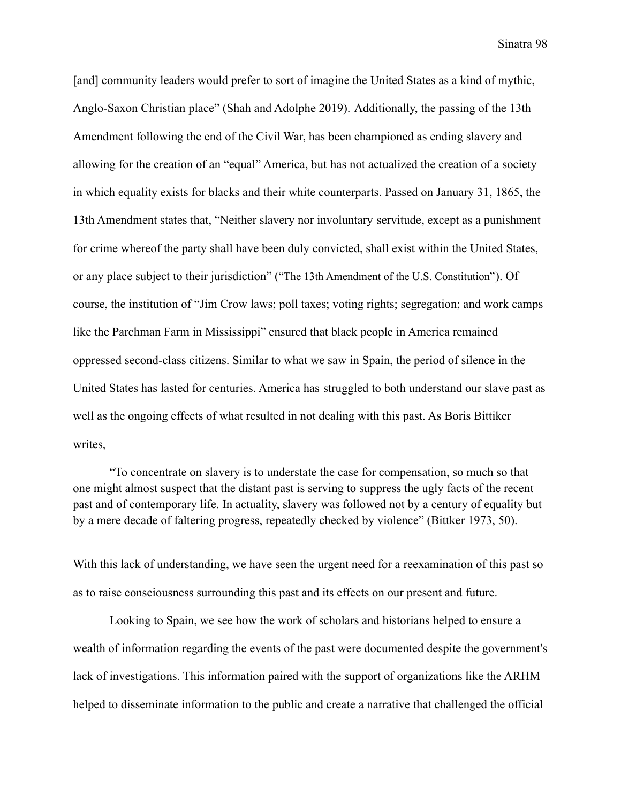[and] community leaders would prefer to sort of imagine the United States as a kind of mythic, Anglo-Saxon Christian place" (Shah and Adolphe 2019). Additionally, the passing of the 13th Amendment following the end of the Civil War, has been championed as ending slavery and allowing for the creation of an "equal" America, but has not actualized the creation of a society in which equality exists for blacks and their white counterparts. Passed on January 31, 1865, the 13th Amendment states that, "Neither slavery nor involuntary servitude, except as a punishment for crime whereof the party shall have been duly convicted, shall exist within the United States, or any place subject to their jurisdiction" ("The 13th Amendment of the U.S. Constitution"). Of course, the institution of "Jim Crow laws; poll taxes; voting rights; segregation; and work camps like the Parchman Farm in Mississippi" ensured that black people in America remained oppressed second-class citizens. Similar to what we saw in Spain, the period of silence in the United States has lasted for centuries. America has struggled to both understand our slave past as well as the ongoing effects of what resulted in not dealing with this past. As Boris Bittiker writes,

"To concentrate on slavery is to understate the case for compensation, so much so that one might almost suspect that the distant past is serving to suppress the ugly facts of the recent past and of contemporary life. In actuality, slavery was followed not by a century of equality but by a mere decade of faltering progress, repeatedly checked by violence" (Bittker 1973, 50).

With this lack of understanding, we have seen the urgent need for a reexamination of this past so as to raise consciousness surrounding this past and its effects on our present and future.

Looking to Spain, we see how the work of scholars and historians helped to ensure a wealth of information regarding the events of the past were documented despite the government's lack of investigations. This information paired with the support of organizations like the ARHM helped to disseminate information to the public and create a narrative that challenged the official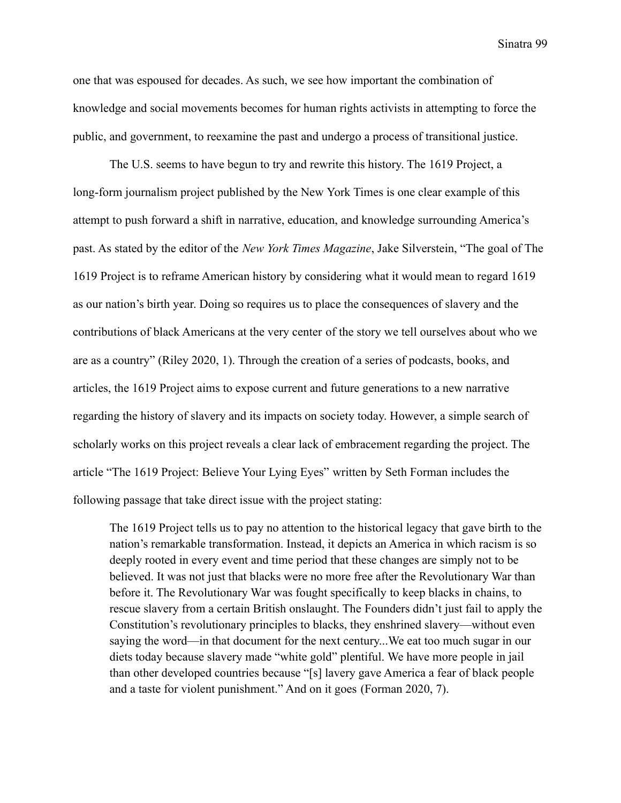one that was espoused for decades. As such, we see how important the combination of knowledge and social movements becomes for human rights activists in attempting to force the public, and government, to reexamine the past and undergo a process of transitional justice.

The U.S. seems to have begun to try and rewrite this history. The 1619 Project, a long-form journalism project published by the New York Times is one clear example of this attempt to push forward a shift in narrative, education, and knowledge surrounding America's past. As stated by the editor of the *New York Times Magazine*, Jake Silverstein, "The goal of The 1619 Project is to reframe American history by considering what it would mean to regard 1619 as our nation's birth year. Doing so requires us to place the consequences of slavery and the contributions of black Americans at the very center of the story we tell ourselves about who we are as a country" (Riley 2020, 1). Through the creation of a series of podcasts, books, and articles, the 1619 Project aims to expose current and future generations to a new narrative regarding the history of slavery and its impacts on society today. However, a simple search of scholarly works on this project reveals a clear lack of embracement regarding the project. The article "The 1619 Project: Believe Your Lying Eyes" written by Seth Forman includes the following passage that take direct issue with the project stating:

The 1619 Project tells us to pay no attention to the historical legacy that gave birth to the nation's remarkable transformation. Instead, it depicts an America in which racism is so deeply rooted in every event and time period that these changes are simply not to be believed. It was not just that blacks were no more free after the Revolutionary War than before it. The Revolutionary War was fought specifically to keep blacks in chains, to rescue slavery from a certain British onslaught. The Founders didn't just fail to apply the Constitution's revolutionary principles to blacks, they enshrined slavery—without even saying the word—in that document for the next century...We eat too much sugar in our diets today because slavery made "white gold" plentiful. We have more people in jail than other developed countries because "[s] lavery gave America a fear of black people and a taste for violent punishment." And on it goes (Forman 2020, 7).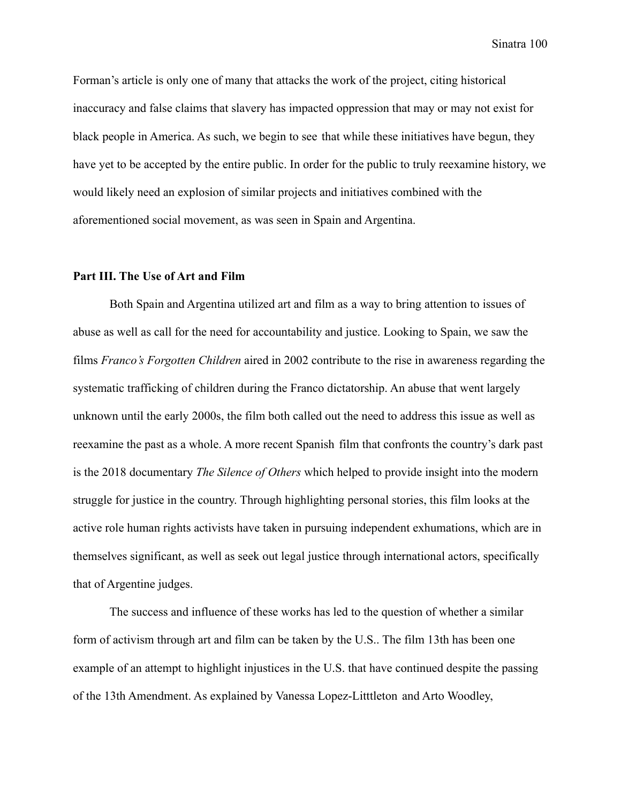Forman's article is only one of many that attacks the work of the project, citing historical inaccuracy and false claims that slavery has impacted oppression that may or may not exist for black people in America. As such, we begin to see that while these initiatives have begun, they have yet to be accepted by the entire public. In order for the public to truly reexamine history, we would likely need an explosion of similar projects and initiatives combined with the aforementioned social movement, as was seen in Spain and Argentina.

## **Part III. The Use of Art and Film**

Both Spain and Argentina utilized art and film as a way to bring attention to issues of abuse as well as call for the need for accountability and justice. Looking to Spain, we saw the films *Franco's Forgotten Children* aired in 2002 contribute to the rise in awareness regarding the systematic trafficking of children during the Franco dictatorship. An abuse that went largely unknown until the early 2000s, the film both called out the need to address this issue as well as reexamine the past as a whole. A more recent Spanish film that confronts the country's dark past is the 2018 documentary *The Silence of Others* which helped to provide insight into the modern struggle for justice in the country. Through highlighting personal stories, this film looks at the active role human rights activists have taken in pursuing independent exhumations, which are in themselves significant, as well as seek out legal justice through international actors, specifically that of Argentine judges.

The success and influence of these works has led to the question of whether a similar form of activism through art and film can be taken by the U.S.. The film 13th has been one example of an attempt to highlight injustices in the U.S. that have continued despite the passing of the 13th Amendment. As explained by Vanessa Lopez-Litttleton and Arto Woodley,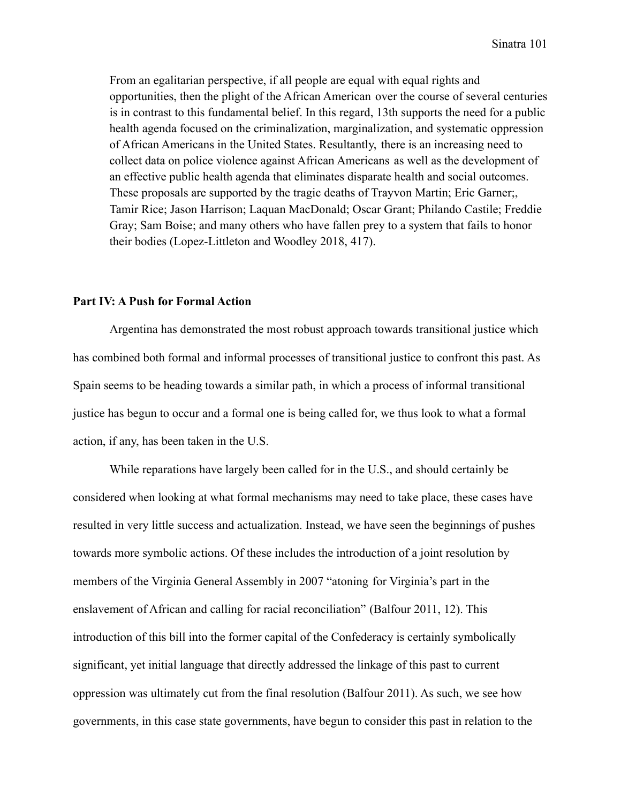From an egalitarian perspective, if all people are equal with equal rights and opportunities, then the plight of the African American over the course of several centuries is in contrast to this fundamental belief. In this regard, 13th supports the need for a public health agenda focused on the criminalization, marginalization, and systematic oppression of African Americans in the United States. Resultantly, there is an increasing need to collect data on police violence against African Americans as well as the development of an effective public health agenda that eliminates disparate health and social outcomes. These proposals are supported by the tragic deaths of Trayvon Martin; Eric Garner;, Tamir Rice; Jason Harrison; Laquan MacDonald; Oscar Grant; Philando Castile; Freddie Gray; Sam Boise; and many others who have fallen prey to a system that fails to honor their bodies (Lopez-Littleton and Woodley 2018, 417).

# **Part IV: A Push for Formal Action**

Argentina has demonstrated the most robust approach towards transitional justice which has combined both formal and informal processes of transitional justice to confront this past. As Spain seems to be heading towards a similar path, in which a process of informal transitional justice has begun to occur and a formal one is being called for, we thus look to what a formal action, if any, has been taken in the U.S.

While reparations have largely been called for in the U.S., and should certainly be considered when looking at what formal mechanisms may need to take place, these cases have resulted in very little success and actualization. Instead, we have seen the beginnings of pushes towards more symbolic actions. Of these includes the introduction of a joint resolution by members of the Virginia General Assembly in 2007 "atoning for Virginia's part in the enslavement of African and calling for racial reconciliation" (Balfour 2011, 12). This introduction of this bill into the former capital of the Confederacy is certainly symbolically significant, yet initial language that directly addressed the linkage of this past to current oppression was ultimately cut from the final resolution (Balfour 2011). As such, we see how governments, in this case state governments, have begun to consider this past in relation to the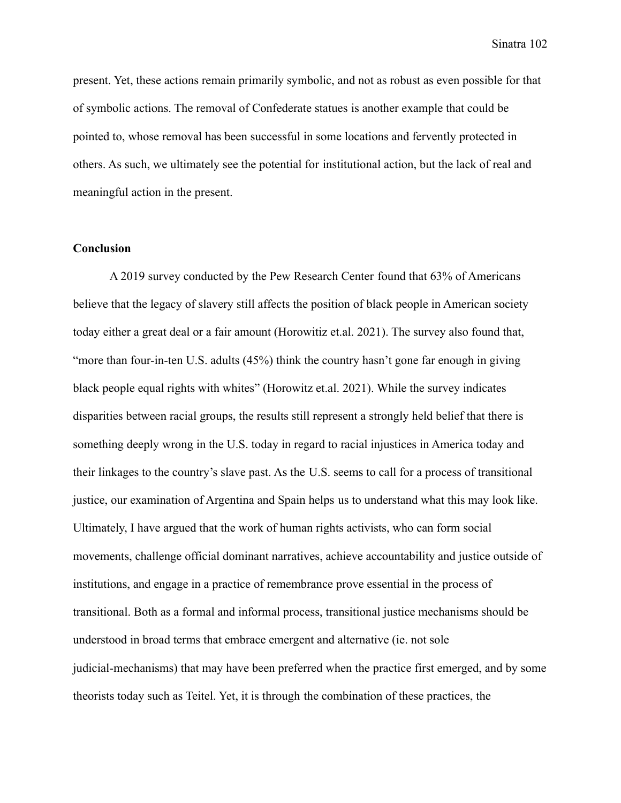present. Yet, these actions remain primarily symbolic, and not as robust as even possible for that of symbolic actions. The removal of Confederate statues is another example that could be pointed to, whose removal has been successful in some locations and fervently protected in others. As such, we ultimately see the potential for institutional action, but the lack of real and meaningful action in the present.

## **Conclusion**

A 2019 survey conducted by the Pew Research Center found that 63% of Americans believe that the legacy of slavery still affects the position of black people in American society today either a great deal or a fair amount (Horowitiz et.al. 2021). The survey also found that, "more than four-in-ten U.S. adults (45%) think the country hasn't gone far enough in giving black people equal rights with whites" (Horowitz et.al. 2021). While the survey indicates disparities between racial groups, the results still represent a strongly held belief that there is something deeply wrong in the U.S. today in regard to racial injustices in America today and their linkages to the country's slave past. As the U.S. seems to call for a process of transitional justice, our examination of Argentina and Spain helps us to understand what this may look like. Ultimately, I have argued that the work of human rights activists, who can form social movements, challenge official dominant narratives, achieve accountability and justice outside of institutions, and engage in a practice of remembrance prove essential in the process of transitional. Both as a formal and informal process, transitional justice mechanisms should be understood in broad terms that embrace emergent and alternative (ie. not sole judicial-mechanisms) that may have been preferred when the practice first emerged, and by some theorists today such as Teitel. Yet, it is through the combination of these practices, the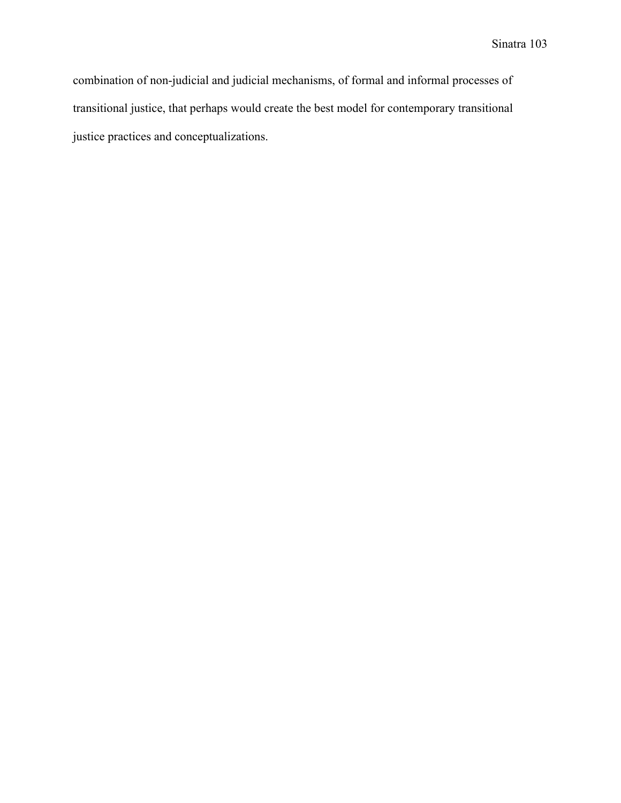combination of non-judicial and judicial mechanisms, of formal and informal processes of transitional justice, that perhaps would create the best model for contemporary transitional justice practices and conceptualizations.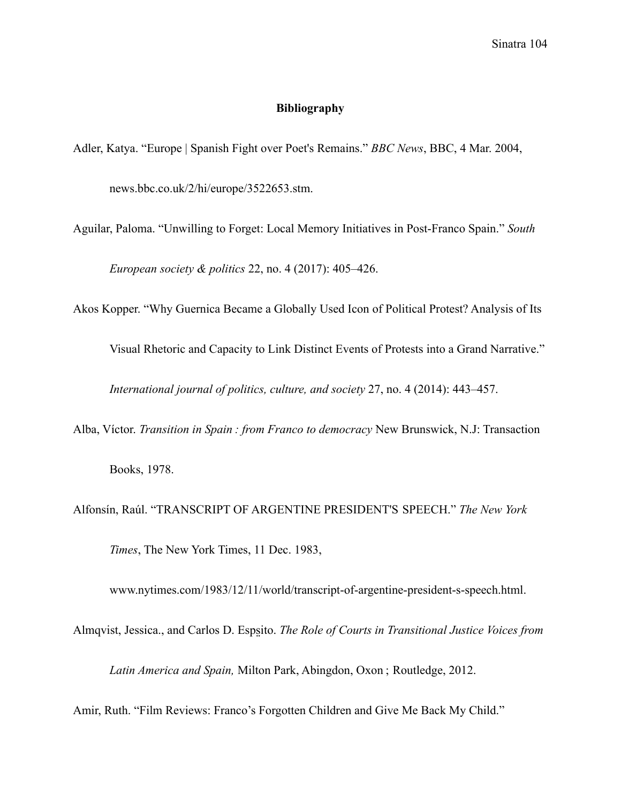# **Bibliography**

Adler, Katya. "Europe | Spanish Fight over Poet's Remains." *BBC News*, BBC, 4 Mar. 2004, news.bbc.co.uk/2/hi/europe/3522653.stm.

Aguilar, Paloma. "Unwilling to Forget: Local Memory Initiatives in Post-Franco Spain." *South*

*European society & politics* 22, no. 4 (2017): 405–426.

Akos Kopper. "Why Guernica Became a Globally Used Icon of Political Protest? Analysis of Its

Visual Rhetoric and Capacity to Link Distinct Events of Protests into a Grand Narrative."

*International journal of politics, culture, and society* 27, no. 4 (2014): 443–457.

Alba, Víctor. *Transition in Spain : from Franco to democracy* New Brunswick, N.J: Transaction

Books, 1978.

Alfonsín, Raúl. "TRANSCRIPT OF ARGENTINE PRESIDENT'S SPEECH." *The New York Times*, The New York Times, 11 Dec. 1983,

www.nytimes.com/1983/12/11/world/transcript-of-argentine-president-s-speech.html.

Almqvist, Jessica., and Carlos D. Esps̤ito. *The Role of Courts in Transitional Justice Voices from*

*Latin America and Spain,* Milton Park, Abingdon, Oxon ; Routledge, 2012.

Amir, Ruth. "Film Reviews: Franco's Forgotten Children and Give Me Back My Child."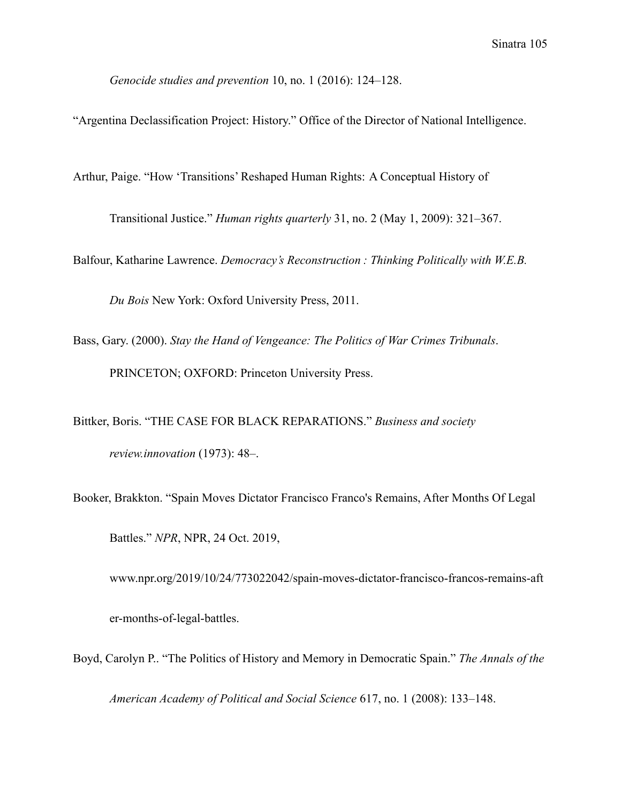*Genocide studies and prevention* 10, no. 1 (2016): 124–128.

"Argentina Declassification Project: History." Office of the Director of National Intelligence.

Arthur, Paige. "How 'Transitions' Reshaped Human Rights: A Conceptual History of

Transitional Justice." *Human rights quarterly* 31, no. 2 (May 1, 2009): 321–367.

Balfour, Katharine Lawrence. *Democracy's Reconstruction : Thinking Politically with W.E.B.*

*Du Bois* New York: Oxford University Press, 2011.

Bass, Gary. (2000). *Stay the Hand of Vengeance: The Politics of War Crimes Tribunals*. PRINCETON; OXFORD: Princeton University Press.

Bittker, Boris. "THE CASE FOR BLACK REPARATIONS." *Business and society review.innovation* (1973): 48–.

Booker, Brakkton. "Spain Moves Dictator Francisco Franco's Remains, After Months Of Legal

Battles." *NPR*, NPR, 24 Oct. 2019,

www.npr.org/2019/10/24/773022042/spain-moves-dictator-francisco-francos-remains-aft er-months-of-legal-battles.

Boyd, Carolyn P.. "The Politics of History and Memory in Democratic Spain." *The Annals of the American Academy of Political and Social Science* 617, no. 1 (2008): 133–148.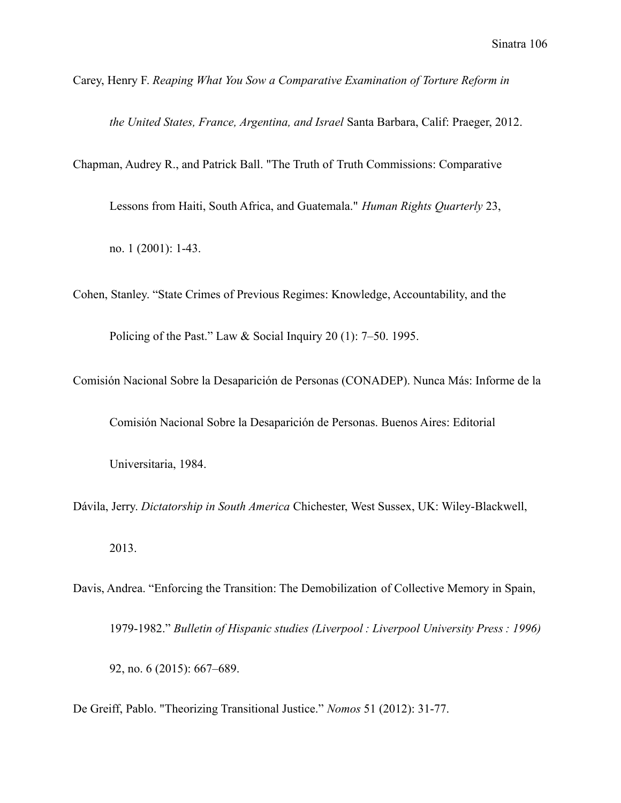Carey, Henry F. *Reaping What You Sow a Comparative Examination of Torture Reform in*

*the United States, France, Argentina, and Israel* Santa Barbara, Calif: Praeger, 2012.

Chapman, Audrey R., and Patrick Ball. "The Truth of Truth Commissions: Comparative

Lessons from Haiti, South Africa, and Guatemala." *Human Rights Quarterly* 23,

no. 1 (2001): 1-43.

Cohen, Stanley. "State Crimes of Previous Regimes: Knowledge, Accountability, and the Policing of the Past." Law & Social Inquiry 20 (1): 7–50. 1995.

Comisión Nacional Sobre la Desaparición de Personas (CONADEP). Nunca Más: Informe de la

Comisión Nacional Sobre la Desaparición de Personas. Buenos Aires: Editorial

Universitaria, 1984.

Dávila, Jerry. *Dictatorship in South America* Chichester, West Sussex, UK: Wiley-Blackwell, 2013.

Davis, Andrea. "Enforcing the Transition: The Demobilization of Collective Memory in Spain, 1979-1982." *Bulletin of Hispanic studies (Liverpool : Liverpool University Press : 1996)* 92, no. 6 (2015): 667–689.

De Greiff, Pablo. "Theorizing Transitional Justice." *Nomos* 51 (2012): 31-77.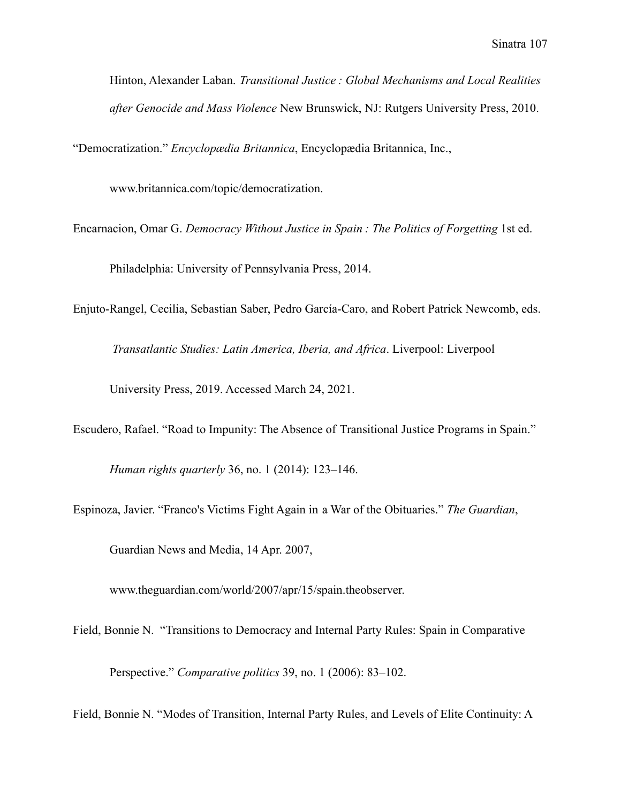Hinton, Alexander Laban. *Transitional Justice : Global Mechanisms and Local Realities after Genocide and Mass Violence* New Brunswick, NJ: Rutgers University Press, 2010.

"Democratization." *Encyclopædia Britannica*, Encyclopædia Britannica, Inc.,

www.britannica.com/topic/democratization.

Encarnacion, Omar G. *Democracy Without Justice in Spain : The Politics of Forgetting* 1st ed.

Philadelphia: University of Pennsylvania Press, 2014.

Enjuto-Rangel, Cecilia, Sebastian Saber, Pedro García-Caro, and Robert Patrick Newcomb, eds.

*Transatlantic Studies: Latin America, Iberia, and Africa*. Liverpool: Liverpool

University Press, 2019. Accessed March 24, 2021.

Escudero, Rafael. "Road to Impunity: The Absence of Transitional Justice Programs in Spain."

*Human rights quarterly* 36, no. 1 (2014): 123–146.

Espinoza, Javier. "Franco's Victims Fight Again in a War of the Obituaries." *The Guardian*,

Guardian News and Media, 14 Apr. 2007,

www.theguardian.com/world/2007/apr/15/spain.theobserver.

Field, Bonnie N. "Transitions to Democracy and Internal Party Rules: Spain in Comparative

Perspective." *Comparative politics* 39, no. 1 (2006): 83–102.

Field, Bonnie N. "Modes of Transition, Internal Party Rules, and Levels of Elite Continuity: A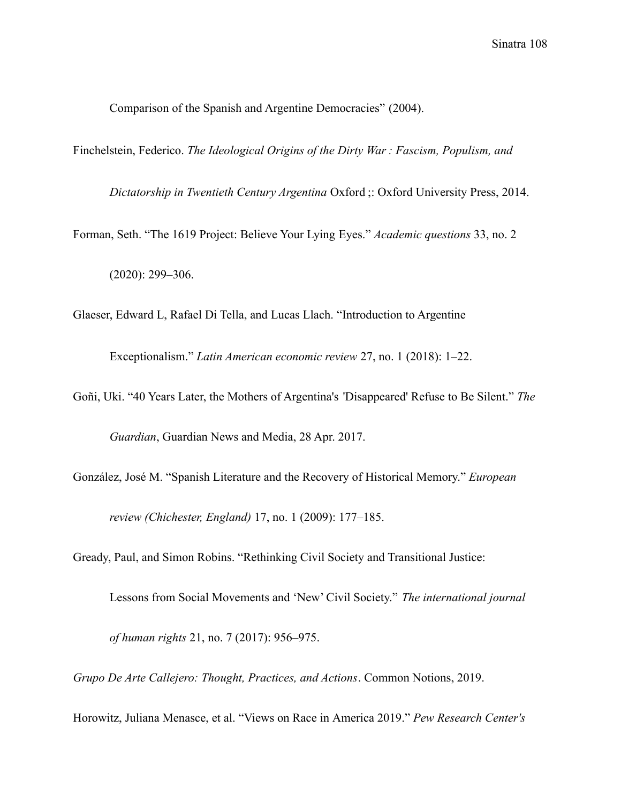Comparison of the Spanish and Argentine Democracies" (2004).

Finchelstein, Federico. *The Ideological Origins of the Dirty War : Fascism, Populism, and*

*Dictatorship in Twentieth Century Argentina* Oxford ;: Oxford University Press, 2014.

Forman, Seth. "The 1619 Project: Believe Your Lying Eyes." *Academic questions* 33, no. 2

(2020): 299–306.

Glaeser, Edward L, Rafael Di Tella, and Lucas Llach. "Introduction to Argentine

Exceptionalism." *Latin American economic review* 27, no. 1 (2018): 1–22.

Goñi, Uki. "40 Years Later, the Mothers of Argentina's 'Disappeared' Refuse to Be Silent." *The Guardian*, Guardian News and Media, 28 Apr. 2017.

González, José M. "Spanish Literature and the Recovery of Historical Memory." *European review (Chichester, England)* 17, no. 1 (2009): 177–185.

Gready, Paul, and Simon Robins. "Rethinking Civil Society and Transitional Justice:

Lessons from Social Movements and 'New' Civil Society." *The international journal*

*of human rights* 21, no. 7 (2017): 956–975.

*Grupo De Arte Callejero: Thought, Practices, and Actions*. Common Notions, 2019.

Horowitz, Juliana Menasce, et al. "Views on Race in America 2019." *Pew Research Center's*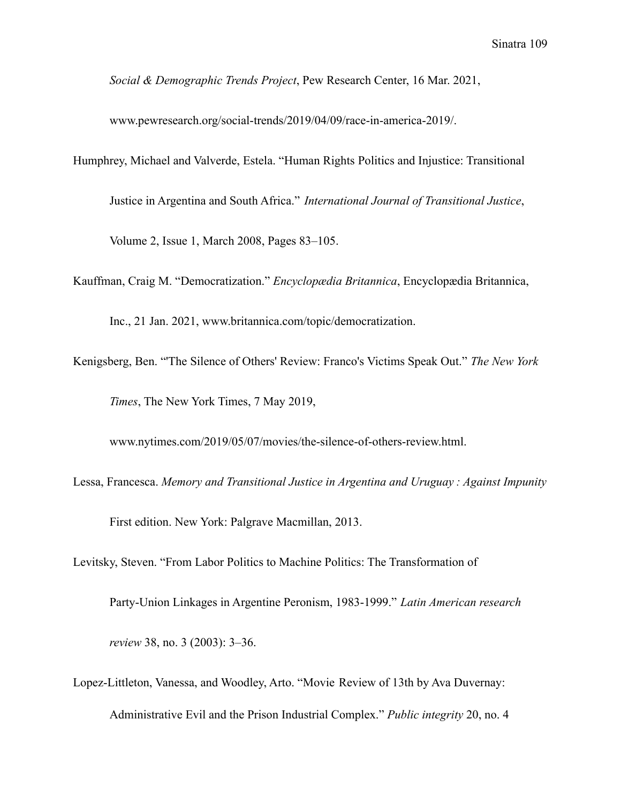*Social & Demographic Trends Project*, Pew Research Center, 16 Mar. 2021,

www.pewresearch.org/social-trends/2019/04/09/race-in-america-2019/.

Humphrey, Michael and Valverde, Estela. "Human Rights Politics and Injustice: Transitional

Justice in Argentina and South Africa." *International Journal of Transitional Justice*,

Volume 2, Issue 1, March 2008, Pages 83–105.

Kauffman, Craig M. "Democratization." *Encyclopædia Britannica*, Encyclopædia Britannica,

Inc., 21 Jan. 2021, www.britannica.com/topic/democratization.

Kenigsberg, Ben. "'The Silence of Others' Review: Franco's Victims Speak Out." *The New York Times*, The New York Times, 7 May 2019,

www.nytimes.com/2019/05/07/movies/the-silence-of-others-review.html.

Lessa, Francesca. *Memory and Transitional Justice in Argentina and Uruguay : Against Impunity*

First edition. New York: Palgrave Macmillan, 2013.

Levitsky, Steven. "From Labor Politics to Machine Politics: The Transformation of

Party-Union Linkages in Argentine Peronism, 1983-1999." *Latin American research*

*review* 38, no. 3 (2003): 3–36.

Lopez-Littleton, Vanessa, and Woodley, Arto. "Movie Review of 13th by Ava Duvernay: Administrative Evil and the Prison Industrial Complex." *Public integrity* 20, no. 4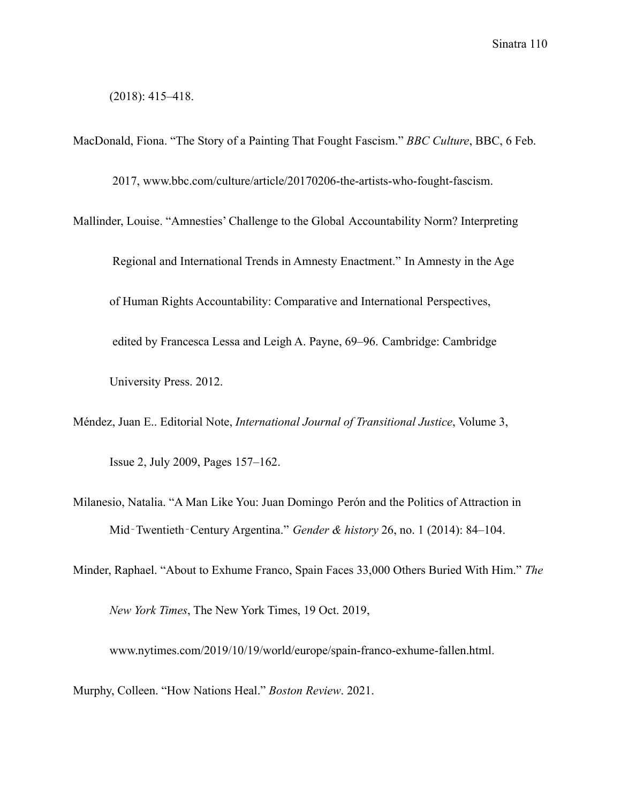(2018): 415–418.

MacDonald, Fiona. "The Story of a Painting That Fought Fascism." *BBC Culture*, BBC, 6 Feb.

2017, www.bbc.com/culture/article/20170206-the-artists-who-fought-fascism.

Mallinder, Louise. "Amnesties' Challenge to the Global Accountability Norm? Interpreting

Regional and International Trends in Amnesty Enactment." In Amnesty in the Age of Human Rights Accountability: Comparative and International Perspectives, edited by Francesca Lessa and Leigh A. Payne, 69–96. Cambridge: Cambridge University Press. 2012.

Méndez, Juan E.. Editorial Note, *International Journal of Transitional Justice*, Volume 3, Issue 2, July 2009, Pages 157–162.

Milanesio, Natalia. "A Man Like You: Juan Domingo Perón and the Politics of Attraction in Mid‐Twentieth‐Century Argentina." *Gender & history* 26, no. 1 (2014): 84–104.

Minder, Raphael. "About to Exhume Franco, Spain Faces 33,000 Others Buried With Him." *The*

*New York Times*, The New York Times, 19 Oct. 2019,

www.nytimes.com/2019/10/19/world/europe/spain-franco-exhume-fallen.html.

Murphy, Colleen. "How Nations Heal." *Boston Review*. 2021.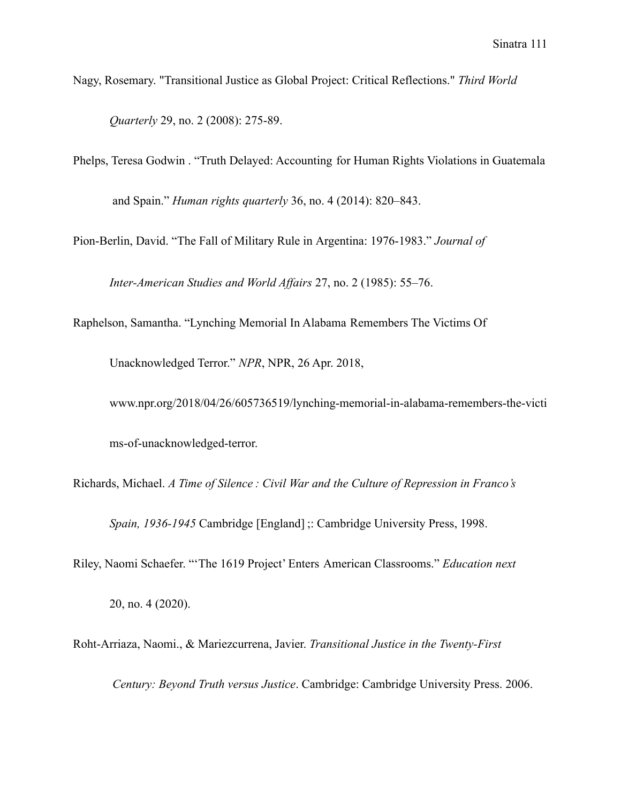Nagy, Rosemary. "Transitional Justice as Global Project: Critical Reflections." *Third World Quarterly* 29, no. 2 (2008): 275-89.

Phelps, Teresa Godwin . "Truth Delayed: Accounting for Human Rights Violations in Guatemala and Spain." *Human rights quarterly* 36, no. 4 (2014): 820–843.

Pion-Berlin, David. "The Fall of Military Rule in Argentina: 1976-1983." *Journal of*

*Inter-American Studies and World Affairs* 27, no. 2 (1985): 55–76.

Raphelson, Samantha. "Lynching Memorial In Alabama Remembers The Victims Of

Unacknowledged Terror." *NPR*, NPR, 26 Apr. 2018,

www.npr.org/2018/04/26/605736519/lynching-memorial-in-alabama-remembers-the-victi ms-of-unacknowledged-terror.

Richards, Michael. *A Time of Silence : Civil War and the Culture of Repression in Franco's*

*Spain, 1936-1945* Cambridge [England] ;: Cambridge University Press, 1998.

Riley, Naomi Schaefer. "'The 1619 Project' Enters American Classrooms." *Education next*

20, no. 4 (2020).

Roht-Arriaza, Naomi., & Mariezcurrena, Javier. *Transitional Justice in the Twenty-First*

*Century: Beyond Truth versus Justice*. Cambridge: Cambridge University Press. 2006.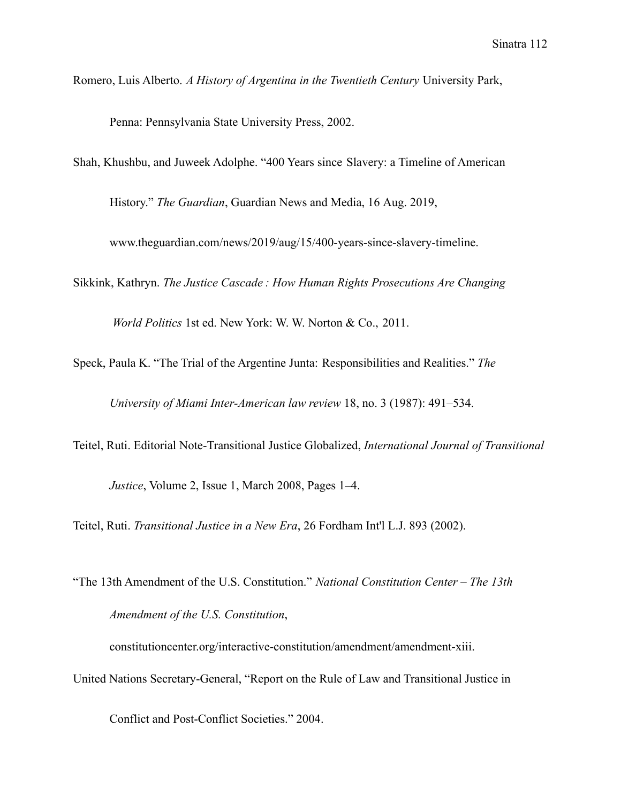Romero, Luis Alberto. *A History of Argentina in the Twentieth Century* University Park,

Penna: Pennsylvania State University Press, 2002.

Shah, Khushbu, and Juweek Adolphe. "400 Years since Slavery: a Timeline of American

History." *The Guardian*, Guardian News and Media, 16 Aug. 2019,

www.theguardian.com/news/2019/aug/15/400-years-since-slavery-timeline.

Sikkink, Kathryn. *The Justice Cascade : How Human Rights Prosecutions Are Changing*

*World Politics* 1st ed. New York: W. W. Norton & Co., 2011.

Speck, Paula K. "The Trial of the Argentine Junta: Responsibilities and Realities." *The*

*University of Miami Inter-American law review* 18, no. 3 (1987): 491–534.

Teitel, Ruti. Editorial Note-Transitional Justice Globalized, *International Journal of Transitional*

*Justice*, Volume 2, Issue 1, March 2008, Pages 1–4.

Teitel, Ruti. *Transitional Justice in a New Era*, 26 Fordham Int'l L.J. 893 (2002).

"The 13th Amendment of the U.S. Constitution." *National Constitution Center – The 13th Amendment of the U.S. Constitution*,

constitutioncenter.org/interactive-constitution/amendment/amendment-xiii. United Nations Secretary-General, "Report on the Rule of Law and Transitional Justice in

Conflict and Post-Conflict Societies." 2004.